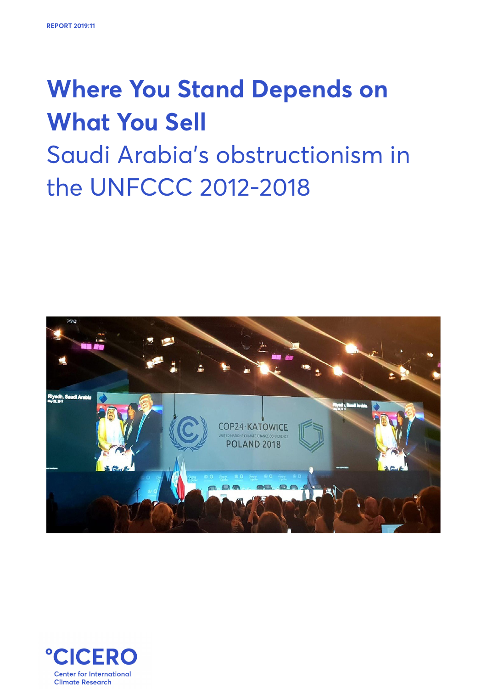# **Where You Stand Depends on What You Sell** Saudi Arabia's obstructionism in the UNFCCC 2012-2018



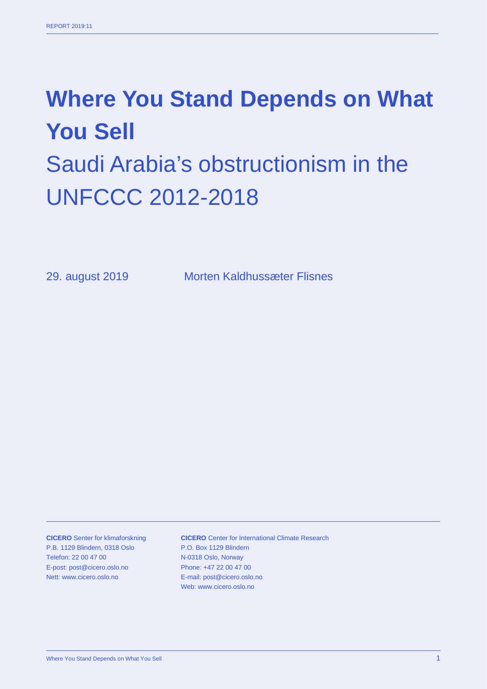# **Where You Stand Depends on What You Sell** Saudi Arabia's obstructionism in the UNFCCC 2012-2018

29. august 2019 Morten Kaldhussæter Flisnes

**CICERO** Senter for klimaforskning P.B. 1129 Blindern, 0318 Oslo Telefon: 22 00 47 00 E-post: post@cicero.oslo.no Nett: www.cicero.oslo.no

**CICERO** Center for International Climate Research P.O. Box 1129 Blindern N-0318 Oslo, Norway Phone: +47 22 00 47 00 E-mail: post@cicero.oslo.no Web: www.cicero.oslo.no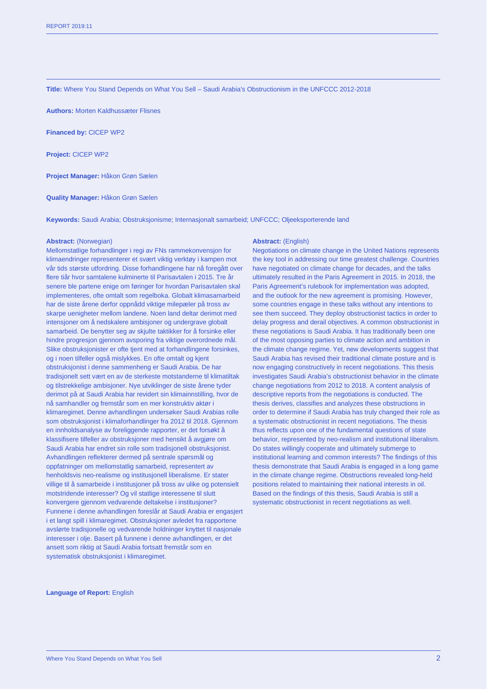**Title:** Where You Stand Depends on What You Sell – Saudi Arabia's Obstructionism in the UNFCCC 2012-2018

**Authors:** Morten Kaldhussæter Flisnes

**Financed by:** CICEP WP2

**Project:** CICEP WP2

**Project Manager:** Håkon Grøn Sælen

**Quality Manager:** Håkon Grøn Sælen

**Keywords:** Saudi Arabia; Obstruksjonisme; Internasjonalt samarbeid; UNFCCC; Oljeeksporterende land

#### **Abstract:** (Norwegian)

Mellomstatlige forhandlinger i regi av FNs rammekonvensjon for klimaendringer representerer et svært viktig verktøy i kampen mot vår tids største utfordring. Disse forhandlingene har nå foregått over flere tiår hvor samtalene kulminerte til Parisavtalen i 2015. Tre år senere ble partene enige om føringer for hvordan Parisavtalen skal implementeres, ofte omtalt som regelboka. Globalt klimasamarbeid har de siste årene derfor oppnådd viktige milepæler på tross av skarpe uenigheter mellom landene. Noen land deltar derimot med intensjoner om å nedskalere ambisjoner og undergrave globalt samarbeid. De benytter seg av skjulte taktikker for å forsinke eller hindre progresjon gjennom avsporing fra viktige overordnede mål. Slike obstruksjonister er ofte tjent med at forhandlingene forsinkes, og i noen tilfeller også mislykkes. En ofte omtalt og kjent obstruksjonist i denne sammenheng er Saudi Arabia. De har tradisjonelt sett vært en av de sterkeste motstanderne til klimatiltak og tilstrekkelige ambisjoner. Nye utviklinger de siste årene tyder derimot på at Saudi Arabia har revidert sin klimainnstilling, hvor de nå samhandler og fremstår som en mer konstruktiv aktør i klimaregimet. Denne avhandlingen undersøker Saudi Arabias rolle som obstruksjonist i klimaforhandlinger fra 2012 til 2018. Gjennom en innholdsanalyse av foreliggende rapporter, er det forsøkt å klassifisere tilfeller av obstruksjoner med hensikt å avgjøre om Saudi Arabia har endret sin rolle som tradisjonell obstruksjonist. Avhandlingen reflekterer dermed på sentrale spørsmål og oppfatninger om mellomstatlig samarbeid, representert av henholdsvis neo-realisme og institusjonell liberalisme. Er stater villige til å samarbeide i institusjoner på tross av ulike og potensielt motstridende interesser? Og vil statlige interessene til slutt konvergere gjennom vedvarende deltakelse i institusjoner? Funnene i denne avhandlingen foreslår at Saudi Arabia er engasjert i et langt spill i klimaregimet. Obstruksjoner avledet fra rapportene avslørte tradisjonelle og vedvarende holdninger knyttet til nasjonale interesser i olje. Basert på funnene i denne avhandlingen, er det ansett som riktig at Saudi Arabia fortsatt fremstår som en systematisk obstruksjonist i klimaregimet.

#### **Abstract:** (English)

Negotiations on climate change in the United Nations represents the key tool in addressing our time greatest challenge. Countries have negotiated on climate change for decades, and the talks ultimately resulted in the Paris Agreement in 2015. In 2018, the Paris Agreement's rulebook for implementation was adopted, and the outlook for the new agreement is promising. However, some countries engage in these talks without any intentions to see them succeed. They deploy obstructionist tactics in order to delay progress and derail objectives. A common obstructionist in these negotiations is Saudi Arabia. It has traditionally been one of the most opposing parties to climate action and ambition in the climate change regime. Yet, new developments suggest that Saudi Arabia has revised their traditional climate posture and is now engaging constructively in recent negotiations. This thesis investigates Saudi Arabia's obstructionist behavior in the climate change negotiations from 2012 to 2018. A content analysis of descriptive reports from the negotiations is conducted. The thesis derives, classifies and analyzes these obstructions in order to determine if Saudi Arabia has truly changed their role as a systematic obstructionist in recent negotiations. The thesis thus reflects upon one of the fundamental questions of state behavior, represented by neo-realism and institutional liberalism. Do states willingly cooperate and ultimately submerge to institutional learning and common interests? The findings of this thesis demonstrate that Saudi Arabia is engaged in a long game in the climate change regime. Obstructions revealed long-held positions related to maintaining their national interests in oil. Based on the findings of this thesis, Saudi Arabia is still a systematic obstructionist in recent negotiations as well.

#### **Language of Report:** English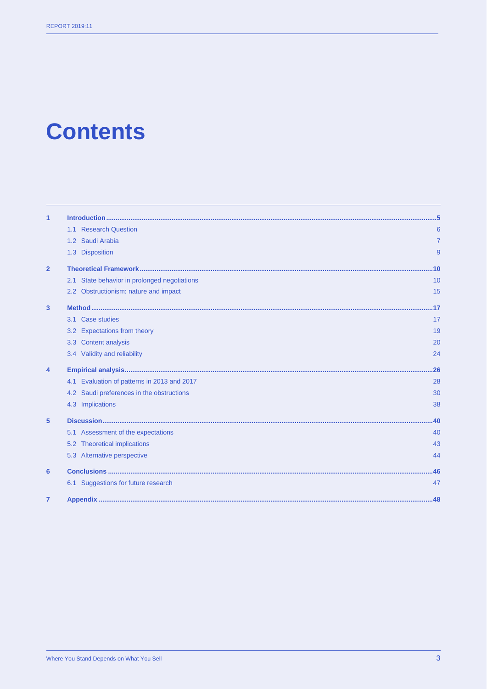# **Contents**

| $\mathbf{1}$   |                                                 |     |
|----------------|-------------------------------------------------|-----|
|                | 1.1 Research Question                           | 6   |
|                | 1.2 Saudi Arabia                                | 7   |
|                | 1.3 Disposition                                 | 9   |
| $\overline{2}$ |                                                 | 10  |
|                | State behavior in prolonged negotiations<br>2.1 | 10  |
|                | 2.2 Obstructionism: nature and impact           | 15  |
| 3              |                                                 | 17  |
|                | Case studies<br>3.1                             | 17  |
|                | 3.2 Expectations from theory                    | 19  |
|                | <b>Content analysis</b><br>3.3                  | 20  |
|                | 3.4 Validity and reliability                    | 24  |
| 4              |                                                 | .26 |
|                | Evaluation of patterns in 2013 and 2017<br>4.1  | 28  |
|                | 4.2 Saudi preferences in the obstructions       | 30  |
|                | 4.3 Implications                                | 38  |
| 5              |                                                 | .40 |
|                | Assessment of the expectations<br>5.1           | 40  |
|                | <b>Theoretical implications</b><br>5.2          | 43  |
|                | 5.3 Alternative perspective                     | 44  |
| 6              |                                                 | .46 |
|                | 6.1 Suggestions for future research             | 47  |
| 7              |                                                 |     |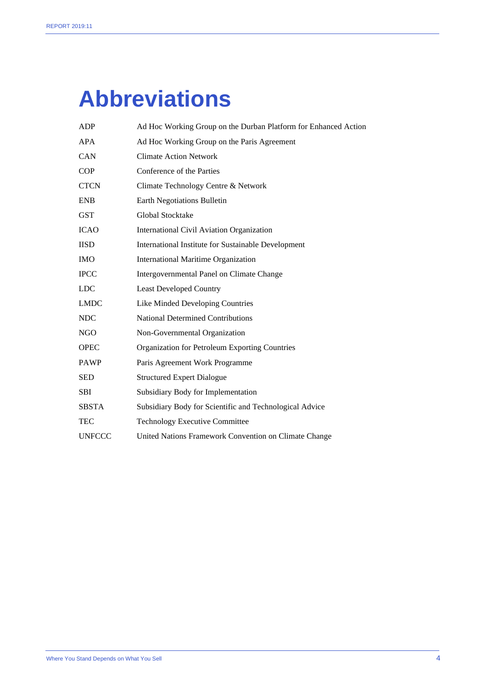# **Abbreviations**

| Ad Hoc Working Group on the Paris Agreement             |
|---------------------------------------------------------|
|                                                         |
| <b>Climate Action Network</b>                           |
| Conference of the Parties                               |
| Climate Technology Centre & Network                     |
| <b>Earth Negotiations Bulletin</b>                      |
| Global Stocktake                                        |
| <b>International Civil Aviation Organization</b>        |
| International Institute for Sustainable Development     |
| <b>International Maritime Organization</b>              |
| Intergovernmental Panel on Climate Change               |
| <b>Least Developed Country</b>                          |
| Like Minded Developing Countries                        |
| <b>National Determined Contributions</b>                |
| Non-Governmental Organization                           |
| Organization for Petroleum Exporting Countries          |
| Paris Agreement Work Programme                          |
| <b>Structured Expert Dialogue</b>                       |
| Subsidiary Body for Implementation                      |
| Subsidiary Body for Scientific and Technological Advice |
| <b>Technology Executive Committee</b>                   |
| United Nations Framework Convention on Climate Change   |
|                                                         |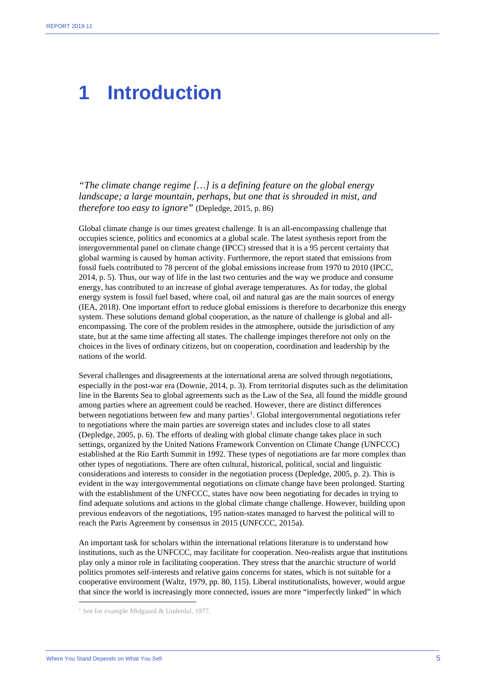### **1 Introduction**

*"The climate change regime […] is a defining feature on the global energy landscape; a large mountain, perhaps, but one that is shrouded in mist, and therefore too easy to ignore"* (Depledge, 2015, p. 86)

Global climate change is our times greatest challenge. It is an all-encompassing challenge that occupies science, politics and economics at a global scale. The latest synthesis report from the intergovernmental panel on climate change (IPCC) stressed that it is a 95 percent certainty that global warming is caused by human activity. Furthermore, the report stated that emissions from fossil fuels contributed to 78 percent of the global emissions increase from 1970 to 2010 (IPCC, 2014, p. 5). Thus, our way of life in the last two centuries and the way we produce and consume energy, has contributed to an increase of global average temperatures. As for today, the global energy system is fossil fuel based, where coal, oil and natural gas are the main sources of energy (IEA, 2018). One important effort to reduce global emissions is therefore to decarbonize this energy system. These solutions demand global cooperation, as the nature of challenge is global and allencompassing. The core of the problem resides in the atmosphere, outside the jurisdiction of any state, but at the same time affecting all states. The challenge impinges therefore not only on the choices in the lives of ordinary citizens, but on cooperation, coordination and leadership by the nations of the world.

Several challenges and disagreements at the international arena are solved through negotiations, especially in the post-war era (Downie, 2014, p. 3). From territorial disputes such as the delimitation line in the Barents Sea to global agreements such as the Law of the Sea, all found the middle ground among parties where an agreement could be reached. However, there are distinct differences between negotiations between few and many parties<sup>[1](#page-5-0)</sup>. Global intergovernmental negotiations refer to negotiations where the main parties are sovereign states and includes close to all states (Depledge, 2005, p. 6). The efforts of dealing with global climate change takes place in such settings, organized by the United Nations Framework Convention on Climate Change (UNFCCC) established at the Rio Earth Summit in 1992. These types of negotiations are far more complex than other types of negotiations. There are often cultural, historical, political, social and linguistic considerations and interests to consider in the negotiation process (Depledge, 2005, p. 2). This is evident in the way intergovernmental negotiations on climate change have been prolonged. Starting with the establishment of the UNFCCC, states have now been negotiating for decades in trying to find adequate solutions and actions to the global climate change challenge. However, building upon previous endeavors of the negotiations, 195 nation-states managed to harvest the political will to reach the Paris Agreement by consensus in 2015 (UNFCCC, 2015a).

An important task for scholars within the international relations literature is to understand how institutions, such as the UNFCCC, may facilitate for cooperation. Neo-realists argue that institutions play only a minor role in facilitating cooperation. They stress that the anarchic structure of world politics promotes self-interests and relative gains concerns for states, which is not suitable for a cooperative environment (Waltz, 1979, pp. 80, 115). Liberal institutionalists, however, would argue that since the world is increasingly more connected, issues are more "imperfectly linked" in which

<span id="page-5-0"></span><sup>&</sup>lt;sup>1</sup> See for example Midgaard & Underdal, 1977.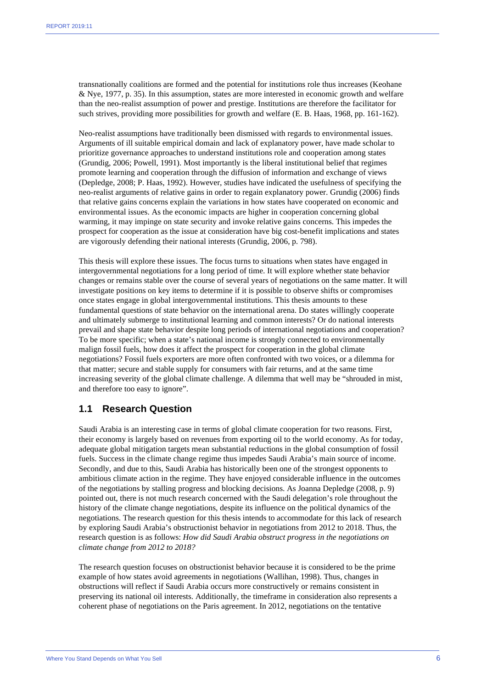transnationally coalitions are formed and the potential for institutions role thus increases (Keohane & Nye, 1977, p. 35). In this assumption, states are more interested in economic growth and welfare than the neo-realist assumption of power and prestige. Institutions are therefore the facilitator for such strives, providing more possibilities for growth and welfare (E. B. Haas, 1968, pp. 161-162).

Neo-realist assumptions have traditionally been dismissed with regards to environmental issues. Arguments of ill suitable empirical domain and lack of explanatory power, have made scholar to prioritize governance approaches to understand institutions role and cooperation among states (Grundig, 2006; Powell, 1991). Most importantly is the liberal institutional belief that regimes promote learning and cooperation through the diffusion of information and exchange of views (Depledge, 2008; P. Haas, 1992). However, studies have indicated the usefulness of specifying the neo-realist arguments of relative gains in order to regain explanatory power. Grundig (2006) finds that relative gains concerns explain the variations in how states have cooperated on economic and environmental issues. As the economic impacts are higher in cooperation concerning global warming, it may impinge on state security and invoke relative gains concerns. This impedes the prospect for cooperation as the issue at consideration have big cost-benefit implications and states are vigorously defending their national interests (Grundig, 2006, p. 798).

This thesis will explore these issues. The focus turns to situations when states have engaged in intergovernmental negotiations for a long period of time. It will explore whether state behavior changes or remains stable over the course of several years of negotiations on the same matter. It will investigate positions on key items to determine if it is possible to observe shifts or compromises once states engage in global intergovernmental institutions. This thesis amounts to these fundamental questions of state behavior on the international arena. Do states willingly cooperate and ultimately submerge to institutional learning and common interests? Or do national interests prevail and shape state behavior despite long periods of international negotiations and cooperation? To be more specific; when a state's national income is strongly connected to environmentally malign fossil fuels, how does it affect the prospect for cooperation in the global climate negotiations? Fossil fuels exporters are more often confronted with two voices, or a dilemma for that matter; secure and stable supply for consumers with fair returns, and at the same time increasing severity of the global climate challenge. A dilemma that well may be "shrouded in mist, and therefore too easy to ignore".

#### **1.1 Research Question**

Saudi Arabia is an interesting case in terms of global climate cooperation for two reasons. First, their economy is largely based on revenues from exporting oil to the world economy. As for today, adequate global mitigation targets mean substantial reductions in the global consumption of fossil fuels. Success in the climate change regime thus impedes Saudi Arabia's main source of income. Secondly, and due to this, Saudi Arabia has historically been one of the strongest opponents to ambitious climate action in the regime. They have enjoyed considerable influence in the outcomes of the negotiations by stalling progress and blocking decisions. As Joanna Depledge (2008, p. 9) pointed out, there is not much research concerned with the Saudi delegation's role throughout the history of the climate change negotiations, despite its influence on the political dynamics of the negotiations. The research question for this thesis intends to accommodate for this lack of research by exploring Saudi Arabia's obstructionist behavior in negotiations from 2012 to 2018. Thus, the research question is as follows: *How did Saudi Arabia obstruct progress in the negotiations on climate change from 2012 to 2018?* 

The research question focuses on obstructionist behavior because it is considered to be the prime example of how states avoid agreements in negotiations (Wallihan, 1998). Thus, changes in obstructions will reflect if Saudi Arabia occurs more constructively or remains consistent in preserving its national oil interests. Additionally, the timeframe in consideration also represents a coherent phase of negotiations on the Paris agreement. In 2012, negotiations on the tentative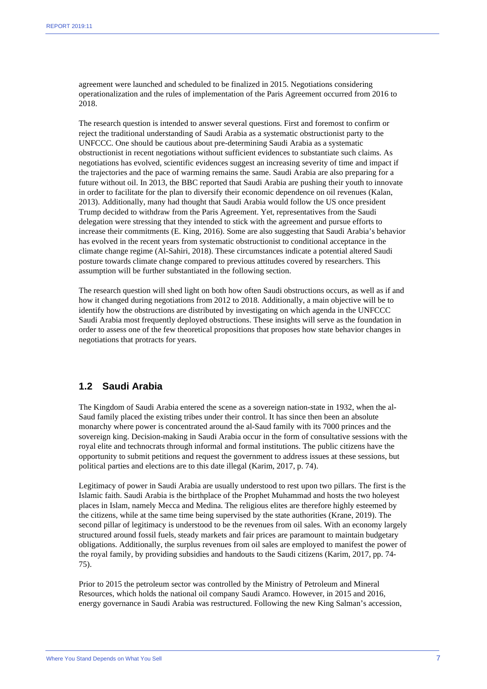agreement were launched and scheduled to be finalized in 2015. Negotiations considering operationalization and the rules of implementation of the Paris Agreement occurred from 2016 to 2018.

The research question is intended to answer several questions. First and foremost to confirm or reject the traditional understanding of Saudi Arabia as a systematic obstructionist party to the UNFCCC. One should be cautious about pre-determining Saudi Arabia as a systematic obstructionist in recent negotiations without sufficient evidences to substantiate such claims. As negotiations has evolved, scientific evidences suggest an increasing severity of time and impact if the trajectories and the pace of warming remains the same. Saudi Arabia are also preparing for a future without oil. In 2013, the BBC reported that Saudi Arabia are pushing their youth to innovate in order to facilitate for the plan to diversify their economic dependence on oil revenues (Kalan, 2013). Additionally, many had thought that Saudi Arabia would follow the US once president Trump decided to withdraw from the Paris Agreement. Yet, representatives from the Saudi delegation were stressing that they intended to stick with the agreement and pursue efforts to increase their commitments (E. King, 2016). Some are also suggesting that Saudi Arabia's behavior has evolved in the recent years from systematic obstructionist to conditional acceptance in the climate change regime (Al-Sahiri, 2018). These circumstances indicate a potential altered Saudi posture towards climate change compared to previous attitudes covered by researchers. This assumption will be further substantiated in the following section.

The research question will shed light on both how often Saudi obstructions occurs, as well as if and how it changed during negotiations from 2012 to 2018. Additionally, a main objective will be to identify how the obstructions are distributed by investigating on which agenda in the UNFCCC Saudi Arabia most frequently deployed obstructions. These insights will serve as the foundation in order to assess one of the few theoretical propositions that proposes how state behavior changes in negotiations that protracts for years.

#### **1.2 Saudi Arabia**

The Kingdom of Saudi Arabia entered the scene as a sovereign nation-state in 1932, when the al-Saud family placed the existing tribes under their control. It has since then been an absolute monarchy where power is concentrated around the al-Saud family with its 7000 princes and the sovereign king. Decision-making in Saudi Arabia occur in the form of consultative sessions with the royal elite and technocrats through informal and formal institutions. The public citizens have the opportunity to submit petitions and request the government to address issues at these sessions, but political parties and elections are to this date illegal (Karim, 2017, p. 74).

Legitimacy of power in Saudi Arabia are usually understood to rest upon two pillars. The first is the Islamic faith. Saudi Arabia is the birthplace of the Prophet Muhammad and hosts the two holeyest places in Islam, namely Mecca and Medina. The religious elites are therefore highly esteemed by the citizens, while at the same time being supervised by the state authorities (Krane, 2019). The second pillar of legitimacy is understood to be the revenues from oil sales. With an economy largely structured around fossil fuels, steady markets and fair prices are paramount to maintain budgetary obligations. Additionally, the surplus revenues from oil sales are employed to manifest the power of the royal family, by providing subsidies and handouts to the Saudi citizens (Karim, 2017, pp. 74- 75).

Prior to 2015 the petroleum sector was controlled by the Ministry of Petroleum and Mineral Resources, which holds the national oil company Saudi Aramco. However, in 2015 and 2016, energy governance in Saudi Arabia was restructured. Following the new King Salman's accession,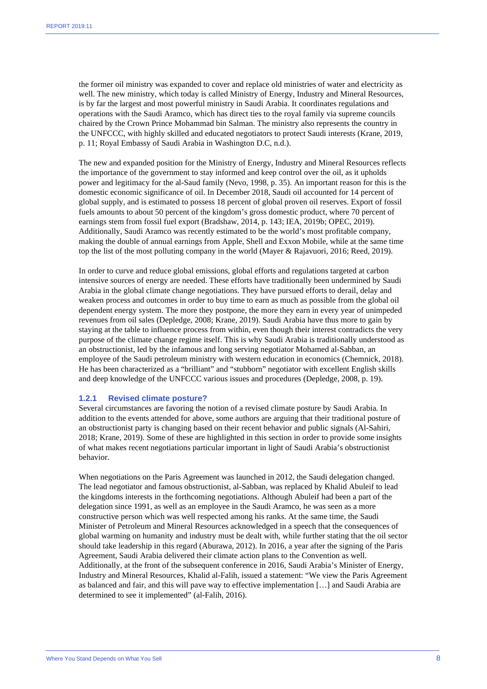the former oil ministry was expanded to cover and replace old ministries of water and electricity as well. The new ministry, which today is called Ministry of Energy, Industry and Mineral Resources, is by far the largest and most powerful ministry in Saudi Arabia. It coordinates regulations and operations with the Saudi Aramco, which has direct ties to the royal family via supreme councils chaired by the Crown Prince Mohammad bin Salman. The ministry also represents the country in the UNFCCC, with highly skilled and educated negotiators to protect Saudi interests (Krane, 2019, p. 11; Royal Embassy of Saudi Arabia in Washington D.C, n.d.).

The new and expanded position for the Ministry of Energy, Industry and Mineral Resources reflects the importance of the government to stay informed and keep control over the oil, as it upholds power and legitimacy for the al-Saud family (Nevo, 1998, p. 35). An important reason for this is the domestic economic significance of oil. In December 2018, Saudi oil accounted for 14 percent of global supply, and is estimated to possess 18 percent of global proven oil reserves. Export of fossil fuels amounts to about 50 percent of the kingdom's gross domestic product, where 70 percent of earnings stem from fossil fuel export (Bradshaw, 2014, p. 143; IEA, 2019b; OPEC, 2019). Additionally, Saudi Aramco was recently estimated to be the world's most profitable company, making the double of annual earnings from Apple, Shell and Exxon Mobile, while at the same time top the list of the most polluting company in the world (Mayer & Rajavuori, 2016; Reed, 2019).

In order to curve and reduce global emissions, global efforts and regulations targeted at carbon intensive sources of energy are needed. These efforts have traditionally been undermined by Saudi Arabia in the global climate change negotiations. They have pursued efforts to derail, delay and weaken process and outcomes in order to buy time to earn as much as possible from the global oil dependent energy system. The more they postpone, the more they earn in every year of unimpeded revenues from oil sales (Depledge, 2008; Krane, 2019). Saudi Arabia have thus more to gain by staying at the table to influence process from within, even though their interest contradicts the very purpose of the climate change regime itself. This is why Saudi Arabia is traditionally understood as an obstructionist, led by the infamous and long serving negotiator Mohamed al-Sabban, an employee of the Saudi petroleum ministry with western education in economics (Chemnick, 2018). He has been characterized as a "brilliant" and "stubborn" negotiator with excellent English skills and deep knowledge of the UNFCCC various issues and procedures (Depledge, 2008, p. 19).

#### **1.2.1 Revised climate posture?**

Several circumstances are favoring the notion of a revised climate posture by Saudi Arabia. In addition to the events attended for above, some authors are arguing that their traditional posture of an obstructionist party is changing based on their recent behavior and public signals (Al-Sahiri, 2018; Krane, 2019). Some of these are highlighted in this section in order to provide some insights of what makes recent negotiations particular important in light of Saudi Arabia's obstructionist behavior.

When negotiations on the Paris Agreement was launched in 2012, the Saudi delegation changed. The lead negotiator and famous obstructionist, al-Sabban, was replaced by Khalid Abuleif to lead the kingdoms interests in the forthcoming negotiations. Although Abuleif had been a part of the delegation since 1991, as well as an employee in the Saudi Aramco, he was seen as a more constructive person which was well respected among his ranks. At the same time, the Saudi Minister of Petroleum and Mineral Resources acknowledged in a speech that the consequences of global warming on humanity and industry must be dealt with, while further stating that the oil sector should take leadership in this regard (Aburawa, 2012). In 2016, a year after the signing of the Paris Agreement, Saudi Arabia delivered their climate action plans to the Convention as well. Additionally, at the front of the subsequent conference in 2016, Saudi Arabia's Minister of Energy, Industry and Mineral Resources, Khalid al-Falih, issued a statement: "We view the Paris Agreement as balanced and fair, and this will pave way to effective implementation […] and Saudi Arabia are determined to see it implemented" (al-Falih, 2016).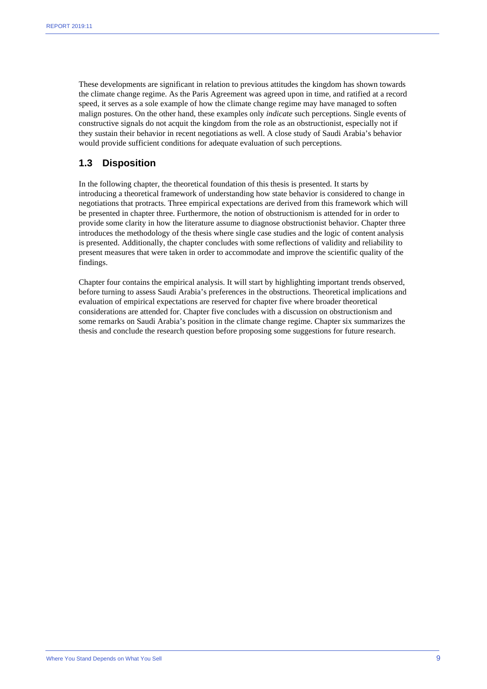These developments are significant in relation to previous attitudes the kingdom has shown towards the climate change regime. As the Paris Agreement was agreed upon in time, and ratified at a record speed, it serves as a sole example of how the climate change regime may have managed to soften malign postures. On the other hand, these examples only *indicate* such perceptions. Single events of constructive signals do not acquit the kingdom from the role as an obstructionist, especially not if they sustain their behavior in recent negotiations as well. A close study of Saudi Arabia's behavior would provide sufficient conditions for adequate evaluation of such perceptions.

#### **1.3 Disposition**

In the following chapter, the theoretical foundation of this thesis is presented. It starts by introducing a theoretical framework of understanding how state behavior is considered to change in negotiations that protracts. Three empirical expectations are derived from this framework which will be presented in chapter three. Furthermore, the notion of obstructionism is attended for in order to provide some clarity in how the literature assume to diagnose obstructionist behavior. Chapter three introduces the methodology of the thesis where single case studies and the logic of content analysis is presented. Additionally, the chapter concludes with some reflections of validity and reliability to present measures that were taken in order to accommodate and improve the scientific quality of the findings.

Chapter four contains the empirical analysis. It will start by highlighting important trends observed, before turning to assess Saudi Arabia's preferences in the obstructions. Theoretical implications and evaluation of empirical expectations are reserved for chapter five where broader theoretical considerations are attended for. Chapter five concludes with a discussion on obstructionism and some remarks on Saudi Arabia's position in the climate change regime. Chapter six summarizes the thesis and conclude the research question before proposing some suggestions for future research.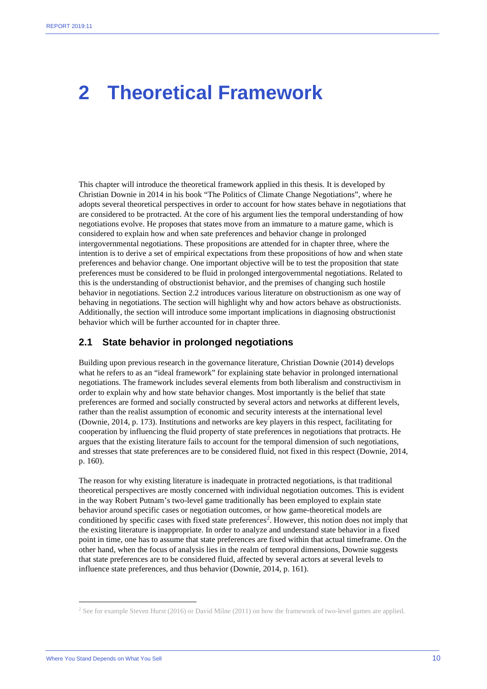### **2 Theoretical Framework**

This chapter will introduce the theoretical framework applied in this thesis. It is developed by Christian Downie in 2014 in his book "The Politics of Climate Change Negotiations", where he adopts several theoretical perspectives in order to account for how states behave in negotiations that are considered to be protracted. At the core of his argument lies the temporal understanding of how negotiations evolve. He proposes that states move from an immature to a mature game, which is considered to explain how and when sate preferences and behavior change in prolonged intergovernmental negotiations. These propositions are attended for in chapter three, where the intention is to derive a set of empirical expectations from these propositions of how and when state preferences and behavior change. One important objective will be to test the proposition that state preferences must be considered to be fluid in prolonged intergovernmental negotiations. Related to this is the understanding of obstructionist behavior, and the premises of changing such hostile behavior in negotiations. Section 2.2 introduces various literature on obstructionism as one way of behaving in negotiations. The section will highlight why and how actors behave as obstructionists. Additionally, the section will introduce some important implications in diagnosing obstructionist behavior which will be further accounted for in chapter three.

#### **2.1 State behavior in prolonged negotiations**

Building upon previous research in the governance literature, Christian Downie (2014) develops what he refers to as an "ideal framework" for explaining state behavior in prolonged international negotiations. The framework includes several elements from both liberalism and constructivism in order to explain why and how state behavior changes. Most importantly is the belief that state preferences are formed and socially constructed by several actors and networks at different levels, rather than the realist assumption of economic and security interests at the international level (Downie, 2014, p. 173). Institutions and networks are key players in this respect, facilitating for cooperation by influencing the fluid property of state preferences in negotiations that protracts. He argues that the existing literature fails to account for the temporal dimension of such negotiations, and stresses that state preferences are to be considered fluid, not fixed in this respect (Downie, 2014, p. 160).

The reason for why existing literature is inadequate in protracted negotiations, is that traditional theoretical perspectives are mostly concerned with individual negotiation outcomes. This is evident in the way Robert Putnam's two-level game traditionally has been employed to explain state behavior around specific cases or negotiation outcomes, or how game-theoretical models are conditioned by specific cases with fixed state preferences<sup>[2](#page-10-0)</sup>. However, this notion does not imply that the existing literature is inappropriate. In order to analyze and understand state behavior in a fixed point in time, one has to assume that state preferences are fixed within that actual timeframe. On the other hand, when the focus of analysis lies in the realm of temporal dimensions, Downie suggests that state preferences are to be considered fluid, affected by several actors at several levels to influence state preferences, and thus behavior (Downie, 2014, p. 161).

<span id="page-10-0"></span><sup>2</sup> See for example Steven Hurst (2016) or David Milne (2011) on how the framework of two-level games are applied.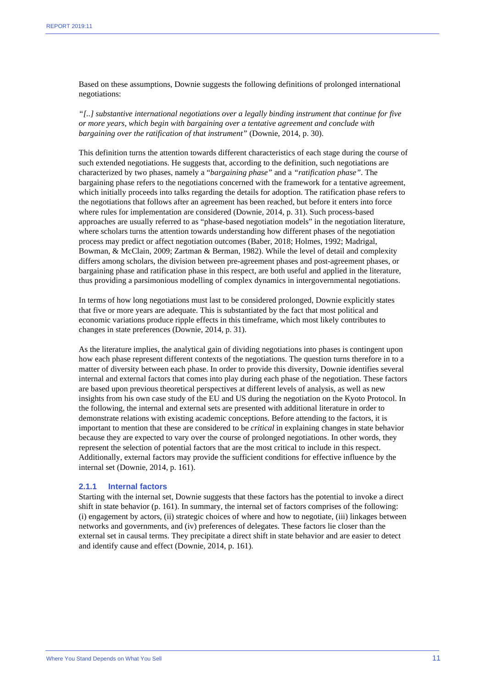Based on these assumptions, Downie suggests the following definitions of prolonged international negotiations:

*"[..] substantive international negotiations over a legally binding instrument that continue for five or more years, which begin with bargaining over a tentative agreement and conclude with bargaining over the ratification of that instrument"* (Downie, 2014, p. 30).

This definition turns the attention towards different characteristics of each stage during the course of such extended negotiations. He suggests that, according to the definition, such negotiations are characterized by two phases, namely a "*bargaining phase"* and a *"ratification phase"*. The bargaining phase refers to the negotiations concerned with the framework for a tentative agreement, which initially proceeds into talks regarding the details for adoption. The ratification phase refers to the negotiations that follows after an agreement has been reached, but before it enters into force where rules for implementation are considered (Downie, 2014, p. 31). Such process-based approaches are usually referred to as "phase-based negotiation models" in the negotiation literature, where scholars turns the attention towards understanding how different phases of the negotiation process may predict or affect negotiation outcomes (Baber, 2018; Holmes, 1992; Madrigal, Bowman, & McClain, 2009; Zartman & Berman, 1982). While the level of detail and complexity differs among scholars, the division between pre-agreement phases and post-agreement phases, or bargaining phase and ratification phase in this respect, are both useful and applied in the literature, thus providing a parsimonious modelling of complex dynamics in intergovernmental negotiations.

In terms of how long negotiations must last to be considered prolonged, Downie explicitly states that five or more years are adequate. This is substantiated by the fact that most political and economic variations produce ripple effects in this timeframe, which most likely contributes to changes in state preferences (Downie, 2014, p. 31).

As the literature implies, the analytical gain of dividing negotiations into phases is contingent upon how each phase represent different contexts of the negotiations. The question turns therefore in to a matter of diversity between each phase. In order to provide this diversity, Downie identifies several internal and external factors that comes into play during each phase of the negotiation. These factors are based upon previous theoretical perspectives at different levels of analysis, as well as new insights from his own case study of the EU and US during the negotiation on the Kyoto Protocol. In the following, the internal and external sets are presented with additional literature in order to demonstrate relations with existing academic conceptions. Before attending to the factors, it is important to mention that these are considered to be *critical* in explaining changes in state behavior because they are expected to vary over the course of prolonged negotiations. In other words, they represent the selection of potential factors that are the most critical to include in this respect. Additionally, external factors may provide the sufficient conditions for effective influence by the internal set (Downie, 2014, p. 161).

#### **2.1.1 Internal factors**

Starting with the internal set, Downie suggests that these factors has the potential to invoke a direct shift in state behavior (p. 161). In summary, the internal set of factors comprises of the following: (i) engagement by actors, (ii) strategic choices of where and how to negotiate, (iii) linkages between networks and governments, and (iv) preferences of delegates. These factors lie closer than the external set in causal terms. They precipitate a direct shift in state behavior and are easier to detect and identify cause and effect (Downie, 2014, p. 161).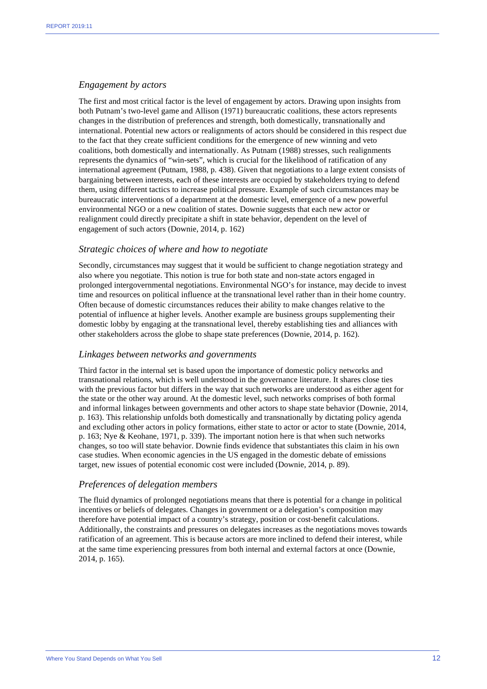#### *Engagement by actors*

The first and most critical factor is the level of engagement by actors. Drawing upon insights from both Putnam's two-level game and Allison (1971) bureaucratic coalitions, these actors represents changes in the distribution of preferences and strength, both domestically, transnationally and international. Potential new actors or realignments of actors should be considered in this respect due to the fact that they create sufficient conditions for the emergence of new winning and veto coalitions, both domestically and internationally. As Putnam (1988) stresses, such realignments represents the dynamics of "win-sets", which is crucial for the likelihood of ratification of any international agreement (Putnam, 1988, p. 438). Given that negotiations to a large extent consists of bargaining between interests, each of these interests are occupied by stakeholders trying to defend them, using different tactics to increase political pressure. Example of such circumstances may be bureaucratic interventions of a department at the domestic level, emergence of a new powerful environmental NGO or a new coalition of states. Downie suggests that each new actor or realignment could directly precipitate a shift in state behavior, dependent on the level of engagement of such actors (Downie, 2014, p. 162)

#### *Strategic choices of where and how to negotiate*

Secondly, circumstances may suggest that it would be sufficient to change negotiation strategy and also where you negotiate. This notion is true for both state and non-state actors engaged in prolonged intergovernmental negotiations. Environmental NGO's for instance, may decide to invest time and resources on political influence at the transnational level rather than in their home country. Often because of domestic circumstances reduces their ability to make changes relative to the potential of influence at higher levels. Another example are business groups supplementing their domestic lobby by engaging at the transnational level, thereby establishing ties and alliances with other stakeholders across the globe to shape state preferences (Downie, 2014, p. 162).

#### *Linkages between networks and governments*

Third factor in the internal set is based upon the importance of domestic policy networks and transnational relations, which is well understood in the governance literature. It shares close ties with the previous factor but differs in the way that such networks are understood as either agent for the state or the other way around. At the domestic level, such networks comprises of both formal and informal linkages between governments and other actors to shape state behavior (Downie, 2014, p. 163). This relationship unfolds both domestically and transnationally by dictating policy agenda and excluding other actors in policy formations, either state to actor or actor to state (Downie, 2014, p. 163; Nye & Keohane, 1971, p. 339). The important notion here is that when such networks changes, so too will state behavior. Downie finds evidence that substantiates this claim in his own case studies. When economic agencies in the US engaged in the domestic debate of emissions target, new issues of potential economic cost were included (Downie, 2014, p. 89).

#### *Preferences of delegation members*

The fluid dynamics of prolonged negotiations means that there is potential for a change in political incentives or beliefs of delegates. Changes in government or a delegation's composition may therefore have potential impact of a country's strategy, position or cost-benefit calculations. Additionally, the constraints and pressures on delegates increases as the negotiations moves towards ratification of an agreement. This is because actors are more inclined to defend their interest, while at the same time experiencing pressures from both internal and external factors at once (Downie, 2014, p. 165).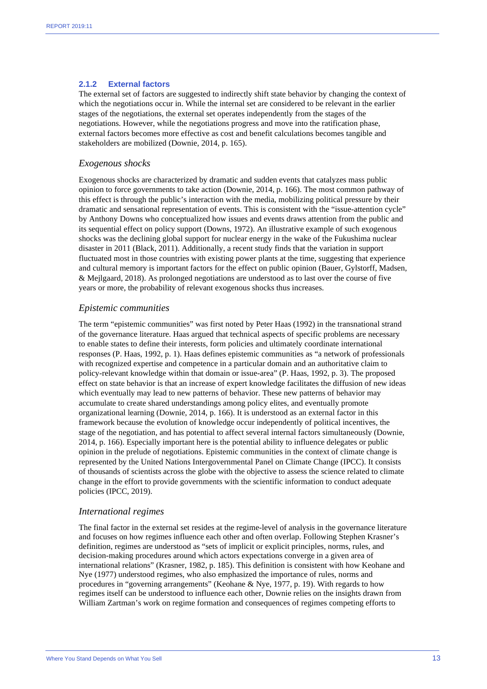#### **2.1.2 External factors**

The external set of factors are suggested to indirectly shift state behavior by changing the context of which the negotiations occur in. While the internal set are considered to be relevant in the earlier stages of the negotiations, the external set operates independently from the stages of the negotiations. However, while the negotiations progress and move into the ratification phase, external factors becomes more effective as cost and benefit calculations becomes tangible and stakeholders are mobilized (Downie, 2014, p. 165).

#### *Exogenous shocks*

Exogenous shocks are characterized by dramatic and sudden events that catalyzes mass public opinion to force governments to take action (Downie, 2014, p. 166). The most common pathway of this effect is through the public's interaction with the media, mobilizing political pressure by their dramatic and sensational representation of events. This is consistent with the "issue-attention cycle" by Anthony Downs who conceptualized how issues and events draws attention from the public and its sequential effect on policy support (Downs, 1972). An illustrative example of such exogenous shocks was the declining global support for nuclear energy in the wake of the Fukushima nuclear disaster in 2011 (Black, 2011). Additionally, a recent study finds that the variation in support fluctuated most in those countries with existing power plants at the time, suggesting that experience and cultural memory is important factors for the effect on public opinion (Bauer, Gylstorff, Madsen, & Mejlgaard, 2018). As prolonged negotiations are understood as to last over the course of five years or more, the probability of relevant exogenous shocks thus increases.

#### *Epistemic communities*

The term "epistemic communities" was first noted by Peter Haas (1992) in the transnational strand of the governance literature. Haas argued that technical aspects of specific problems are necessary to enable states to define their interests, form policies and ultimately coordinate international responses (P. Haas, 1992, p. 1). Haas defines epistemic communities as "a network of professionals with recognized expertise and competence in a particular domain and an authoritative claim to policy-relevant knowledge within that domain or issue-area" (P. Haas, 1992, p. 3). The proposed effect on state behavior is that an increase of expert knowledge facilitates the diffusion of new ideas which eventually may lead to new patterns of behavior. These new patterns of behavior may accumulate to create shared understandings among policy elites, and eventually promote organizational learning (Downie, 2014, p. 166). It is understood as an external factor in this framework because the evolution of knowledge occur independently of political incentives, the stage of the negotiation, and has potential to affect several internal factors simultaneously (Downie, 2014, p. 166). Especially important here is the potential ability to influence delegates or public opinion in the prelude of negotiations. Epistemic communities in the context of climate change is represented by the United Nations Intergovernmental Panel on Climate Change (IPCC). It consists of thousands of scientists across the globe with the objective to assess the science related to climate change in the effort to provide governments with the scientific information to conduct adequate policies (IPCC, 2019).

#### *International regimes*

The final factor in the external set resides at the regime-level of analysis in the governance literature and focuses on how regimes influence each other and often overlap. Following Stephen Krasner's definition, regimes are understood as "sets of implicit or explicit principles, norms, rules, and decision-making procedures around which actors expectations converge in a given area of international relations" (Krasner, 1982, p. 185). This definition is consistent with how Keohane and Nye (1977) understood regimes, who also emphasized the importance of rules, norms and procedures in "governing arrangements" (Keohane & Nye, 1977, p. 19). With regards to how regimes itself can be understood to influence each other, Downie relies on the insights drawn from William Zartman's work on regime formation and consequences of regimes competing efforts to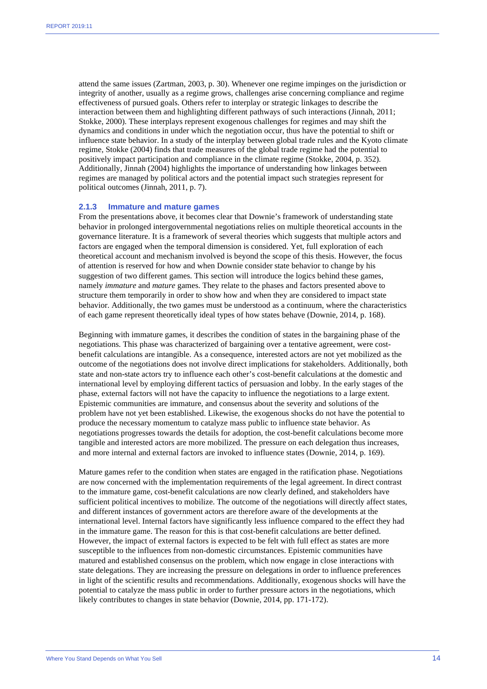attend the same issues (Zartman, 2003, p. 30). Whenever one regime impinges on the jurisdiction or integrity of another, usually as a regime grows, challenges arise concerning compliance and regime effectiveness of pursued goals. Others refer to interplay or strategic linkages to describe the interaction between them and highlighting different pathways of such interactions (Jinnah, 2011; Stokke, 2000). These interplays represent exogenous challenges for regimes and may shift the dynamics and conditions in under which the negotiation occur, thus have the potential to shift or influence state behavior. In a study of the interplay between global trade rules and the Kyoto climate regime, Stokke (2004) finds that trade measures of the global trade regime had the potential to positively impact participation and compliance in the climate regime (Stokke, 2004, p. 352). Additionally, Jinnah (2004) highlights the importance of understanding how linkages between regimes are managed by political actors and the potential impact such strategies represent for political outcomes (Jinnah, 2011, p. 7).

#### **2.1.3 Immature and mature games**

From the presentations above, it becomes clear that Downie's framework of understanding state behavior in prolonged intergovernmental negotiations relies on multiple theoretical accounts in the governance literature. It is a framework of several theories which suggests that multiple actors and factors are engaged when the temporal dimension is considered. Yet, full exploration of each theoretical account and mechanism involved is beyond the scope of this thesis. However, the focus of attention is reserved for how and when Downie consider state behavior to change by his suggestion of two different games. This section will introduce the logics behind these games, namely *immature* and *mature* games. They relate to the phases and factors presented above to structure them temporarily in order to show how and when they are considered to impact state behavior. Additionally, the two games must be understood as a continuum, where the characteristics of each game represent theoretically ideal types of how states behave (Downie, 2014, p. 168).

Beginning with immature games, it describes the condition of states in the bargaining phase of the negotiations. This phase was characterized of bargaining over a tentative agreement, were costbenefit calculations are intangible. As a consequence, interested actors are not yet mobilized as the outcome of the negotiations does not involve direct implications for stakeholders. Additionally, both state and non-state actors try to influence each other's cost-benefit calculations at the domestic and international level by employing different tactics of persuasion and lobby. In the early stages of the phase, external factors will not have the capacity to influence the negotiations to a large extent. Epistemic communities are immature, and consensus about the severity and solutions of the problem have not yet been established. Likewise, the exogenous shocks do not have the potential to produce the necessary momentum to catalyze mass public to influence state behavior. As negotiations progresses towards the details for adoption, the cost-benefit calculations become more tangible and interested actors are more mobilized. The pressure on each delegation thus increases, and more internal and external factors are invoked to influence states (Downie, 2014, p. 169).

Mature games refer to the condition when states are engaged in the ratification phase. Negotiations are now concerned with the implementation requirements of the legal agreement. In direct contrast to the immature game, cost-benefit calculations are now clearly defined, and stakeholders have sufficient political incentives to mobilize. The outcome of the negotiations will directly affect states, and different instances of government actors are therefore aware of the developments at the international level. Internal factors have significantly less influence compared to the effect they had in the immature game. The reason for this is that cost-benefit calculations are better defined. However, the impact of external factors is expected to be felt with full effect as states are more susceptible to the influences from non-domestic circumstances. Epistemic communities have matured and established consensus on the problem, which now engage in close interactions with state delegations. They are increasing the pressure on delegations in order to influence preferences in light of the scientific results and recommendations. Additionally, exogenous shocks will have the potential to catalyze the mass public in order to further pressure actors in the negotiations, which likely contributes to changes in state behavior (Downie, 2014, pp. 171-172).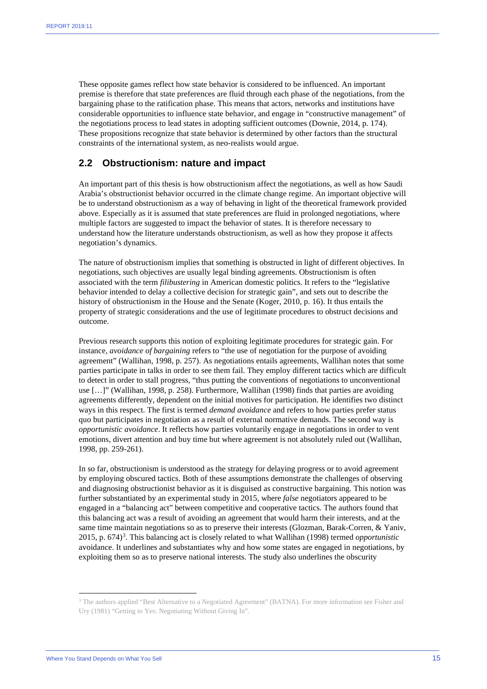These opposite games reflect how state behavior is considered to be influenced. An important premise is therefore that state preferences are fluid through each phase of the negotiations, from the bargaining phase to the ratification phase. This means that actors, networks and institutions have considerable opportunities to influence state behavior, and engage in "constructive management" of the negotiations process to lead states in adopting sufficient outcomes (Downie, 2014, p. 174). These propositions recognize that state behavior is determined by other factors than the structural constraints of the international system, as neo-realists would argue.

#### **2.2 Obstructionism: nature and impact**

An important part of this thesis is how obstructionism affect the negotiations, as well as how Saudi Arabia's obstructionist behavior occurred in the climate change regime. An important objective will be to understand obstructionism as a way of behaving in light of the theoretical framework provided above. Especially as it is assumed that state preferences are fluid in prolonged negotiations, where multiple factors are suggested to impact the behavior of states. It is therefore necessary to understand how the literature understands obstructionism, as well as how they propose it affects negotiation's dynamics.

The nature of obstructionism implies that something is obstructed in light of different objectives. In negotiations, such objectives are usually legal binding agreements. Obstructionism is often associated with the term *filibustering* in American domestic politics. It refers to the "legislative behavior intended to delay a collective decision for strategic gain", and sets out to describe the history of obstructionism in the House and the Senate (Koger, 2010, p. 16). It thus entails the property of strategic considerations and the use of legitimate procedures to obstruct decisions and outcome.

Previous research supports this notion of exploiting legitimate procedures for strategic gain. For instance, *avoidance of bargaining* refers to "the use of negotiation for the purpose of avoiding agreement" (Wallihan, 1998, p. 257). As negotiations entails agreements, Wallihan notes that some parties participate in talks in order to see them fail. They employ different tactics which are difficult to detect in order to stall progress, "thus putting the conventions of negotiations to unconventional use […]" (Wallihan, 1998, p. 258). Furthermore, Wallihan (1998) finds that parties are avoiding agreements differently, dependent on the initial motives for participation. He identifies two distinct ways in this respect. The first is termed *demand avoidance* and refers to how parties prefer status quo but participates in negotiation as a result of external normative demands. The second way is *opportunistic avoidance*. It reflects how parties voluntarily engage in negotiations in order to vent emotions, divert attention and buy time but where agreement is not absolutely ruled out (Wallihan, 1998, pp. 259-261).

In so far, obstructionism is understood as the strategy for delaying progress or to avoid agreement by employing obscured tactics. Both of these assumptions demonstrate the challenges of observing and diagnosing obstructionist behavior as it is disguised as constructive bargaining. This notion was further substantiated by an experimental study in 2015, where *false* negotiators appeared to be engaged in a "balancing act" between competitive and cooperative tactics. The authors found that this balancing act was a result of avoiding an agreement that would harm their interests, and at the same time maintain negotiations so as to preserve their interests (Glozman, Barak-Corren, & Yaniv, 2015, p. 674)<sup>[3](#page-15-0)</sup>. This balancing act is closely related to what Wallihan (1998) termed *opportunistic* avoidance. It underlines and substantiates why and how some states are engaged in negotiations, by exploiting them so as to preserve national interests. The study also underlines the obscurity

<span id="page-15-0"></span><sup>3</sup> The authors applied "Best Alternative to a Negotiated Agreement" (BATNA). For more information see Fisher and Ury (1981) "Getting to Yes: Negotiating Without Giving In".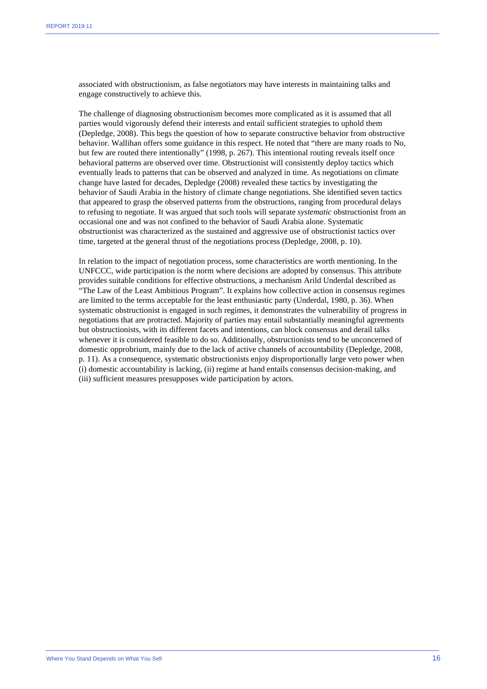associated with obstructionism, as false negotiators may have interests in maintaining talks and engage constructively to achieve this.

The challenge of diagnosing obstructionism becomes more complicated as it is assumed that all parties would vigorously defend their interests and entail sufficient strategies to uphold them (Depledge, 2008). This begs the question of how to separate constructive behavior from obstructive behavior. Wallihan offers some guidance in this respect. He noted that "there are many roads to No, but few are routed there intentionally" (1998, p. 267). This intentional routing reveals itself once behavioral patterns are observed over time. Obstructionist will consistently deploy tactics which eventually leads to patterns that can be observed and analyzed in time. As negotiations on climate change have lasted for decades, Depledge (2008) revealed these tactics by investigating the behavior of Saudi Arabia in the history of climate change negotiations. She identified seven tactics that appeared to grasp the observed patterns from the obstructions, ranging from procedural delays to refusing to negotiate. It was argued that such tools will separate *systematic* obstructionist from an occasional one and was not confined to the behavior of Saudi Arabia alone. Systematic obstructionist was characterized as the sustained and aggressive use of obstructionist tactics over time, targeted at the general thrust of the negotiations process (Depledge, 2008, p. 10).

In relation to the impact of negotiation process, some characteristics are worth mentioning. In the UNFCCC, wide participation is the norm where decisions are adopted by consensus. This attribute provides suitable conditions for effective obstructions, a mechanism Arild Underdal described as "The Law of the Least Ambitious Program". It explains how collective action in consensus regimes are limited to the terms acceptable for the least enthusiastic party (Underdal, 1980, p. 36). When systematic obstructionist is engaged in such regimes, it demonstrates the vulnerability of progress in negotiations that are protracted. Majority of parties may entail substantially meaningful agreements but obstructionists, with its different facets and intentions, can block consensus and derail talks whenever it is considered feasible to do so. Additionally, obstructionists tend to be unconcerned of domestic opprobrium, mainly due to the lack of active channels of accountability (Depledge, 2008, p. 11). As a consequence, systematic obstructionists enjoy disproportionally large veto power when (i) domestic accountability is lacking, (ii) regime at hand entails consensus decision-making, and (iii) sufficient measures presupposes wide participation by actors.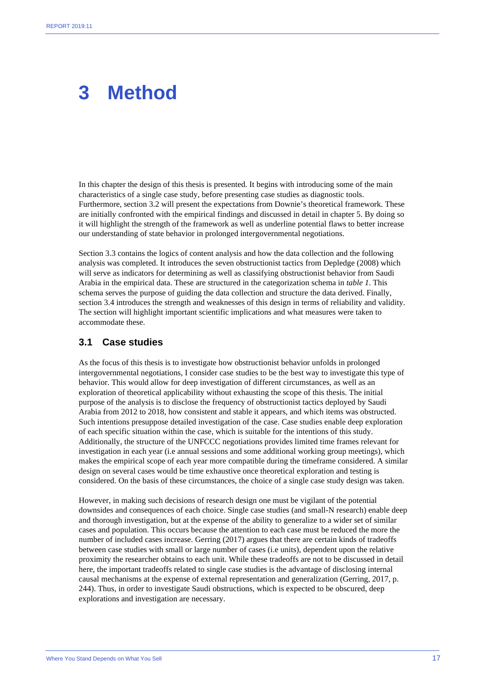### **3 Method**

In this chapter the design of this thesis is presented. It begins with introducing some of the main characteristics of a single case study, before presenting case studies as diagnostic tools. Furthermore, section 3.2 will present the expectations from Downie's theoretical framework. These are initially confronted with the empirical findings and discussed in detail in chapter 5. By doing so it will highlight the strength of the framework as well as underline potential flaws to better increase our understanding of state behavior in prolonged intergovernmental negotiations.

Section 3.3 contains the logics of content analysis and how the data collection and the following analysis was completed. It introduces the seven obstructionist tactics from Depledge (2008) which will serve as indicators for determining as well as classifying obstructionist behavior from Saudi Arabia in the empirical data. These are structured in the categorization schema in *table 1*. This schema serves the purpose of guiding the data collection and structure the data derived. Finally, section 3.4 introduces the strength and weaknesses of this design in terms of reliability and validity. The section will highlight important scientific implications and what measures were taken to accommodate these.

#### **3.1 Case studies**

As the focus of this thesis is to investigate how obstructionist behavior unfolds in prolonged intergovernmental negotiations, I consider case studies to be the best way to investigate this type of behavior. This would allow for deep investigation of different circumstances, as well as an exploration of theoretical applicability without exhausting the scope of this thesis. The initial purpose of the analysis is to disclose the frequency of obstructionist tactics deployed by Saudi Arabia from 2012 to 2018, how consistent and stable it appears, and which items was obstructed. Such intentions presuppose detailed investigation of the case. Case studies enable deep exploration of each specific situation within the case, which is suitable for the intentions of this study. Additionally, the structure of the UNFCCC negotiations provides limited time frames relevant for investigation in each year (i.e annual sessions and some additional working group meetings), which makes the empirical scope of each year more compatible during the timeframe considered. A similar design on several cases would be time exhaustive once theoretical exploration and testing is considered. On the basis of these circumstances, the choice of a single case study design was taken.

However, in making such decisions of research design one must be vigilant of the potential downsides and consequences of each choice. Single case studies (and small-N research) enable deep and thorough investigation, but at the expense of the ability to generalize to a wider set of similar cases and population. This occurs because the attention to each case must be reduced the more the number of included cases increase. Gerring (2017) argues that there are certain kinds of tradeoffs between case studies with small or large number of cases (i.e units), dependent upon the relative proximity the researcher obtains to each unit. While these tradeoffs are not to be discussed in detail here, the important tradeoffs related to single case studies is the advantage of disclosing internal causal mechanisms at the expense of external representation and generalization (Gerring, 2017, p. 244). Thus, in order to investigate Saudi obstructions, which is expected to be obscured, deep explorations and investigation are necessary.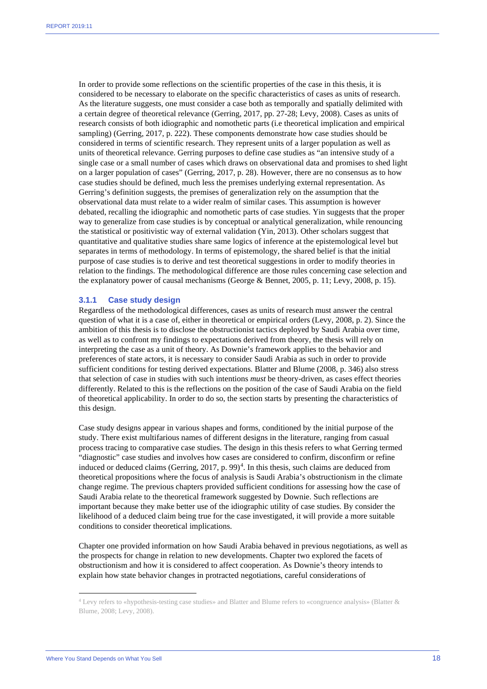In order to provide some reflections on the scientific properties of the case in this thesis, it is considered to be necessary to elaborate on the specific characteristics of cases as units of research. As the literature suggests, one must consider a case both as temporally and spatially delimited with a certain degree of theoretical relevance (Gerring, 2017, pp. 27-28; Levy, 2008). Cases as units of research consists of both idiographic and nomothetic parts (i.e theoretical implication and empirical sampling) (Gerring, 2017, p. 222). These components demonstrate how case studies should be considered in terms of scientific research. They represent units of a larger population as well as units of theoretical relevance. Gerring purposes to define case studies as "an intensive study of a single case or a small number of cases which draws on observational data and promises to shed light on a larger population of cases" (Gerring, 2017, p. 28). However, there are no consensus as to how case studies should be defined, much less the premises underlying external representation. As Gerring's definition suggests, the premises of generalization rely on the assumption that the observational data must relate to a wider realm of similar cases. This assumption is however debated, recalling the idiographic and nomothetic parts of case studies. Yin suggests that the proper way to generalize from case studies is by conceptual or analytical generalization, while renouncing the statistical or positivistic way of external validation (Yin, 2013). Other scholars suggest that quantitative and qualitative studies share same logics of inference at the epistemological level but separates in terms of methodology. In terms of epistemology, the shared belief is that the initial purpose of case studies is to derive and test theoretical suggestions in order to modify theories in relation to the findings. The methodological difference are those rules concerning case selection and the explanatory power of causal mechanisms (George & Bennet, 2005, p. 11; Levy, 2008, p. 15).

#### **3.1.1 Case study design**

Regardless of the methodological differences, cases as units of research must answer the central question of what it is a case of, either in theoretical or empirical orders (Levy, 2008, p. 2). Since the ambition of this thesis is to disclose the obstructionist tactics deployed by Saudi Arabia over time, as well as to confront my findings to expectations derived from theory, the thesis will rely on interpreting the case as a unit of theory. As Downie's framework applies to the behavior and preferences of state actors, it is necessary to consider Saudi Arabia as such in order to provide sufficient conditions for testing derived expectations. Blatter and Blume (2008, p. 346) also stress that selection of case in studies with such intentions *must* be theory-driven, as cases effect theories differently. Related to this is the reflections on the position of the case of Saudi Arabia on the field of theoretical applicability. In order to do so, the section starts by presenting the characteristics of this design.

Case study designs appear in various shapes and forms, conditioned by the initial purpose of the study. There exist multifarious names of different designs in the literature, ranging from casual process tracing to comparative case studies. The design in this thesis refers to what Gerring termed "diagnostic" case studies and involves how cases are considered to confirm, disconfirm or refine induced or deduced claims (Gerring, 2017, p. 99)<sup>[4](#page-18-0)</sup>. In this thesis, such claims are deduced from theoretical propositions where the focus of analysis is Saudi Arabia's obstructionism in the climate change regime. The previous chapters provided sufficient conditions for assessing how the case of Saudi Arabia relate to the theoretical framework suggested by Downie. Such reflections are important because they make better use of the idiographic utility of case studies. By consider the likelihood of a deduced claim being true for the case investigated, it will provide a more suitable conditions to consider theoretical implications.

Chapter one provided information on how Saudi Arabia behaved in previous negotiations, as well as the prospects for change in relation to new developments. Chapter two explored the facets of obstructionism and how it is considered to affect cooperation. As Downie's theory intends to explain how state behavior changes in protracted negotiations, careful considerations of

<span id="page-18-0"></span><sup>4</sup> Levy refers to «hypothesis-testing case studies» and Blatter and Blume refers to «congruence analysis» (Blatter & Blume, 2008; Levy, 2008).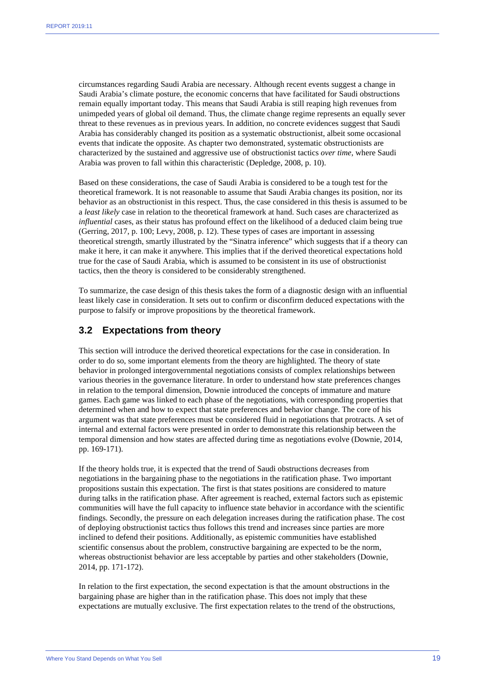circumstances regarding Saudi Arabia are necessary. Although recent events suggest a change in Saudi Arabia's climate posture, the economic concerns that have facilitated for Saudi obstructions remain equally important today. This means that Saudi Arabia is still reaping high revenues from unimpeded years of global oil demand. Thus, the climate change regime represents an equally sever threat to these revenues as in previous years. In addition, no concrete evidences suggest that Saudi Arabia has considerably changed its position as a systematic obstructionist, albeit some occasional events that indicate the opposite. As chapter two demonstrated, systematic obstructionists are characterized by the sustained and aggressive use of obstructionist tactics *over time*, where Saudi Arabia was proven to fall within this characteristic (Depledge, 2008, p. 10).

Based on these considerations, the case of Saudi Arabia is considered to be a tough test for the theoretical framework. It is not reasonable to assume that Saudi Arabia changes its position, nor its behavior as an obstructionist in this respect. Thus, the case considered in this thesis is assumed to be a *least likely* case in relation to the theoretical framework at hand. Such cases are characterized as *influential* cases, as their status has profound effect on the likelihood of a deduced claim being true (Gerring, 2017, p. 100; Levy, 2008, p. 12). These types of cases are important in assessing theoretical strength, smartly illustrated by the "Sinatra inference" which suggests that if a theory can make it here, it can make it anywhere. This implies that if the derived theoretical expectations hold true for the case of Saudi Arabia, which is assumed to be consistent in its use of obstructionist tactics, then the theory is considered to be considerably strengthened.

To summarize, the case design of this thesis takes the form of a diagnostic design with an influential least likely case in consideration. It sets out to confirm or disconfirm deduced expectations with the purpose to falsify or improve propositions by the theoretical framework.

#### **3.2 Expectations from theory**

This section will introduce the derived theoretical expectations for the case in consideration. In order to do so, some important elements from the theory are highlighted. The theory of state behavior in prolonged intergovernmental negotiations consists of complex relationships between various theories in the governance literature. In order to understand how state preferences changes in relation to the temporal dimension, Downie introduced the concepts of immature and mature games. Each game was linked to each phase of the negotiations, with corresponding properties that determined when and how to expect that state preferences and behavior change. The core of his argument was that state preferences must be considered fluid in negotiations that protracts. A set of internal and external factors were presented in order to demonstrate this relationship between the temporal dimension and how states are affected during time as negotiations evolve (Downie, 2014, pp. 169-171).

If the theory holds true, it is expected that the trend of Saudi obstructions decreases from negotiations in the bargaining phase to the negotiations in the ratification phase. Two important propositions sustain this expectation. The first is that states positions are considered to mature during talks in the ratification phase. After agreement is reached, external factors such as epistemic communities will have the full capacity to influence state behavior in accordance with the scientific findings. Secondly, the pressure on each delegation increases during the ratification phase. The cost of deploying obstructionist tactics thus follows this trend and increases since parties are more inclined to defend their positions. Additionally, as epistemic communities have established scientific consensus about the problem, constructive bargaining are expected to be the norm, whereas obstructionist behavior are less acceptable by parties and other stakeholders (Downie, 2014, pp. 171-172).

In relation to the first expectation, the second expectation is that the amount obstructions in the bargaining phase are higher than in the ratification phase. This does not imply that these expectations are mutually exclusive. The first expectation relates to the trend of the obstructions,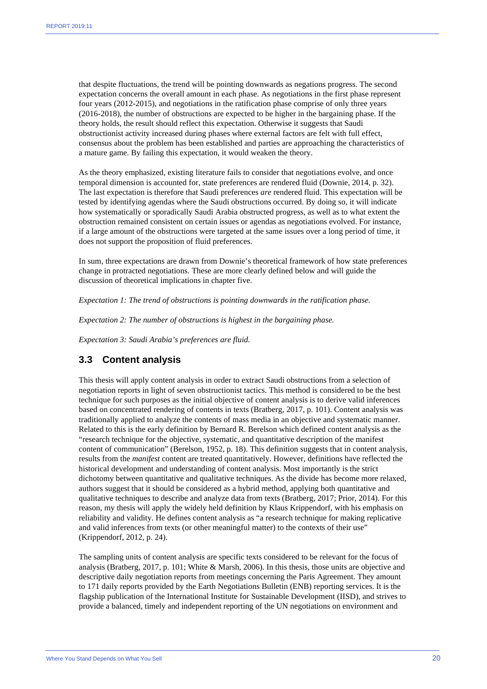that despite fluctuations, the trend will be pointing downwards as negations progress. The second expectation concerns the overall amount in each phase. As negotiations in the first phase represent four years (2012-2015), and negotiations in the ratification phase comprise of only three years (2016-2018), the number of obstructions are expected to be higher in the bargaining phase. If the theory holds, the result should reflect this expectation. Otherwise it suggests that Saudi obstructionist activity increased during phases where external factors are felt with full effect, consensus about the problem has been established and parties are approaching the characteristics of a mature game. By failing this expectation, it would weaken the theory.

As the theory emphasized, existing literature fails to consider that negotiations evolve, and once temporal dimension is accounted for, state preferences are rendered fluid (Downie, 2014, p. 32). The last expectation is therefore that Saudi preferences *are* rendered fluid. This expectation will be tested by identifying agendas where the Saudi obstructions occurred. By doing so, it will indicate how systematically or sporadically Saudi Arabia obstructed progress, as well as to what extent the obstruction remained consistent on certain issues or agendas as negotiations evolved. For instance, if a large amount of the obstructions were targeted at the same issues over a long period of time, it does not support the proposition of fluid preferences.

In sum, three expectations are drawn from Downie's theoretical framework of how state preferences change in protracted negotiations. These are more clearly defined below and will guide the discussion of theoretical implications in chapter five.

*Expectation 1: The trend of obstructions is pointing downwards in the ratification phase.* 

*Expectation 2: The number of obstructions is highest in the bargaining phase.* 

*Expectation 3: Saudi Arabia's preferences are fluid.*

#### **3.3 Content analysis**

This thesis will apply content analysis in order to extract Saudi obstructions from a selection of negotiation reports in light of seven obstructionist tactics. This method is considered to be the best technique for such purposes as the initial objective of content analysis is to derive valid inferences based on concentrated rendering of contents in texts (Bratberg, 2017, p. 101). Content analysis was traditionally applied to analyze the contents of mass media in an objective and systematic manner. Related to this is the early definition by Bernard R. Berelson which defined content analysis as the "research technique for the objective, systematic, and quantitative description of the manifest content of communication" (Berelson, 1952, p. 18). This definition suggests that in content analysis, results from the *manifest* content are treated quantitatively. However, definitions have reflected the historical development and understanding of content analysis. Most importantly is the strict dichotomy between quantitative and qualitative techniques. As the divide has become more relaxed, authors suggest that it should be considered as a hybrid method, applying both quantitative and qualitative techniques to describe and analyze data from texts (Bratberg, 2017; Prior, 2014). For this reason, my thesis will apply the widely held definition by Klaus Krippendorf, with his emphasis on reliability and validity. He defines content analysis as "a research technique for making replicative and valid inferences from texts (or other meaningful matter) to the contexts of their use" (Krippendorf, 2012, p. 24).

The sampling units of content analysis are specific texts considered to be relevant for the focus of analysis (Bratberg, 2017, p. 101; White & Marsh, 2006). In this thesis, those units are objective and descriptive daily negotiation reports from meetings concerning the Paris Agreement. They amount to 171 daily reports provided by the Earth Negotiations Bulletin (ENB) reporting services. It is the flagship publication of the International Institute for Sustainable Development (IISD), and strives to provide a balanced, timely and independent reporting of the UN negotiations on environment and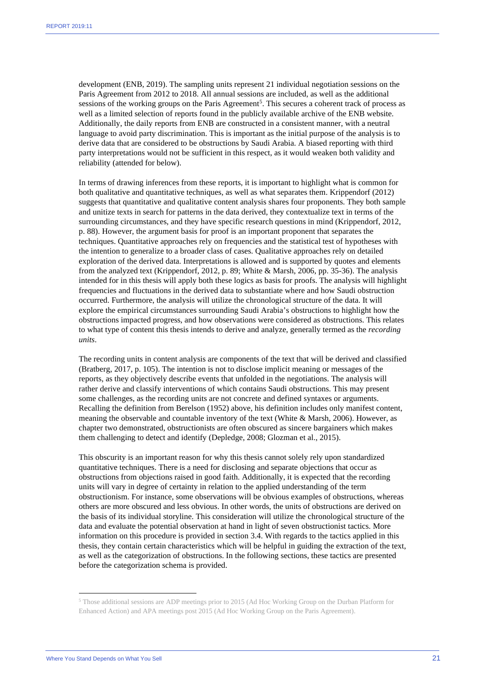development (ENB, 2019). The sampling units represent 21 individual negotiation sessions on the Paris Agreement from 2012 to 2018. All annual sessions are included, as well as the additional sessions of the working groups on the Paris Agreement<sup>5</sup>. This secures a coherent track of process as well as a limited selection of reports found in the publicly available archive of the ENB website. Additionally, the daily reports from ENB are constructed in a consistent manner, with a neutral language to avoid party discrimination. This is important as the initial purpose of the analysis is to derive data that are considered to be obstructions by Saudi Arabia. A biased reporting with third party interpretations would not be sufficient in this respect, as it would weaken both validity and reliability (attended for below).

In terms of drawing inferences from these reports, it is important to highlight what is common for both qualitative and quantitative techniques, as well as what separates them. Krippendorf (2012) suggests that quantitative and qualitative content analysis shares four proponents. They both sample and unitize texts in search for patterns in the data derived, they contextualize text in terms of the surrounding circumstances, and they have specific research questions in mind (Krippendorf, 2012, p. 88). However, the argument basis for proof is an important proponent that separates the techniques. Quantitative approaches rely on frequencies and the statistical test of hypotheses with the intention to generalize to a broader class of cases. Qualitative approaches rely on detailed exploration of the derived data. Interpretations is allowed and is supported by quotes and elements from the analyzed text (Krippendorf, 2012, p. 89; White & Marsh, 2006, pp. 35-36). The analysis intended for in this thesis will apply both these logics as basis for proofs. The analysis will highlight frequencies and fluctuations in the derived data to substantiate where and how Saudi obstruction occurred. Furthermore, the analysis will utilize the chronological structure of the data. It will explore the empirical circumstances surrounding Saudi Arabia's obstructions to highlight how the obstructions impacted progress, and how observations were considered as obstructions. This relates to what type of content this thesis intends to derive and analyze, generally termed as the *recording units*.

The recording units in content analysis are components of the text that will be derived and classified (Bratberg, 2017, p. 105). The intention is not to disclose implicit meaning or messages of the reports, as they objectively describe events that unfolded in the negotiations. The analysis will rather derive and classify interventions of which contains Saudi obstructions. This may present some challenges, as the recording units are not concrete and defined syntaxes or arguments. Recalling the definition from Berelson (1952) above, his definition includes only manifest content, meaning the observable and countable inventory of the text (White & Marsh, 2006). However, as chapter two demonstrated, obstructionists are often obscured as sincere bargainers which makes them challenging to detect and identify (Depledge, 2008; Glozman et al., 2015).

This obscurity is an important reason for why this thesis cannot solely rely upon standardized quantitative techniques. There is a need for disclosing and separate objections that occur as obstructions from objections raised in good faith. Additionally, it is expected that the recording units will vary in degree of certainty in relation to the applied understanding of the term obstructionism. For instance, some observations will be obvious examples of obstructions, whereas others are more obscured and less obvious. In other words, the units of obstructions are derived on the basis of its individual storyline. This consideration will utilize the chronological structure of the data and evaluate the potential observation at hand in light of seven obstructionist tactics. More information on this procedure is provided in section 3.4. With regards to the tactics applied in this thesis, they contain certain characteristics which will be helpful in guiding the extraction of the text, as well as the categorization of obstructions. In the following sections, these tactics are presented before the categorization schema is provided.

<span id="page-21-0"></span><sup>5</sup> Those additional sessions are ADP meetings prior to 2015 (Ad Hoc Working Group on the Durban Platform for Enhanced Action) and APA meetings post 2015 (Ad Hoc Working Group on the Paris Agreement).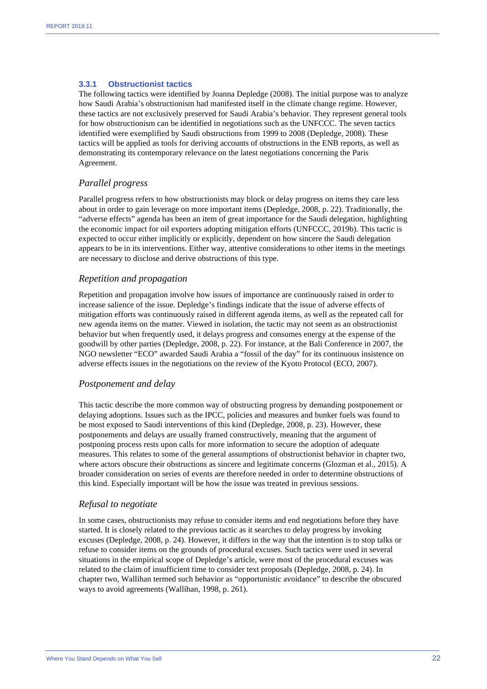#### **3.3.1 Obstructionist tactics**

The following tactics were identified by Joanna Depledge (2008). The initial purpose was to analyze how Saudi Arabia's obstructionism had manifested itself in the climate change regime. However, these tactics are not exclusively preserved for Saudi Arabia's behavior. They represent general tools for how obstructionism can be identified in negotiations such as the UNFCCC. The seven tactics identified were exemplified by Saudi obstructions from 1999 to 2008 (Depledge, 2008). These tactics will be applied as tools for deriving accounts of obstructions in the ENB reports, as well as demonstrating its contemporary relevance on the latest negotiations concerning the Paris Agreement.

#### *Parallel progress*

Parallel progress refers to how obstructionists may block or delay progress on items they care less about in order to gain leverage on more important items (Depledge, 2008, p. 22). Traditionally, the "adverse effects" agenda has been an item of great importance for the Saudi delegation, highlighting the economic impact for oil exporters adopting mitigation efforts (UNFCCC, 2019b). This tactic is expected to occur either implicitly or explicitly, dependent on how sincere the Saudi delegation appears to be in its interventions. Either way, attentive considerations to other items in the meetings are necessary to disclose and derive obstructions of this type.

#### *Repetition and propagation*

Repetition and propagation involve how issues of importance are continuously raised in order to increase salience of the issue. Depledge's findings indicate that the issue of adverse effects of mitigation efforts was continuously raised in different agenda items, as well as the repeated call for new agenda items on the matter. Viewed in isolation, the tactic may not seem as an obstructionist behavior but when frequently used, it delays progress and consumes energy at the expense of the goodwill by other parties (Depledge, 2008, p. 22). For instance, at the Bali Conference in 2007, the NGO newsletter "ECO" awarded Saudi Arabia a "fossil of the day" for its continuous insistence on adverse effects issues in the negotiations on the review of the Kyoto Protocol (ECO, 2007).

#### *Postponement and delay*

This tactic describe the more common way of obstructing progress by demanding postponement or delaying adoptions. Issues such as the IPCC, policies and measures and bunker fuels was found to be most exposed to Saudi interventions of this kind (Depledge, 2008, p. 23). However, these postponements and delays are usually framed constructively, meaning that the argument of postponing process rests upon calls for more information to secure the adoption of adequate measures. This relates to some of the general assumptions of obstructionist behavior in chapter two, where actors obscure their obstructions as sincere and legitimate concerns (Glozman et al., 2015). A broader consideration on series of events are therefore needed in order to determine obstructions of this kind. Especially important will be how the issue was treated in previous sessions.

#### *Refusal to negotiate*

In some cases, obstructionists may refuse to consider items and end negotiations before they have started. It is closely related to the previous tactic as it searches to delay progress by invoking excuses (Depledge, 2008, p. 24). However, it differs in the way that the intention is to stop talks or refuse to consider items on the grounds of procedural excuses. Such tactics were used in several situations in the empirical scope of Depledge's article, were most of the procedural excuses was related to the claim of insufficient time to consider text proposals (Depledge, 2008, p. 24). In chapter two, Wallihan termed such behavior as "opportunistic avoidance" to describe the obscured ways to avoid agreements (Wallihan, 1998, p. 261).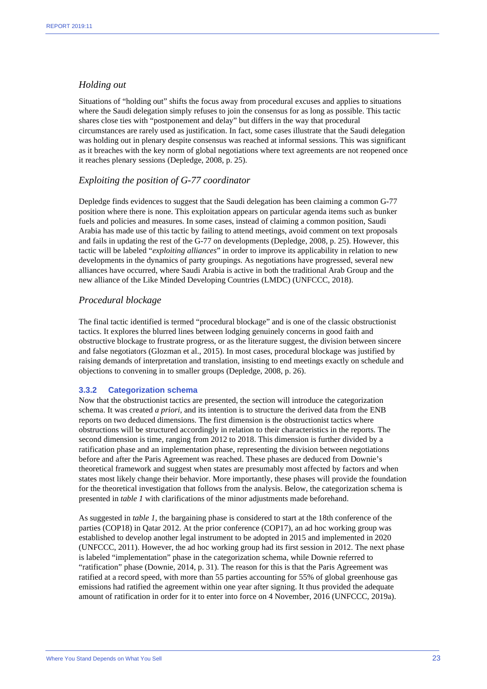#### *Holding out*

Situations of "holding out" shifts the focus away from procedural excuses and applies to situations where the Saudi delegation simply refuses to join the consensus for as long as possible. This tactic shares close ties with "postponement and delay" but differs in the way that procedural circumstances are rarely used as justification. In fact, some cases illustrate that the Saudi delegation was holding out in plenary despite consensus was reached at informal sessions. This was significant as it breaches with the key norm of global negotiations where text agreements are not reopened once it reaches plenary sessions (Depledge, 2008, p. 25).

#### *Exploiting the position of G-77 coordinator*

Depledge finds evidences to suggest that the Saudi delegation has been claiming a common G-77 position where there is none. This exploitation appears on particular agenda items such as bunker fuels and policies and measures. In some cases, instead of claiming a common position, Saudi Arabia has made use of this tactic by failing to attend meetings, avoid comment on text proposals and fails in updating the rest of the G-77 on developments (Depledge, 2008, p. 25). However, this tactic will be labeled "*exploiting alliances*" in order to improve its applicability in relation to new developments in the dynamics of party groupings. As negotiations have progressed, several new alliances have occurred, where Saudi Arabia is active in both the traditional Arab Group and the new alliance of the Like Minded Developing Countries (LMDC) (UNFCCC, 2018).

#### *Procedural blockage*

The final tactic identified is termed "procedural blockage" and is one of the classic obstructionist tactics. It explores the blurred lines between lodging genuinely concerns in good faith and obstructive blockage to frustrate progress, or as the literature suggest, the division between sincere and false negotiators (Glozman et al., 2015). In most cases, procedural blockage was justified by raising demands of interpretation and translation, insisting to end meetings exactly on schedule and objections to convening in to smaller groups (Depledge, 2008, p. 26).

#### **3.3.2 Categorization schema**

Now that the obstructionist tactics are presented, the section will introduce the categorization schema. It was created *a priori,* and its intention is to structure the derived data from the ENB reports on two deduced dimensions. The first dimension is the obstructionist tactics where obstructions will be structured accordingly in relation to their characteristics in the reports. The second dimension is time, ranging from 2012 to 2018. This dimension is further divided by a ratification phase and an implementation phase, representing the division between negotiations before and after the Paris Agreement was reached. These phases are deduced from Downie's theoretical framework and suggest when states are presumably most affected by factors and when states most likely change their behavior. More importantly, these phases will provide the foundation for the theoretical investigation that follows from the analysis. Below, the categorization schema is presented in *table 1* with clarifications of the minor adjustments made beforehand.

As suggested in *table 1,* the bargaining phase is considered to start at the 18th conference of the parties (COP18) in Qatar 2012. At the prior conference (COP17), an ad hoc working group was established to develop another legal instrument to be adopted in 2015 and implemented in 2020 (UNFCCC, 2011). However, the ad hoc working group had its first session in 2012. The next phase is labeled "implementation" phase in the categorization schema, while Downie referred to "ratification" phase (Downie, 2014, p. 31). The reason for this is that the Paris Agreement was ratified at a record speed, with more than 55 parties accounting for 55% of global greenhouse gas emissions had ratified the agreement within one year after signing. It thus provided the adequate amount of ratification in order for it to enter into force on 4 November, 2016 (UNFCCC, 2019a).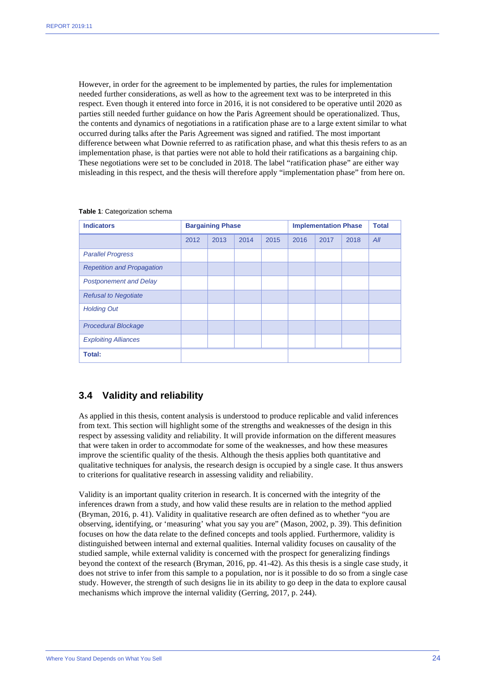However, in order for the agreement to be implemented by parties, the rules for implementation needed further considerations, as well as how to the agreement text was to be interpreted in this respect. Even though it entered into force in 2016, it is not considered to be operative until 2020 as parties still needed further guidance on how the Paris Agreement should be operationalized. Thus, the contents and dynamics of negotiations in a ratification phase are to a large extent similar to what occurred during talks after the Paris Agreement was signed and ratified. The most important difference between what Downie referred to as ratification phase, and what this thesis refers to as an implementation phase, is that parties were not able to hold their ratifications as a bargaining chip. These negotiations were set to be concluded in 2018. The label "ratification phase" are either way misleading in this respect, and the thesis will therefore apply "implementation phase" from here on.

| <b>Indicators</b>                 |      | <b>Bargaining Phase</b> |      |      |      | <b>Implementation Phase</b> |      | <b>Total</b> |
|-----------------------------------|------|-------------------------|------|------|------|-----------------------------|------|--------------|
|                                   | 2012 | 2013                    | 2014 | 2015 | 2016 | 2017                        | 2018 | All          |
| <b>Parallel Progress</b>          |      |                         |      |      |      |                             |      |              |
| <b>Repetition and Propagation</b> |      |                         |      |      |      |                             |      |              |
| <b>Postponement and Delay</b>     |      |                         |      |      |      |                             |      |              |
| <b>Refusal to Negotiate</b>       |      |                         |      |      |      |                             |      |              |
| <b>Holding Out</b>                |      |                         |      |      |      |                             |      |              |
| <b>Procedural Blockage</b>        |      |                         |      |      |      |                             |      |              |
| <b>Exploiting Alliances</b>       |      |                         |      |      |      |                             |      |              |
| <b>Total:</b>                     |      |                         |      |      |      |                             |      |              |

#### **Table 1**: Categorization schema

#### **3.4 Validity and reliability**

As applied in this thesis, content analysis is understood to produce replicable and valid inferences from text. This section will highlight some of the strengths and weaknesses of the design in this respect by assessing validity and reliability. It will provide information on the different measures that were taken in order to accommodate for some of the weaknesses, and how these measures improve the scientific quality of the thesis. Although the thesis applies both quantitative and qualitative techniques for analysis, the research design is occupied by a single case. It thus answers to criterions for qualitative research in assessing validity and reliability.

Validity is an important quality criterion in research. It is concerned with the integrity of the inferences drawn from a study, and how valid these results are in relation to the method applied (Bryman, 2016, p. 41). Validity in qualitative research are often defined as to whether "you are observing, identifying, or 'measuring' what you say you are" (Mason, 2002, p. 39). This definition focuses on how the data relate to the defined concepts and tools applied. Furthermore, validity is distinguished between internal and external qualities. Internal validity focuses on causality of the studied sample, while external validity is concerned with the prospect for generalizing findings beyond the context of the research (Bryman, 2016, pp. 41-42). As this thesis is a single case study, it does not strive to infer from this sample to a population, nor is it possible to do so from a single case study. However, the strength of such designs lie in its ability to go deep in the data to explore causal mechanisms which improve the internal validity (Gerring, 2017, p. 244).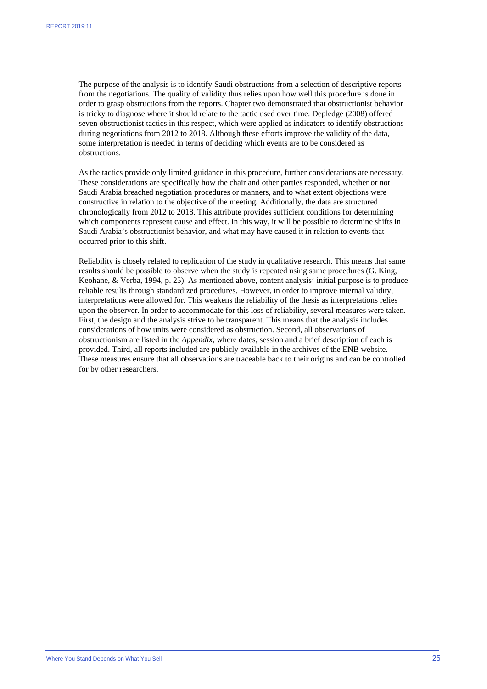The purpose of the analysis is to identify Saudi obstructions from a selection of descriptive reports from the negotiations. The quality of validity thus relies upon how well this procedure is done in order to grasp obstructions from the reports. Chapter two demonstrated that obstructionist behavior is tricky to diagnose where it should relate to the tactic used over time. Depledge (2008) offered seven obstructionist tactics in this respect, which were applied as indicators to identify obstructions during negotiations from 2012 to 2018. Although these efforts improve the validity of the data, some interpretation is needed in terms of deciding which events are to be considered as obstructions.

As the tactics provide only limited guidance in this procedure, further considerations are necessary. These considerations are specifically how the chair and other parties responded, whether or not Saudi Arabia breached negotiation procedures or manners, and to what extent objections were constructive in relation to the objective of the meeting. Additionally, the data are structured chronologically from 2012 to 2018. This attribute provides sufficient conditions for determining which components represent cause and effect. In this way, it will be possible to determine shifts in Saudi Arabia's obstructionist behavior, and what may have caused it in relation to events that occurred prior to this shift.

Reliability is closely related to replication of the study in qualitative research. This means that same results should be possible to observe when the study is repeated using same procedures (G. King, Keohane, & Verba, 1994, p. 25). As mentioned above, content analysis' initial purpose is to produce reliable results through standardized procedures. However, in order to improve internal validity, interpretations were allowed for. This weakens the reliability of the thesis as interpretations relies upon the observer. In order to accommodate for this loss of reliability, several measures were taken. First, the design and the analysis strive to be transparent. This means that the analysis includes considerations of how units were considered as obstruction. Second, all observations of obstructionism are listed in the *Appendix*, where dates, session and a brief description of each is provided. Third, all reports included are publicly available in the archives of the ENB website. These measures ensure that all observations are traceable back to their origins and can be controlled for by other researchers.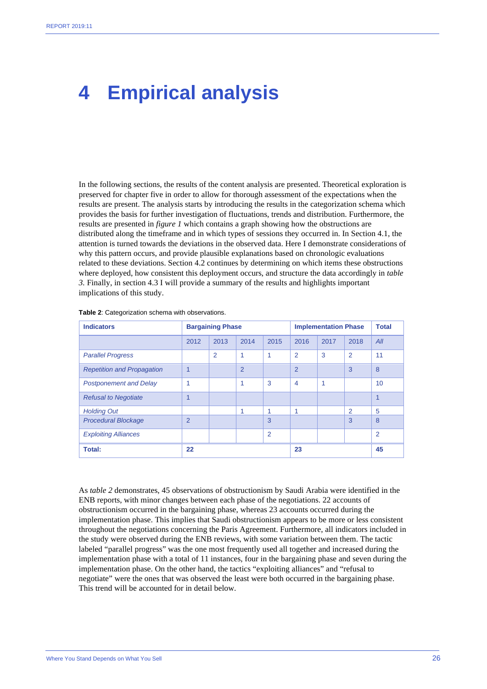## **4 Empirical analysis**

In the following sections, the results of the content analysis are presented. Theoretical exploration is preserved for chapter five in order to allow for thorough assessment of the expectations when the results are present. The analysis starts by introducing the results in the categorization schema which provides the basis for further investigation of fluctuations, trends and distribution. Furthermore, the results are presented in *figure 1* which contains a graph showing how the obstructions are distributed along the timeframe and in which types of sessions they occurred in. In Section 4.1, the attention is turned towards the deviations in the observed data. Here I demonstrate considerations of why this pattern occurs, and provide plausible explanations based on chronologic evaluations related to these deviations. Section 4.2 continues by determining on which items these obstructions where deployed, how consistent this deployment occurs, and structure the data accordingly in *table 3.* Finally, in section 4.3 I will provide a summary of the results and highlights important implications of this study.

| <b>Indicators</b>                 |                         | <b>Bargaining Phase</b> |                |                |                | <b>Implementation Phase</b> |                | Total          |
|-----------------------------------|-------------------------|-------------------------|----------------|----------------|----------------|-----------------------------|----------------|----------------|
|                                   | 2012                    | 2013                    | 2014           | 2015           | 2016           | 2017                        | 2018           | All            |
| <b>Parallel Progress</b>          |                         | $\overline{2}$          | 1              | 1              | $\overline{2}$ | 3                           | $\overline{2}$ | 11             |
| <b>Repetition and Propagation</b> | 1                       |                         | $\overline{2}$ |                | $\overline{2}$ |                             | 3              | 8              |
| <b>Postponement and Delay</b>     | 1                       |                         | 1              | 3              | $\overline{4}$ | 1                           |                | 10             |
| <b>Refusal to Negotiate</b>       | $\overline{\mathbf{A}}$ |                         |                |                |                |                             |                | $\mathbf{1}$   |
| <b>Holding Out</b>                |                         |                         | 1              | 1              | 1              |                             | $\overline{2}$ | 5              |
| <b>Procedural Blockage</b>        | $\overline{2}$          |                         |                | 3              |                |                             | 3              | 8              |
| <b>Exploiting Alliances</b>       |                         |                         |                | $\overline{2}$ |                |                             |                | $\overline{2}$ |
| <b>Total:</b>                     | 22                      |                         |                |                | 23             |                             |                | 45             |

**Table 2**: Categorization schema with observations.

As *table 2* demonstrates, 45 observations of obstructionism by Saudi Arabia were identified in the ENB reports, with minor changes between each phase of the negotiations. 22 accounts of obstructionism occurred in the bargaining phase, whereas 23 accounts occurred during the implementation phase. This implies that Saudi obstructionism appears to be more or less consistent throughout the negotiations concerning the Paris Agreement. Furthermore, all indicators included in the study were observed during the ENB reviews, with some variation between them. The tactic labeled "parallel progress" was the one most frequently used all together and increased during the implementation phase with a total of 11 instances, four in the bargaining phase and seven during the implementation phase. On the other hand, the tactics "exploiting alliances" and "refusal to negotiate" were the ones that was observed the least were both occurred in the bargaining phase. This trend will be accounted for in detail below.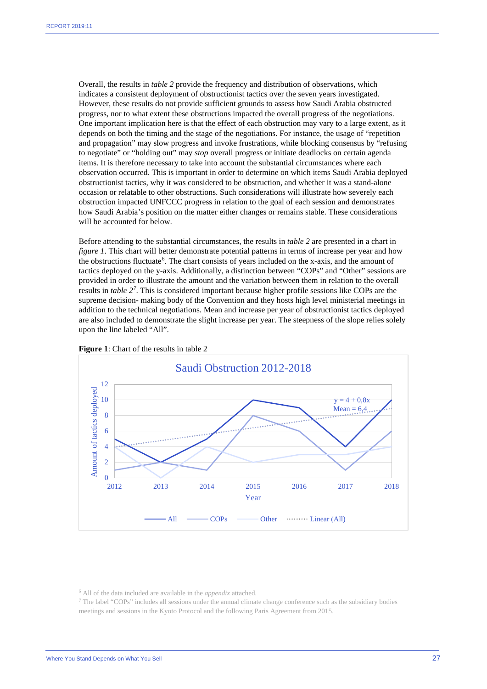Overall, the results in *table 2* provide the frequency and distribution of observations, which indicates a consistent deployment of obstructionist tactics over the seven years investigated. However, these results do not provide sufficient grounds to assess how Saudi Arabia obstructed progress, nor to what extent these obstructions impacted the overall progress of the negotiations. One important implication here is that the effect of each obstruction may vary to a large extent, as it depends on both the timing and the stage of the negotiations. For instance, the usage of "repetition and propagation" may slow progress and invoke frustrations, while blocking consensus by "refusing to negotiate" or "holding out" may *stop* overall progress or initiate deadlocks on certain agenda items. It is therefore necessary to take into account the substantial circumstances where each observation occurred. This is important in order to determine on which items Saudi Arabia deployed obstructionist tactics, why it was considered to be obstruction, and whether it was a stand-alone occasion or relatable to other obstructions. Such considerations will illustrate how severely each obstruction impacted UNFCCC progress in relation to the goal of each session and demonstrates how Saudi Arabia's position on the matter either changes or remains stable. These considerations will be accounted for below.

Before attending to the substantial circumstances, the results in *table 2* are presented in a chart in *figure 1*. This chart will better demonstrate potential patterns in terms of increase per year and how the obstructions fluctuate<sup>[6](#page-27-0)</sup>. The chart consists of years included on the x-axis, and the amount of tactics deployed on the y-axis. Additionally, a distinction between "COPs" and "Other" sessions are provided in order to illustrate the amount and the variation between them in relation to the overall results in *table 2[7](#page-27-1)* . This is considered important because higher profile sessions like COPs are the supreme decision- making body of the Convention and they hosts high level ministerial meetings in addition to the technical negotiations. Mean and increase per year of obstructionist tactics deployed are also included to demonstrate the slight increase per year. The steepness of the slope relies solely upon the line labeled "All".





<span id="page-27-1"></span><span id="page-27-0"></span><sup>6</sup> All of the data included are available in the *appendix* attached. 7 The label "COPs" includes all sessions under the annual climate change conference such as the subsidiary bodies meetings and sessions in the Kyoto Protocol and the following Paris Agreement from 2015.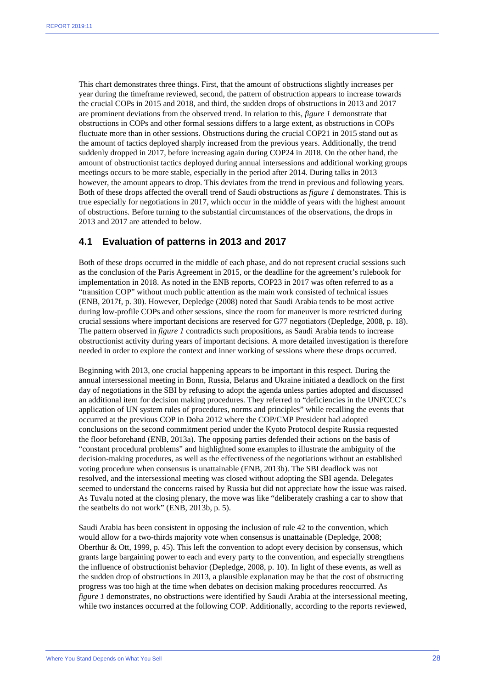This chart demonstrates three things. First, that the amount of obstructions slightly increases per year during the timeframe reviewed, second, the pattern of obstruction appears to increase towards the crucial COPs in 2015 and 2018, and third, the sudden drops of obstructions in 2013 and 2017 are prominent deviations from the observed trend. In relation to this, *figure 1* demonstrate that obstructions in COPs and other formal sessions differs to a large extent, as obstructions in COPs fluctuate more than in other sessions. Obstructions during the crucial COP21 in 2015 stand out as the amount of tactics deployed sharply increased from the previous years. Additionally, the trend suddenly dropped in 2017, before increasing again during COP24 in 2018. On the other hand, the amount of obstructionist tactics deployed during annual intersessions and additional working groups meetings occurs to be more stable, especially in the period after 2014. During talks in 2013 however, the amount appears to drop. This deviates from the trend in previous and following years. Both of these drops affected the overall trend of Saudi obstructions as *figure 1* demonstrates. This is true especially for negotiations in 2017, which occur in the middle of years with the highest amount of obstructions. Before turning to the substantial circumstances of the observations, the drops in 2013 and 2017 are attended to below.

#### **4.1 Evaluation of patterns in 2013 and 2017**

Both of these drops occurred in the middle of each phase, and do not represent crucial sessions such as the conclusion of the Paris Agreement in 2015, or the deadline for the agreement's rulebook for implementation in 2018. As noted in the ENB reports, COP23 in 2017 was often referred to as a "transition COP" without much public attention as the main work consisted of technical issues (ENB, 2017f, p. 30). However, Depledge (2008) noted that Saudi Arabia tends to be most active during low-profile COPs and other sessions, since the room for maneuver is more restricted during crucial sessions where important decisions are reserved for G77 negotiators (Depledge, 2008, p. 18). The pattern observed in *figure 1* contradicts such propositions, as Saudi Arabia tends to increase obstructionist activity during years of important decisions. A more detailed investigation is therefore needed in order to explore the context and inner working of sessions where these drops occurred.

Beginning with 2013, one crucial happening appears to be important in this respect. During the annual intersessional meeting in Bonn, Russia, Belarus and Ukraine initiated a deadlock on the first day of negotiations in the SBI by refusing to adopt the agenda unless parties adopted and discussed an additional item for decision making procedures. They referred to "deficiencies in the UNFCCC's application of UN system rules of procedures, norms and principles" while recalling the events that occurred at the previous COP in Doha 2012 where the COP/CMP President had adopted conclusions on the second commitment period under the Kyoto Protocol despite Russia requested the floor beforehand (ENB, 2013a). The opposing parties defended their actions on the basis of "constant procedural problems" and highlighted some examples to illustrate the ambiguity of the decision-making procedures, as well as the effectiveness of the negotiations without an established voting procedure when consensus is unattainable (ENB, 2013b). The SBI deadlock was not resolved, and the intersessional meeting was closed without adopting the SBI agenda. Delegates seemed to understand the concerns raised by Russia but did not appreciate how the issue was raised. As Tuvalu noted at the closing plenary, the move was like "deliberately crashing a car to show that the seatbelts do not work" (ENB, 2013b, p. 5).

Saudi Arabia has been consistent in opposing the inclusion of rule 42 to the convention, which would allow for a two-thirds majority vote when consensus is unattainable (Depledge, 2008; Oberthür & Ott, 1999, p. 45). This left the convention to adopt every decision by consensus, which grants large bargaining power to each and every party to the convention, and especially strengthens the influence of obstructionist behavior (Depledge, 2008, p. 10). In light of these events, as well as the sudden drop of obstructions in 2013, a plausible explanation may be that the cost of obstructing progress was too high at the time when debates on decision making procedures reoccurred. As *figure 1* demonstrates, no obstructions were identified by Saudi Arabia at the intersessional meeting, while two instances occurred at the following COP. Additionally, according to the reports reviewed,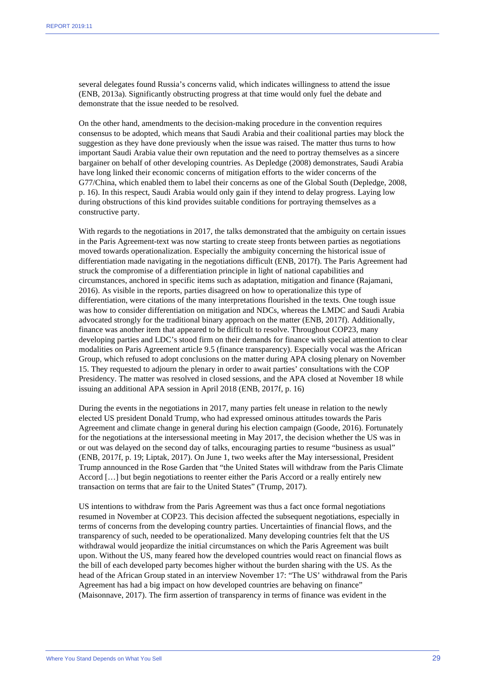several delegates found Russia's concerns valid, which indicates willingness to attend the issue (ENB, 2013a). Significantly obstructing progress at that time would only fuel the debate and demonstrate that the issue needed to be resolved.

On the other hand, amendments to the decision-making procedure in the convention requires consensus to be adopted, which means that Saudi Arabia and their coalitional parties may block the suggestion as they have done previously when the issue was raised. The matter thus turns to how important Saudi Arabia value their own reputation and the need to portray themselves as a sincere bargainer on behalf of other developing countries. As Depledge (2008) demonstrates, Saudi Arabia have long linked their economic concerns of mitigation efforts to the wider concerns of the G77/China, which enabled them to label their concerns as one of the Global South (Depledge, 2008, p. 16). In this respect, Saudi Arabia would only gain if they intend to delay progress. Laying low during obstructions of this kind provides suitable conditions for portraying themselves as a constructive party.

With regards to the negotiations in 2017, the talks demonstrated that the ambiguity on certain issues in the Paris Agreement-text was now starting to create steep fronts between parties as negotiations moved towards operationalization. Especially the ambiguity concerning the historical issue of differentiation made navigating in the negotiations difficult (ENB, 2017f). The Paris Agreement had struck the compromise of a differentiation principle in light of national capabilities and circumstances, anchored in specific items such as adaptation, mitigation and finance (Rajamani, 2016). As visible in the reports, parties disagreed on how to operationalize this type of differentiation, were citations of the many interpretations flourished in the texts. One tough issue was how to consider differentiation on mitigation and NDCs, whereas the LMDC and Saudi Arabia advocated strongly for the traditional binary approach on the matter (ENB, 2017f). Additionally, finance was another item that appeared to be difficult to resolve. Throughout COP23, many developing parties and LDC's stood firm on their demands for finance with special attention to clear modalities on Paris Agreement article 9.5 (finance transparency). Especially vocal was the African Group, which refused to adopt conclusions on the matter during APA closing plenary on November 15. They requested to adjourn the plenary in order to await parties' consultations with the COP Presidency. The matter was resolved in closed sessions, and the APA closed at November 18 while issuing an additional APA session in April 2018 (ENB, 2017f, p. 16)

During the events in the negotiations in 2017, many parties felt unease in relation to the newly elected US president Donald Trump, who had expressed ominous attitudes towards the Paris Agreement and climate change in general during his election campaign (Goode, 2016). Fortunately for the negotiations at the intersessional meeting in May 2017, the decision whether the US was in or out was delayed on the second day of talks, encouraging parties to resume "business as usual" (ENB, 2017f, p. 19; Liptak, 2017). On June 1, two weeks after the May intersessional, President Trump announced in the Rose Garden that "the United States will withdraw from the Paris Climate Accord […] but begin negotiations to reenter either the Paris Accord or a really entirely new transaction on terms that are fair to the United States" (Trump, 2017).

US intentions to withdraw from the Paris Agreement was thus a fact once formal negotiations resumed in November at COP23. This decision affected the subsequent negotiations, especially in terms of concerns from the developing country parties. Uncertainties of financial flows, and the transparency of such, needed to be operationalized. Many developing countries felt that the US withdrawal would jeopardize the initial circumstances on which the Paris Agreement was built upon. Without the US, many feared how the developed countries would react on financial flows as the bill of each developed party becomes higher without the burden sharing with the US. As the head of the African Group stated in an interview November 17: "The US' withdrawal from the Paris Agreement has had a big impact on how developed countries are behaving on finance" (Maisonnave, 2017). The firm assertion of transparency in terms of finance was evident in the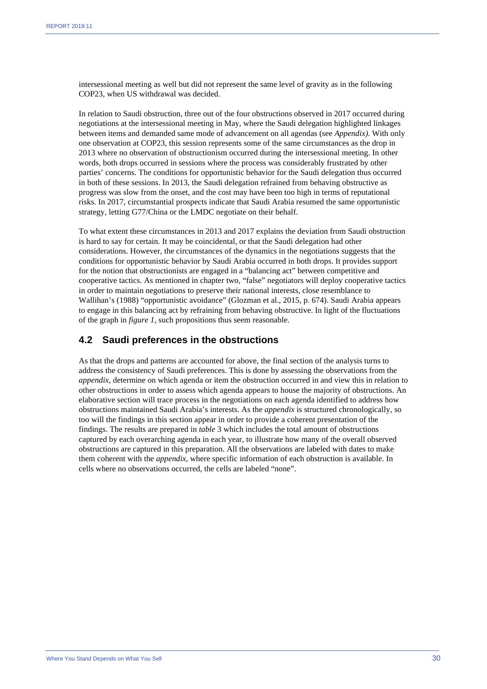intersessional meeting as well but did not represent the same level of gravity as in the following COP23, when US withdrawal was decided.

In relation to Saudi obstruction, three out of the four obstructions observed in 2017 occurred during negotiations at the intersessional meeting in May, where the Saudi delegation highlighted linkages between items and demanded same mode of advancement on all agendas (see *Appendix).* With only one observation at COP23, this session represents some of the same circumstances as the drop in 2013 where no observation of obstructionism occurred during the intersessional meeting. In other words, both drops occurred in sessions where the process was considerably frustrated by other parties' concerns. The conditions for opportunistic behavior for the Saudi delegation thus occurred in both of these sessions. In 2013, the Saudi delegation refrained from behaving obstructive as progress was slow from the onset, and the cost may have been too high in terms of reputational risks. In 2017, circumstantial prospects indicate that Saudi Arabia resumed the same opportunistic strategy, letting G77/China or the LMDC negotiate on their behalf.

To what extent these circumstances in 2013 and 2017 explains the deviation from Saudi obstruction is hard to say for certain. It may be coincidental, or that the Saudi delegation had other considerations. However, the circumstances of the dynamics in the negotiations suggests that the conditions for opportunistic behavior by Saudi Arabia occurred in both drops. It provides support for the notion that obstructionists are engaged in a "balancing act" between competitive and cooperative tactics. As mentioned in chapter two, "false" negotiators will deploy cooperative tactics in order to maintain negotiations to preserve their national interests, close resemblance to Wallihan's (1988) "opportunistic avoidance" (Glozman et al., 2015, p. 674). Saudi Arabia appears to engage in this balancing act by refraining from behaving obstructive. In light of the fluctuations of the graph in *figure 1*, such propositions thus seem reasonable.

#### **4.2 Saudi preferences in the obstructions**

As that the drops and patterns are accounted for above, the final section of the analysis turns to address the consistency of Saudi preferences. This is done by assessing the observations from the *appendix*, determine on which agenda or item the obstruction occurred in and view this in relation to other obstructions in order to assess which agenda appears to house the majority of obstructions. An elaborative section will trace process in the negotiations on each agenda identified to address how obstructions maintained Saudi Arabia's interests. As the *appendix* is structured chronologically, so too will the findings in this section appear in order to provide a coherent presentation of the findings. The results are prepared in *table* 3 which includes the total amount of obstructions captured by each overarching agenda in each year, to illustrate how many of the overall observed obstructions are captured in this preparation. All the observations are labeled with dates to make them coherent with the *appendix,* where specific information of each obstruction is available. In cells where no observations occurred, the cells are labeled "none".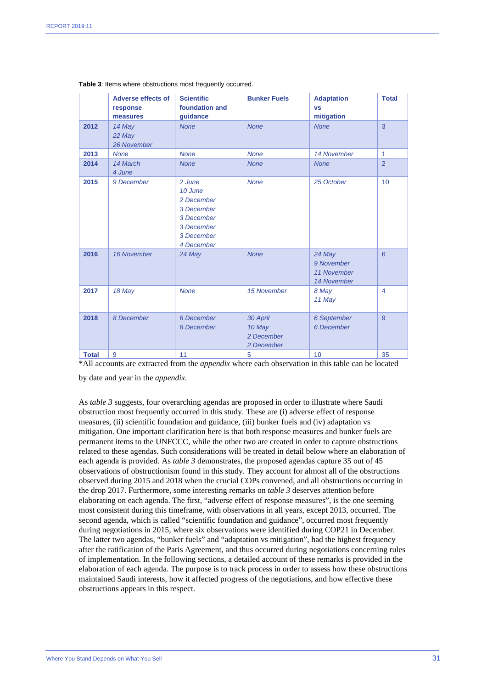|              | <b>Adverse effects of</b><br>response<br>measures | <b>Scientific</b><br>foundation and<br>guidance                                                       | <b>Bunker Fuels</b>                            | <b>Adaptation</b><br><b>VS</b><br>mitigation       | <b>Total</b>   |
|--------------|---------------------------------------------------|-------------------------------------------------------------------------------------------------------|------------------------------------------------|----------------------------------------------------|----------------|
| 2012         | 14 May<br>22 May<br>26 November                   | <b>None</b>                                                                                           | <b>None</b>                                    | <b>None</b>                                        | 3              |
| 2013         | <b>None</b>                                       | <b>None</b>                                                                                           | <b>None</b>                                    | 14 November                                        | $\mathbf{1}$   |
| 2014         | 14 March<br>4 June                                | <b>None</b>                                                                                           | <b>None</b>                                    | <b>None</b>                                        | $\overline{2}$ |
| 2015         | 9 December                                        | 2 June<br>10 June<br>2 December<br>3 December<br>3 December<br>3 December<br>3 December<br>4 December | <b>None</b>                                    | 25 October                                         | 10             |
| 2016         | 16 November                                       | 24 May                                                                                                | <b>None</b>                                    | 24 May<br>9 November<br>11 November<br>14 November | 6              |
| 2017         | 18 May                                            | <b>None</b>                                                                                           | 15 November                                    | 8 May<br>11 May                                    | $\overline{4}$ |
| 2018         | 8 December                                        | 6 December<br>8 December                                                                              | 30 April<br>10 May<br>2 December<br>2 December | 6 September<br>6 December                          | 9              |
| <b>Total</b> | 9                                                 | 11                                                                                                    | 5                                              | 10                                                 | 35             |

#### **Table 3**: Items where obstructions most frequently occurred.

\*All accounts are extracted from the *appendix* where each observation in this table can be located

by date and year in the *appendix*.

As *table 3* suggests, four overarching agendas are proposed in order to illustrate where Saudi obstruction most frequently occurred in this study. These are (i) adverse effect of response measures, (ii) scientific foundation and guidance, (iii) bunker fuels and (iv) adaptation vs mitigation. One important clarification here is that both response measures and bunker fuels are permanent items to the UNFCCC, while the other two are created in order to capture obstructions related to these agendas. Such considerations will be treated in detail below where an elaboration of each agenda is provided. As *table 3* demonstrates, the proposed agendas capture 35 out of 45 observations of obstructionism found in this study. They account for almost all of the obstructions observed during 2015 and 2018 when the crucial COPs convened, and all obstructions occurring in the drop 2017. Furthermore, some interesting remarks on *table 3* deserves attention before elaborating on each agenda. The first, "adverse effect of response measures", is the one seeming most consistent during this timeframe, with observations in all years, except 2013, occurred. The second agenda, which is called "scientific foundation and guidance", occurred most frequently during negotiations in 2015, where six observations were identified during COP21 in December. The latter two agendas, "bunker fuels" and "adaptation vs mitigation", had the highest frequency after the ratification of the Paris Agreement, and thus occurred during negotiations concerning rules of implementation. In the following sections, a detailed account of these remarks is provided in the elaboration of each agenda. The purpose is to track process in order to assess how these obstructions maintained Saudi interests, how it affected progress of the negotiations, and how effective these obstructions appears in this respect.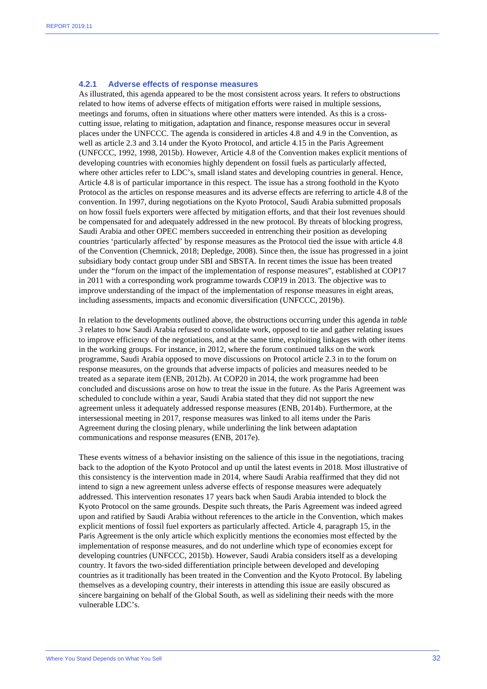#### **4.2.1 Adverse effects of response measures**

As illustrated, this agenda appeared to be the most consistent across years. It refers to obstructions related to how items of adverse effects of mitigation efforts were raised in multiple sessions, meetings and forums, often in situations where other matters were intended. As this is a crosscutting issue, relating to mitigation, adaptation and finance, response measures occur in several places under the UNFCCC. The agenda is considered in articles 4.8 and 4.9 in the Convention, as well as article 2.3 and 3.14 under the Kyoto Protocol, and article 4.15 in the Paris Agreement (UNFCCC, 1992, 1998, 2015b). However, Article 4.8 of the Convention makes explicit mentions of developing countries with economies highly dependent on fossil fuels as particularly affected, where other articles refer to LDC's, small island states and developing countries in general. Hence, Article 4.8 is of particular importance in this respect. The issue has a strong foothold in the Kyoto Protocol as the articles on response measures and its adverse effects are referring to article 4.8 of the convention. In 1997, during negotiations on the Kyoto Protocol, Saudi Arabia submitted proposals on how fossil fuels exporters were affected by mitigation efforts, and that their lost revenues should be compensated for and adequately addressed in the new protocol. By threats of blocking progress, Saudi Arabia and other OPEC members succeeded in entrenching their position as developing countries 'particularly affected' by response measures as the Protocol tied the issue with article 4.8 of the Convention (Chemnick, 2018; Depledge, 2008). Since then, the issue has progressed in a joint subsidiary body contact group under SBI and SBSTA. In recent times the issue has been treated under the "forum on the impact of the implementation of response measures", established at COP17 in 2011 with a corresponding work programme towards COP19 in 2013. The objective was to improve understanding of the impact of the implementation of response measures in eight areas, including assessments, impacts and economic diversification (UNFCCC, 2019b).

In relation to the developments outlined above, the obstructions occurring under this agenda in *table 3* relates to how Saudi Arabia refused to consolidate work, opposed to tie and gather relating issues to improve efficiency of the negotiations, and at the same time, exploiting linkages with other items in the working groups. For instance, in 2012, where the forum continued talks on the work programme, Saudi Arabia opposed to move discussions on Protocol article 2.3 in to the forum on response measures, on the grounds that adverse impacts of policies and measures needed to be treated as a separate item (ENB, 2012b). At COP20 in 2014, the work programme had been concluded and discussions arose on how to treat the issue in the future. As the Paris Agreement was scheduled to conclude within a year, Saudi Arabia stated that they did not support the new agreement unless it adequately addressed response measures (ENB, 2014b). Furthermore, at the intersessional meeting in 2017, response measures was linked to all items under the Paris Agreement during the closing plenary, while underlining the link between adaptation communications and response measures (ENB, 2017e).

These events witness of a behavior insisting on the salience of this issue in the negotiations, tracing back to the adoption of the Kyoto Protocol and up until the latest events in 2018. Most illustrative of this consistency is the intervention made in 2014, where Saudi Arabia reaffirmed that they did not intend to sign a new agreement unless adverse effects of response measures were adequately addressed. This intervention resonates 17 years back when Saudi Arabia intended to block the Kyoto Protocol on the same grounds. Despite such threats, the Paris Agreement was indeed agreed upon and ratified by Saudi Arabia without references to the article in the Convention, which makes explicit mentions of fossil fuel exporters as particularly affected. Article 4, paragraph 15, in the Paris Agreement is the only article which explicitly mentions the economies most effected by the implementation of response measures, and do not underline which type of economies except for developing countries (UNFCCC, 2015b). However, Saudi Arabia considers itself as a developing country. It favors the two-sided differentiation principle between developed and developing countries as it traditionally has been treated in the Convention and the Kyoto Protocol. By labeling themselves as a developing country, their interests in attending this issue are easily obscured as sincere bargaining on behalf of the Global South, as well as sidelining their needs with the more vulnerable LDC's.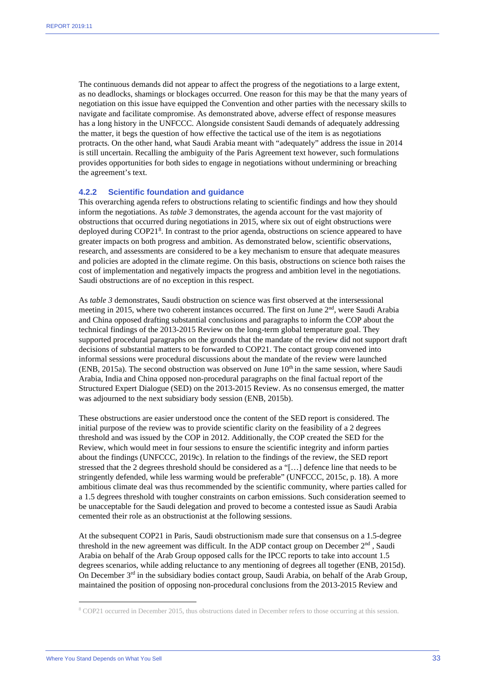The continuous demands did not appear to affect the progress of the negotiations to a large extent, as no deadlocks, shamings or blockages occurred. One reason for this may be that the many years of negotiation on this issue have equipped the Convention and other parties with the necessary skills to navigate and facilitate compromise. As demonstrated above, adverse effect of response measures has a long history in the UNFCCC. Alongside consistent Saudi demands of adequately addressing the matter, it begs the question of how effective the tactical use of the item is as negotiations protracts. On the other hand, what Saudi Arabia meant with "adequately" address the issue in 2014 is still uncertain. Recalling the ambiguity of the Paris Agreement text however, such formulations provides opportunities for both sides to engage in negotiations without undermining or breaching the agreement's text.

#### **4.2.2 Scientific foundation and guidance**

This overarching agenda refers to obstructions relating to scientific findings and how they should inform the negotiations. As *table 3* demonstrates, the agenda account for the vast majority of obstructions that occurred during negotiations in 2015, where six out of eight obstructions were deployed during COP21<sup>[8](#page-33-0)</sup>. In contrast to the prior agenda, obstructions on science appeared to have greater impacts on both progress and ambition. As demonstrated below, scientific observations, research, and assessments are considered to be a key mechanism to ensure that adequate measures and policies are adopted in the climate regime. On this basis, obstructions on science both raises the cost of implementation and negatively impacts the progress and ambition level in the negotiations. Saudi obstructions are of no exception in this respect.

As *table 3* demonstrates, Saudi obstruction on science was first observed at the intersessional meeting in 2015, where two coherent instances occurred. The first on June  $2<sup>nd</sup>$ , were Saudi Arabia and China opposed drafting substantial conclusions and paragraphs to inform the COP about the technical findings of the 2013-2015 Review on the long-term global temperature goal. They supported procedural paragraphs on the grounds that the mandate of the review did not support draft decisions of substantial matters to be forwarded to COP21. The contact group convened into informal sessions were procedural discussions about the mandate of the review were launched (ENB, 2015a). The second obstruction was observed on June  $10<sup>th</sup>$  in the same session, where Saudi Arabia, India and China opposed non-procedural paragraphs on the final factual report of the Structured Expert Dialogue (SED) on the 2013-2015 Review. As no consensus emerged, the matter was adjourned to the next subsidiary body session (ENB, 2015b).

These obstructions are easier understood once the content of the SED report is considered. The initial purpose of the review was to provide scientific clarity on the feasibility of a 2 degrees threshold and was issued by the COP in 2012. Additionally, the COP created the SED for the Review, which would meet in four sessions to ensure the scientific integrity and inform parties about the findings (UNFCCC, 2019c). In relation to the findings of the review, the SED report stressed that the 2 degrees threshold should be considered as a "[…] defence line that needs to be stringently defended, while less warming would be preferable" (UNFCCC, 2015c, p. 18). A more ambitious climate deal was thus recommended by the scientific community, where parties called for a 1.5 degrees threshold with tougher constraints on carbon emissions. Such consideration seemed to be unacceptable for the Saudi delegation and proved to become a contested issue as Saudi Arabia cemented their role as an obstructionist at the following sessions.

At the subsequent COP21 in Paris, Saudi obstructionism made sure that consensus on a 1.5-degree threshold in the new agreement was difficult. In the ADP contact group on December 2<sup>nd</sup>, Saudi Arabia on behalf of the Arab Group opposed calls for the IPCC reports to take into account 1.5 degrees scenarios, while adding reluctance to any mentioning of degrees all together (ENB, 2015d). On December  $3<sup>rd</sup>$  in the subsidiary bodies contact group, Saudi Arabia, on behalf of the Arab Group, maintained the position of opposing non-procedural conclusions from the 2013-2015 Review and

<span id="page-33-0"></span><sup>8</sup> COP21 occurred in December 2015, thus obstructions dated in December refers to those occurring at this session.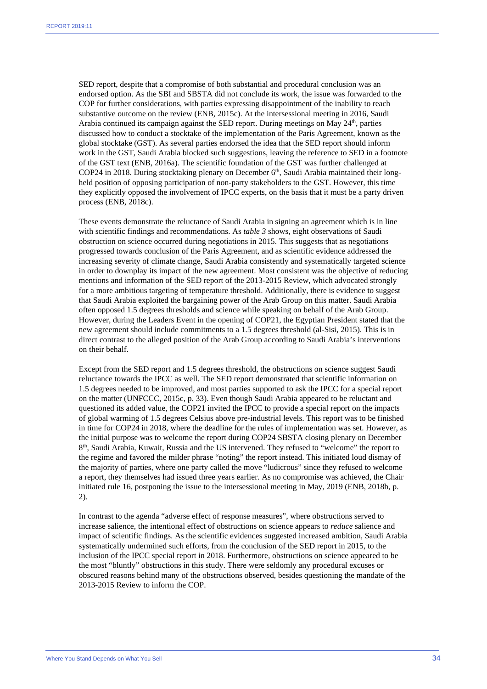SED report, despite that a compromise of both substantial and procedural conclusion was an endorsed option. As the SBI and SBSTA did not conclude its work, the issue was forwarded to the COP for further considerations, with parties expressing disappointment of the inability to reach substantive outcome on the review (ENB, 2015c). At the intersessional meeting in 2016, Saudi Arabia continued its campaign against the SED report. During meetings on May  $24<sup>th</sup>$ , parties discussed how to conduct a stocktake of the implementation of the Paris Agreement, known as the global stocktake (GST). As several parties endorsed the idea that the SED report should inform work in the GST, Saudi Arabia blocked such suggestions, leaving the reference to SED in a footnote of the GST text (ENB, 2016a). The scientific foundation of the GST was further challenged at COP24 in 2018. During stocktaking plenary on December 6<sup>th</sup>, Saudi Arabia maintained their longheld position of opposing participation of non-party stakeholders to the GST. However, this time they explicitly opposed the involvement of IPCC experts, on the basis that it must be a party driven process (ENB, 2018c).

These events demonstrate the reluctance of Saudi Arabia in signing an agreement which is in line with scientific findings and recommendations. As *table 3* shows, eight observations of Saudi obstruction on science occurred during negotiations in 2015. This suggests that as negotiations progressed towards conclusion of the Paris Agreement, and as scientific evidence addressed the increasing severity of climate change, Saudi Arabia consistently and systematically targeted science in order to downplay its impact of the new agreement. Most consistent was the objective of reducing mentions and information of the SED report of the 2013-2015 Review, which advocated strongly for a more ambitious targeting of temperature threshold. Additionally, there is evidence to suggest that Saudi Arabia exploited the bargaining power of the Arab Group on this matter. Saudi Arabia often opposed 1.5 degrees thresholds and science while speaking on behalf of the Arab Group. However, during the Leaders Event in the opening of COP21, the Egyptian President stated that the new agreement should include commitments to a 1.5 degrees threshold (al-Sisi, 2015). This is in direct contrast to the alleged position of the Arab Group according to Saudi Arabia's interventions on their behalf.

Except from the SED report and 1.5 degrees threshold, the obstructions on science suggest Saudi reluctance towards the IPCC as well. The SED report demonstrated that scientific information on 1.5 degrees needed to be improved, and most parties supported to ask the IPCC for a special report on the matter (UNFCCC, 2015c, p. 33). Even though Saudi Arabia appeared to be reluctant and questioned its added value, the COP21 invited the IPCC to provide a special report on the impacts of global warming of 1.5 degrees Celsius above pre-industrial levels. This report was to be finished in time for COP24 in 2018, where the deadline for the rules of implementation was set. However, as the initial purpose was to welcome the report during COP24 SBSTA closing plenary on December 8th, Saudi Arabia, Kuwait, Russia and the US intervened. They refused to "welcome" the report to the regime and favored the milder phrase "noting" the report instead. This initiated loud dismay of the majority of parties, where one party called the move "ludicrous" since they refused to welcome a report, they themselves had issued three years earlier. As no compromise was achieved, the Chair initiated rule 16, postponing the issue to the intersessional meeting in May, 2019 (ENB, 2018b, p. 2).

In contrast to the agenda "adverse effect of response measures", where obstructions served to increase salience, the intentional effect of obstructions on science appears to *reduce* salience and impact of scientific findings. As the scientific evidences suggested increased ambition, Saudi Arabia systematically undermined such efforts, from the conclusion of the SED report in 2015, to the inclusion of the IPCC special report in 2018. Furthermore, obstructions on science appeared to be the most "bluntly" obstructions in this study. There were seldomly any procedural excuses or obscured reasons behind many of the obstructions observed, besides questioning the mandate of the 2013-2015 Review to inform the COP.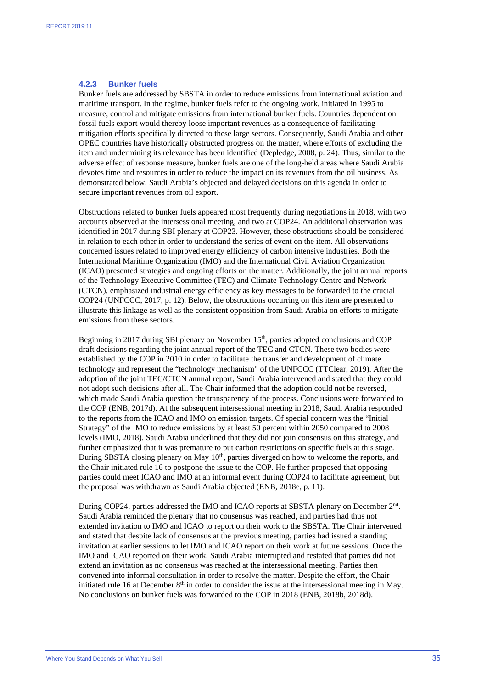#### **4.2.3 Bunker fuels**

Bunker fuels are addressed by SBSTA in order to reduce emissions from international aviation and maritime transport. In the regime, bunker fuels refer to the ongoing work, initiated in 1995 to measure, control and mitigate emissions from international bunker fuels. Countries dependent on fossil fuels export would thereby loose important revenues as a consequence of facilitating mitigation efforts specifically directed to these large sectors. Consequently, Saudi Arabia and other OPEC countries have historically obstructed progress on the matter, where efforts of excluding the item and undermining its relevance has been identified (Depledge, 2008, p. 24). Thus, similar to the adverse effect of response measure, bunker fuels are one of the long-held areas where Saudi Arabia devotes time and resources in order to reduce the impact on its revenues from the oil business. As demonstrated below, Saudi Arabia's objected and delayed decisions on this agenda in order to secure important revenues from oil export.

Obstructions related to bunker fuels appeared most frequently during negotiations in 2018, with two accounts observed at the intersessional meeting, and two at COP24. An additional observation was identified in 2017 during SBI plenary at COP23. However, these obstructions should be considered in relation to each other in order to understand the series of event on the item. All observations concerned issues related to improved energy efficiency of carbon intensive industries. Both the International Maritime Organization (IMO) and the International Civil Aviation Organization (ICAO) presented strategies and ongoing efforts on the matter. Additionally, the joint annual reports of the Technology Executive Committee (TEC) and Climate Technology Centre and Network (CTCN), emphasized industrial energy efficiency as key messages to be forwarded to the crucial COP24 (UNFCCC, 2017, p. 12). Below, the obstructions occurring on this item are presented to illustrate this linkage as well as the consistent opposition from Saudi Arabia on efforts to mitigate emissions from these sectors.

Beginning in 2017 during SBI plenary on November 15<sup>th</sup>, parties adopted conclusions and COP draft decisions regarding the joint annual report of the TEC and CTCN. These two bodies were established by the COP in 2010 in order to facilitate the transfer and development of climate technology and represent the "technology mechanism" of the UNFCCC (TTClear, 2019). After the adoption of the joint TEC/CTCN annual report, Saudi Arabia intervened and stated that they could not adopt such decisions after all. The Chair informed that the adoption could not be reversed, which made Saudi Arabia question the transparency of the process. Conclusions were forwarded to the COP (ENB, 2017d). At the subsequent intersessional meeting in 2018, Saudi Arabia responded to the reports from the ICAO and IMO on emission targets. Of special concern was the "Initial Strategy" of the IMO to reduce emissions by at least 50 percent within 2050 compared to 2008 levels (IMO, 2018). Saudi Arabia underlined that they did not join consensus on this strategy, and further emphasized that it was premature to put carbon restrictions on specific fuels at this stage. During SBSTA closing plenary on May 10<sup>th</sup>, parties diverged on how to welcome the reports, and the Chair initiated rule 16 to postpone the issue to the COP. He further proposed that opposing parties could meet ICAO and IMO at an informal event during COP24 to facilitate agreement, but the proposal was withdrawn as Saudi Arabia objected (ENB, 2018e, p. 11).

During COP24, parties addressed the IMO and ICAO reports at SBSTA plenary on December 2nd. Saudi Arabia reminded the plenary that no consensus was reached, and parties had thus not extended invitation to IMO and ICAO to report on their work to the SBSTA. The Chair intervened and stated that despite lack of consensus at the previous meeting, parties had issued a standing invitation at earlier sessions to let IMO and ICAO report on their work at future sessions. Once the IMO and ICAO reported on their work, Saudi Arabia interrupted and restated that parties did not extend an invitation as no consensus was reached at the intersessional meeting. Parties then convened into informal consultation in order to resolve the matter. Despite the effort, the Chair initiated rule 16 at December  $8<sup>th</sup>$  in order to consider the issue at the intersessional meeting in May. No conclusions on bunker fuels was forwarded to the COP in 2018 (ENB, 2018b, 2018d).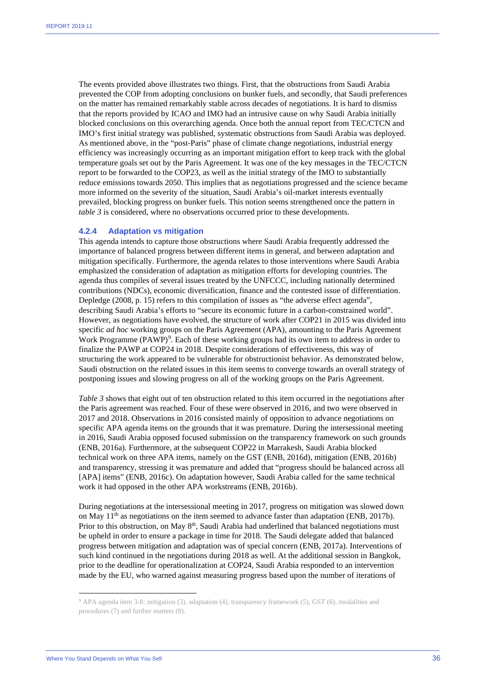The events provided above illustrates two things. First, that the obstructions from Saudi Arabia prevented the COP from adopting conclusions on bunker fuels, and secondly, that Saudi preferences on the matter has remained remarkably stable across decades of negotiations. It is hard to dismiss that the reports provided by ICAO and IMO had an intrusive cause on why Saudi Arabia initially blocked conclusions on this overarching agenda. Once both the annual report from TEC/CTCN and IMO's first initial strategy was published, systematic obstructions from Saudi Arabia was deployed. As mentioned above, in the "post-Paris" phase of climate change negotiations, industrial energy efficiency was increasingly occurring as an important mitigation effort to keep track with the global temperature goals set out by the Paris Agreement. It was one of the key messages in the TEC/CTCN report to be forwarded to the COP23, as well as the initial strategy of the IMO to substantially reduce emissions towards 2050. This implies that as negotiations progressed and the science became more informed on the severity of the situation, Saudi Arabia's oil-market interests eventually prevailed, blocking progress on bunker fuels. This notion seems strengthened once the pattern in *table 3* is considered, where no observations occurred prior to these developments.

#### **4.2.4 Adaptation vs mitigation**

This agenda intends to capture those obstructions where Saudi Arabia frequently addressed the importance of balanced progress between different items in general, and between adaptation and mitigation specifically. Furthermore, the agenda relates to those interventions where Saudi Arabia emphasized the consideration of adaptation as mitigation efforts for developing countries. The agenda thus compiles of several issues treated by the UNFCCC, including nationally determined contributions (NDCs), economic diversification, finance and the contested issue of differentiation. Depledge (2008, p. 15) refers to this compilation of issues as "the adverse effect agenda", describing Saudi Arabia's efforts to "secure its economic future in a carbon-constrained world". However, as negotiations have evolved, the structure of work after COP21 in 2015 was divided into specific *ad hoc* working groups on the Paris Agreement (APA), amounting to the Paris Agreement Work Programme  $(PAWP)^9$  $(PAWP)^9$ . Each of these working groups had its own item to address in order to finalize the PAWP at COP24 in 2018. Despite considerations of effectiveness, this way of structuring the work appeared to be vulnerable for obstructionist behavior. As demonstrated below, Saudi obstruction on the related issues in this item seems to converge towards an overall strategy of postponing issues and slowing progress on all of the working groups on the Paris Agreement.

*Table 3* shows that eight out of ten obstruction related to this item occurred in the negotiations after the Paris agreement was reached. Four of these were observed in 2016, and two were observed in 2017 and 2018. Observations in 2016 consisted mainly of opposition to advance negotiations on specific APA agenda items on the grounds that it was premature. During the intersessional meeting in 2016, Saudi Arabia opposed focused submission on the transparency framework on such grounds (ENB, 2016a). Furthermore, at the subsequent COP22 in Marrakesh, Saudi Arabia blocked technical work on three APA items, namely on the GST (ENB, 2016d), mitigation (ENB, 2016b) and transparency, stressing it was premature and added that "progress should be balanced across all [APA] items" (ENB, 2016c). On adaptation however, Saudi Arabia called for the same technical work it had opposed in the other APA workstreams (ENB, 2016b).

During negotiations at the intersessional meeting in 2017, progress on mitigation was slowed down on May  $11<sup>th</sup>$  as negotiations on the item seemed to advance faster than adaptation (ENB, 2017b). Prior to this obstruction, on May  $8<sup>th</sup>$ , Saudi Arabia had underlined that balanced negotiations must be upheld in order to ensure a package in time for 2018. The Saudi delegate added that balanced progress between mitigation and adaptation was of special concern (ENB, 2017a). Interventions of such kind continued in the negotiations during 2018 as well. At the additional session in Bangkok, prior to the deadline for operationalization at COP24, Saudi Arabia responded to an intervention made by the EU, who warned against measuring progress based upon the number of iterations of

<span id="page-36-0"></span><sup>9</sup> APA agenda item 3-8: mitigation (3), adaptation (4), transparency framework (5), GST (6), modalities and procedures (7) and further matters (8).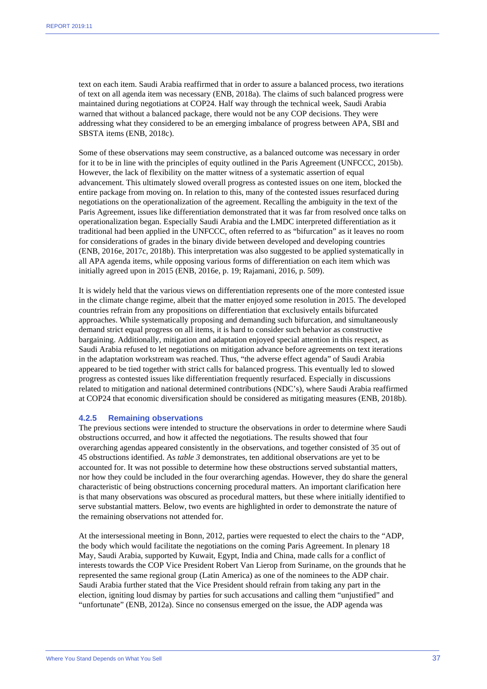text on each item. Saudi Arabia reaffirmed that in order to assure a balanced process, two iterations of text on all agenda item was necessary (ENB, 2018a). The claims of such balanced progress were maintained during negotiations at COP24. Half way through the technical week, Saudi Arabia warned that without a balanced package, there would not be any COP decisions. They were addressing what they considered to be an emerging imbalance of progress between APA, SBI and SBSTA items (ENB, 2018c).

Some of these observations may seem constructive, as a balanced outcome was necessary in order for it to be in line with the principles of equity outlined in the Paris Agreement (UNFCCC, 2015b). However, the lack of flexibility on the matter witness of a systematic assertion of equal advancement. This ultimately slowed overall progress as contested issues on one item, blocked the entire package from moving on. In relation to this, many of the contested issues resurfaced during negotiations on the operationalization of the agreement. Recalling the ambiguity in the text of the Paris Agreement, issues like differentiation demonstrated that it was far from resolved once talks on operationalization began. Especially Saudi Arabia and the LMDC interpreted differentiation as it traditional had been applied in the UNFCCC, often referred to as "bifurcation" as it leaves no room for considerations of grades in the binary divide between developed and developing countries (ENB, 2016e, 2017c, 2018b). This interpretation was also suggested to be applied systematically in all APA agenda items, while opposing various forms of differentiation on each item which was initially agreed upon in 2015 (ENB, 2016e, p. 19; Rajamani, 2016, p. 509).

It is widely held that the various views on differentiation represents one of the more contested issue in the climate change regime, albeit that the matter enjoyed some resolution in 2015. The developed countries refrain from any propositions on differentiation that exclusively entails bifurcated approaches. While systematically proposing and demanding such bifurcation, and simultaneously demand strict equal progress on all items, it is hard to consider such behavior as constructive bargaining. Additionally, mitigation and adaptation enjoyed special attention in this respect, as Saudi Arabia refused to let negotiations on mitigation advance before agreements on text iterations in the adaptation workstream was reached. Thus, "the adverse effect agenda" of Saudi Arabia appeared to be tied together with strict calls for balanced progress. This eventually led to slowed progress as contested issues like differentiation frequently resurfaced. Especially in discussions related to mitigation and national determined contributions (NDC's), where Saudi Arabia reaffirmed at COP24 that economic diversification should be considered as mitigating measures (ENB, 2018b).

#### **4.2.5 Remaining observations**

The previous sections were intended to structure the observations in order to determine where Saudi obstructions occurred, and how it affected the negotiations. The results showed that four overarching agendas appeared consistently in the observations, and together consisted of 35 out of 45 obstructions identified. As *table 3* demonstrates, ten additional observations are yet to be accounted for. It was not possible to determine how these obstructions served substantial matters, nor how they could be included in the four overarching agendas. However, they do share the general characteristic of being obstructions concerning procedural matters. An important clarification here is that many observations was obscured as procedural matters, but these where initially identified to serve substantial matters. Below, two events are highlighted in order to demonstrate the nature of the remaining observations not attended for.

At the intersessional meeting in Bonn, 2012, parties were requested to elect the chairs to the "ADP, the body which would facilitate the negotiations on the coming Paris Agreement. In plenary 18 May, Saudi Arabia, supported by Kuwait, Egypt, India and China, made calls for a conflict of interests towards the COP Vice President Robert Van Lierop from Suriname, on the grounds that he represented the same regional group (Latin America) as one of the nominees to the ADP chair. Saudi Arabia further stated that the Vice President should refrain from taking any part in the election, igniting loud dismay by parties for such accusations and calling them "unjustified" and "unfortunate" (ENB, 2012a). Since no consensus emerged on the issue, the ADP agenda was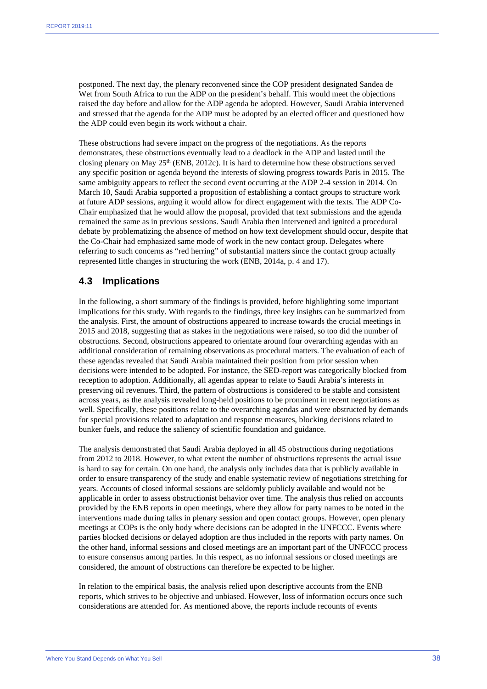postponed. The next day, the plenary reconvened since the COP president designated Sandea de Wet from South Africa to run the ADP on the president's behalf. This would meet the objections raised the day before and allow for the ADP agenda be adopted. However, Saudi Arabia intervened and stressed that the agenda for the ADP must be adopted by an elected officer and questioned how the ADP could even begin its work without a chair.

These obstructions had severe impact on the progress of the negotiations. As the reports demonstrates, these obstructions eventually lead to a deadlock in the ADP and lasted until the closing plenary on May  $25<sup>th</sup>$  (ENB, 2012c). It is hard to determine how these obstructions served any specific position or agenda beyond the interests of slowing progress towards Paris in 2015. The same ambiguity appears to reflect the second event occurring at the ADP 2-4 session in 2014. On March 10, Saudi Arabia supported a proposition of establishing a contact groups to structure work at future ADP sessions, arguing it would allow for direct engagement with the texts. The ADP Co-Chair emphasized that he would allow the proposal, provided that text submissions and the agenda remained the same as in previous sessions. Saudi Arabia then intervened and ignited a procedural debate by problematizing the absence of method on how text development should occur, despite that the Co-Chair had emphasized same mode of work in the new contact group. Delegates where referring to such concerns as "red herring" of substantial matters since the contact group actually represented little changes in structuring the work (ENB, 2014a, p. 4 and 17).

#### **4.3 Implications**

In the following, a short summary of the findings is provided, before highlighting some important implications for this study. With regards to the findings, three key insights can be summarized from the analysis. First, the amount of obstructions appeared to increase towards the crucial meetings in 2015 and 2018, suggesting that as stakes in the negotiations were raised, so too did the number of obstructions. Second, obstructions appeared to orientate around four overarching agendas with an additional consideration of remaining observations as procedural matters. The evaluation of each of these agendas revealed that Saudi Arabia maintained their position from prior session when decisions were intended to be adopted. For instance, the SED-report was categorically blocked from reception to adoption. Additionally, all agendas appear to relate to Saudi Arabia's interests in preserving oil revenues. Third, the pattern of obstructions is considered to be stable and consistent across years, as the analysis revealed long-held positions to be prominent in recent negotiations as well. Specifically, these positions relate to the overarching agendas and were obstructed by demands for special provisions related to adaptation and response measures, blocking decisions related to bunker fuels, and reduce the saliency of scientific foundation and guidance.

The analysis demonstrated that Saudi Arabia deployed in all 45 obstructions during negotiations from 2012 to 2018. However, to what extent the number of obstructions represents the actual issue is hard to say for certain. On one hand, the analysis only includes data that is publicly available in order to ensure transparency of the study and enable systematic review of negotiations stretching for years. Accounts of closed informal sessions are seldomly publicly available and would not be applicable in order to assess obstructionist behavior over time. The analysis thus relied on accounts provided by the ENB reports in open meetings, where they allow for party names to be noted in the interventions made during talks in plenary session and open contact groups. However, open plenary meetings at COPs is the only body where decisions can be adopted in the UNFCCC. Events where parties blocked decisions or delayed adoption are thus included in the reports with party names. On the other hand, informal sessions and closed meetings are an important part of the UNFCCC process to ensure consensus among parties. In this respect, as no informal sessions or closed meetings are considered, the amount of obstructions can therefore be expected to be higher.

In relation to the empirical basis, the analysis relied upon descriptive accounts from the ENB reports, which strives to be objective and unbiased. However, loss of information occurs once such considerations are attended for. As mentioned above, the reports include recounts of events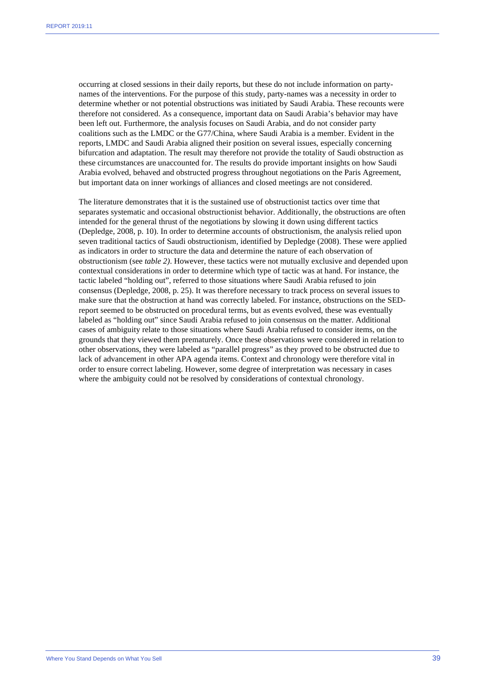occurring at closed sessions in their daily reports, but these do not include information on partynames of the interventions. For the purpose of this study, party-names was a necessity in order to determine whether or not potential obstructions was initiated by Saudi Arabia. These recounts were therefore not considered. As a consequence, important data on Saudi Arabia's behavior may have been left out. Furthermore, the analysis focuses on Saudi Arabia, and do not consider party coalitions such as the LMDC or the G77/China, where Saudi Arabia is a member. Evident in the reports, LMDC and Saudi Arabia aligned their position on several issues, especially concerning bifurcation and adaptation. The result may therefore not provide the totality of Saudi obstruction as these circumstances are unaccounted for. The results do provide important insights on how Saudi Arabia evolved, behaved and obstructed progress throughout negotiations on the Paris Agreement, but important data on inner workings of alliances and closed meetings are not considered.

The literature demonstrates that it is the sustained use of obstructionist tactics over time that separates systematic and occasional obstructionist behavior. Additionally, the obstructions are often intended for the general thrust of the negotiations by slowing it down using different tactics (Depledge, 2008, p. 10). In order to determine accounts of obstructionism, the analysis relied upon seven traditional tactics of Saudi obstructionism, identified by Depledge (2008). These were applied as indicators in order to structure the data and determine the nature of each observation of obstructionism (see *table 2)*. However, these tactics were not mutually exclusive and depended upon contextual considerations in order to determine which type of tactic was at hand. For instance, the tactic labeled "holding out", referred to those situations where Saudi Arabia refused to join consensus (Depledge, 2008, p. 25). It was therefore necessary to track process on several issues to make sure that the obstruction at hand was correctly labeled. For instance, obstructions on the SEDreport seemed to be obstructed on procedural terms, but as events evolved, these was eventually labeled as "holding out" since Saudi Arabia refused to join consensus on the matter. Additional cases of ambiguity relate to those situations where Saudi Arabia refused to consider items, on the grounds that they viewed them prematurely. Once these observations were considered in relation to other observations, they were labeled as "parallel progress" as they proved to be obstructed due to lack of advancement in other APA agenda items. Context and chronology were therefore vital in order to ensure correct labeling. However, some degree of interpretation was necessary in cases where the ambiguity could not be resolved by considerations of contextual chronology.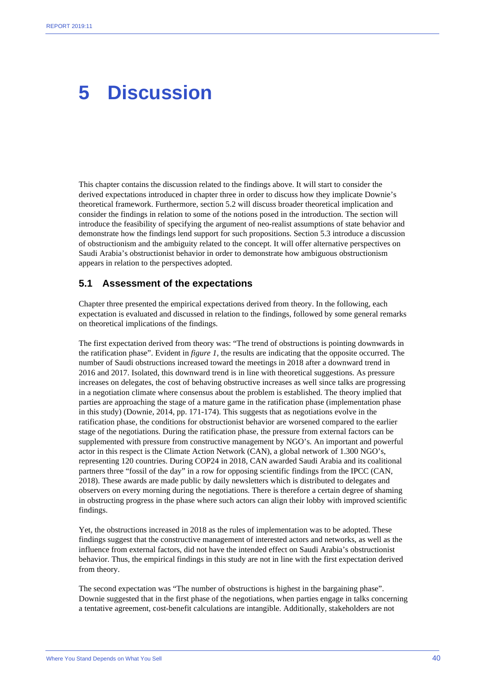### **5 Discussion**

This chapter contains the discussion related to the findings above. It will start to consider the derived expectations introduced in chapter three in order to discuss how they implicate Downie's theoretical framework. Furthermore, section 5.2 will discuss broader theoretical implication and consider the findings in relation to some of the notions posed in the introduction. The section will introduce the feasibility of specifying the argument of neo-realist assumptions of state behavior and demonstrate how the findings lend support for such propositions. Section 5.3 introduce a discussion of obstructionism and the ambiguity related to the concept. It will offer alternative perspectives on Saudi Arabia's obstructionist behavior in order to demonstrate how ambiguous obstructionism appears in relation to the perspectives adopted.

#### **5.1 Assessment of the expectations**

Chapter three presented the empirical expectations derived from theory. In the following, each expectation is evaluated and discussed in relation to the findings, followed by some general remarks on theoretical implications of the findings.

The first expectation derived from theory was: "The trend of obstructions is pointing downwards in the ratification phase". Evident in *figure 1*, the results are indicating that the opposite occurred. The number of Saudi obstructions increased toward the meetings in 2018 after a downward trend in 2016 and 2017. Isolated, this downward trend is in line with theoretical suggestions. As pressure increases on delegates, the cost of behaving obstructive increases as well since talks are progressing in a negotiation climate where consensus about the problem is established. The theory implied that parties are approaching the stage of a mature game in the ratification phase (implementation phase in this study) (Downie, 2014, pp. 171-174). This suggests that as negotiations evolve in the ratification phase, the conditions for obstructionist behavior are worsened compared to the earlier stage of the negotiations. During the ratification phase, the pressure from external factors can be supplemented with pressure from constructive management by NGO's. An important and powerful actor in this respect is the Climate Action Network (CAN), a global network of 1.300 NGO's, representing 120 countries. During COP24 in 2018, CAN awarded Saudi Arabia and its coalitional partners three "fossil of the day" in a row for opposing scientific findings from the IPCC (CAN, 2018). These awards are made public by daily newsletters which is distributed to delegates and observers on every morning during the negotiations. There is therefore a certain degree of shaming in obstructing progress in the phase where such actors can align their lobby with improved scientific findings.

Yet, the obstructions increased in 2018 as the rules of implementation was to be adopted. These findings suggest that the constructive management of interested actors and networks, as well as the influence from external factors, did not have the intended effect on Saudi Arabia's obstructionist behavior. Thus, the empirical findings in this study are not in line with the first expectation derived from theory.

The second expectation was "The number of obstructions is highest in the bargaining phase". Downie suggested that in the first phase of the negotiations, when parties engage in talks concerning a tentative agreement, cost-benefit calculations are intangible. Additionally, stakeholders are not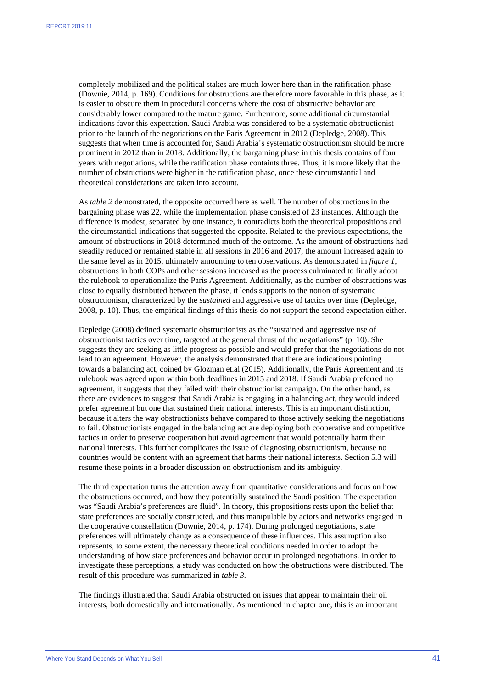completely mobilized and the political stakes are much lower here than in the ratification phase (Downie, 2014, p. 169). Conditions for obstructions are therefore more favorable in this phase, as it is easier to obscure them in procedural concerns where the cost of obstructive behavior are considerably lower compared to the mature game. Furthermore, some additional circumstantial indications favor this expectation. Saudi Arabia was considered to be a systematic obstructionist prior to the launch of the negotiations on the Paris Agreement in 2012 (Depledge, 2008). This suggests that when time is accounted for, Saudi Arabia's systematic obstructionism should be more prominent in 2012 than in 2018. Additionally, the bargaining phase in this thesis contains of four years with negotiations, while the ratification phase containts three. Thus, it is more likely that the number of obstructions were higher in the ratification phase, once these circumstantial and theoretical considerations are taken into account.

As *table 2* demonstrated, the opposite occurred here as well. The number of obstructions in the bargaining phase was 22, while the implementation phase consisted of 23 instances. Although the difference is modest, separated by one instance, it contradicts both the theoretical propositions and the circumstantial indications that suggested the opposite. Related to the previous expectations, the amount of obstructions in 2018 determined much of the outcome. As the amount of obstructions had steadily reduced or remained stable in all sessions in 2016 and 2017, the amount increased again to the same level as in 2015, ultimately amounting to ten observations. As demonstrated in *figure 1*, obstructions in both COPs and other sessions increased as the process culminated to finally adopt the rulebook to operationalize the Paris Agreement. Additionally, as the number of obstructions was close to equally distributed between the phase, it lends supports to the notion of systematic obstructionism, characterized by the *sustained* and aggressive use of tactics over time (Depledge, 2008, p. 10). Thus, the empirical findings of this thesis do not support the second expectation either.

Depledge (2008) defined systematic obstructionists as the "sustained and aggressive use of obstructionist tactics over time, targeted at the general thrust of the negotiations" (p. 10). She suggests they are seeking as little progress as possible and would prefer that the negotiations do not lead to an agreement. However, the analysis demonstrated that there are indications pointing towards a balancing act, coined by Glozman et.al (2015). Additionally, the Paris Agreement and its rulebook was agreed upon within both deadlines in 2015 and 2018. If Saudi Arabia preferred no agreement, it suggests that they failed with their obstructionist campaign. On the other hand, as there are evidences to suggest that Saudi Arabia is engaging in a balancing act, they would indeed prefer agreement but one that sustained their national interests. This is an important distinction, because it alters the way obstructionists behave compared to those actively seeking the negotiations to fail. Obstructionists engaged in the balancing act are deploying both cooperative and competitive tactics in order to preserve cooperation but avoid agreement that would potentially harm their national interests. This further complicates the issue of diagnosing obstructionism, because no countries would be content with an agreement that harms their national interests. Section 5.3 will resume these points in a broader discussion on obstructionism and its ambiguity.

The third expectation turns the attention away from quantitative considerations and focus on how the obstructions occurred, and how they potentially sustained the Saudi position. The expectation was "Saudi Arabia's preferences are fluid". In theory, this propositions rests upon the belief that state preferences are socially constructed, and thus manipulable by actors and networks engaged in the cooperative constellation (Downie, 2014, p. 174). During prolonged negotiations, state preferences will ultimately change as a consequence of these influences. This assumption also represents, to some extent, the necessary theoretical conditions needed in order to adopt the understanding of how state preferences and behavior occur in prolonged negotiations. In order to investigate these perceptions, a study was conducted on how the obstructions were distributed. The result of this procedure was summarized in *table 3.* 

The findings illustrated that Saudi Arabia obstructed on issues that appear to maintain their oil interests, both domestically and internationally. As mentioned in chapter one, this is an important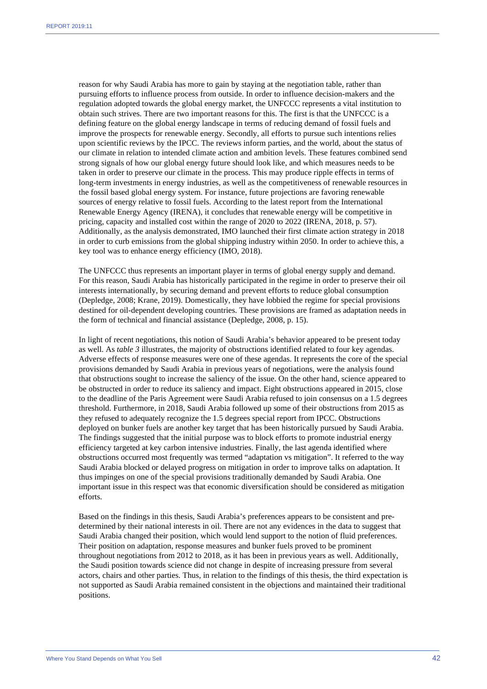reason for why Saudi Arabia has more to gain by staying at the negotiation table, rather than pursuing efforts to influence process from outside. In order to influence decision-makers and the regulation adopted towards the global energy market, the UNFCCC represents a vital institution to obtain such strives. There are two important reasons for this. The first is that the UNFCCC is a defining feature on the global energy landscape in terms of reducing demand of fossil fuels and improve the prospects for renewable energy. Secondly, all efforts to pursue such intentions relies upon scientific reviews by the IPCC. The reviews inform parties, and the world, about the status of our climate in relation to intended climate action and ambition levels. These features combined send strong signals of how our global energy future should look like, and which measures needs to be taken in order to preserve our climate in the process. This may produce ripple effects in terms of long-term investments in energy industries, as well as the competitiveness of renewable resources in the fossil based global energy system. For instance, future projections are favoring renewable sources of energy relative to fossil fuels. According to the latest report from the International Renewable Energy Agency (IRENA), it concludes that renewable energy will be competitive in pricing, capacity and installed cost within the range of 2020 to 2022 (IRENA, 2018, p. 57). Additionally, as the analysis demonstrated, IMO launched their first climate action strategy in 2018 in order to curb emissions from the global shipping industry within 2050. In order to achieve this, a key tool was to enhance energy efficiency (IMO, 2018).

The UNFCCC thus represents an important player in terms of global energy supply and demand. For this reason, Saudi Arabia has historically participated in the regime in order to preserve their oil interests internationally, by securing demand and prevent efforts to reduce global consumption (Depledge, 2008; Krane, 2019). Domestically, they have lobbied the regime for special provisions destined for oil-dependent developing countries. These provisions are framed as adaptation needs in the form of technical and financial assistance (Depledge, 2008, p. 15).

In light of recent negotiations, this notion of Saudi Arabia's behavior appeared to be present today as well. As *table 3* illustrates, the majority of obstructions identified related to four key agendas. Adverse effects of response measures were one of these agendas. It represents the core of the special provisions demanded by Saudi Arabia in previous years of negotiations, were the analysis found that obstructions sought to increase the saliency of the issue. On the other hand, science appeared to be obstructed in order to reduce its saliency and impact. Eight obstructions appeared in 2015, close to the deadline of the Paris Agreement were Saudi Arabia refused to join consensus on a 1.5 degrees threshold. Furthermore, in 2018, Saudi Arabia followed up some of their obstructions from 2015 as they refused to adequately recognize the 1.5 degrees special report from IPCC. Obstructions deployed on bunker fuels are another key target that has been historically pursued by Saudi Arabia. The findings suggested that the initial purpose was to block efforts to promote industrial energy efficiency targeted at key carbon intensive industries. Finally, the last agenda identified where obstructions occurred most frequently was termed "adaptation vs mitigation". It referred to the way Saudi Arabia blocked or delayed progress on mitigation in order to improve talks on adaptation. It thus impinges on one of the special provisions traditionally demanded by Saudi Arabia. One important issue in this respect was that economic diversification should be considered as mitigation efforts.

Based on the findings in this thesis, Saudi Arabia's preferences appears to be consistent and predetermined by their national interests in oil. There are not any evidences in the data to suggest that Saudi Arabia changed their position, which would lend support to the notion of fluid preferences. Their position on adaptation, response measures and bunker fuels proved to be prominent throughout negotiations from 2012 to 2018, as it has been in previous years as well. Additionally, the Saudi position towards science did not change in despite of increasing pressure from several actors, chairs and other parties. Thus, in relation to the findings of this thesis, the third expectation is not supported as Saudi Arabia remained consistent in the objections and maintained their traditional positions.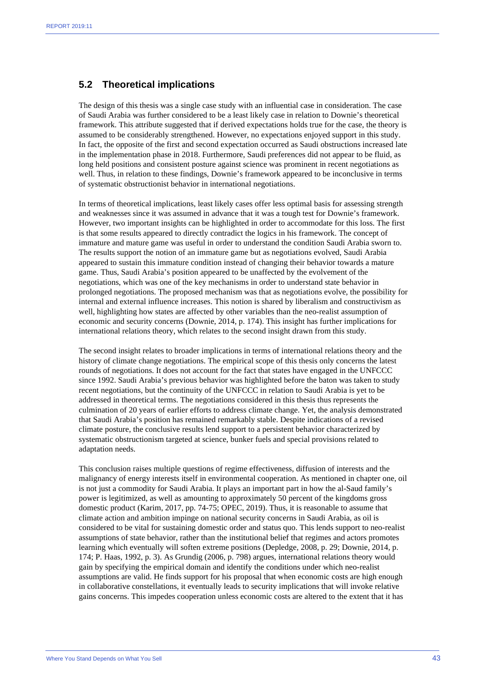#### **5.2 Theoretical implications**

The design of this thesis was a single case study with an influential case in consideration. The case of Saudi Arabia was further considered to be a least likely case in relation to Downie's theoretical framework. This attribute suggested that if derived expectations holds true for the case, the theory is assumed to be considerably strengthened. However, no expectations enjoyed support in this study. In fact, the opposite of the first and second expectation occurred as Saudi obstructions increased late in the implementation phase in 2018. Furthermore, Saudi preferences did not appear to be fluid, as long held positions and consistent posture against science was prominent in recent negotiations as well. Thus, in relation to these findings, Downie's framework appeared to be inconclusive in terms of systematic obstructionist behavior in international negotiations.

In terms of theoretical implications, least likely cases offer less optimal basis for assessing strength and weaknesses since it was assumed in advance that it was a tough test for Downie's framework. However, two important insights can be highlighted in order to accommodate for this loss. The first is that some results appeared to directly contradict the logics in his framework. The concept of immature and mature game was useful in order to understand the condition Saudi Arabia sworn to. The results support the notion of an immature game but as negotiations evolved, Saudi Arabia appeared to sustain this immature condition instead of changing their behavior towards a mature game. Thus, Saudi Arabia's position appeared to be unaffected by the evolvement of the negotiations, which was one of the key mechanisms in order to understand state behavior in prolonged negotiations. The proposed mechanism was that as negotiations evolve, the possibility for internal and external influence increases. This notion is shared by liberalism and constructivism as well, highlighting how states are affected by other variables than the neo-realist assumption of economic and security concerns (Downie, 2014, p. 174). This insight has further implications for international relations theory, which relates to the second insight drawn from this study.

The second insight relates to broader implications in terms of international relations theory and the history of climate change negotiations. The empirical scope of this thesis only concerns the latest rounds of negotiations. It does not account for the fact that states have engaged in the UNFCCC since 1992. Saudi Arabia's previous behavior was highlighted before the baton was taken to study recent negotiations, but the continuity of the UNFCCC in relation to Saudi Arabia is yet to be addressed in theoretical terms. The negotiations considered in this thesis thus represents the culmination of 20 years of earlier efforts to address climate change. Yet, the analysis demonstrated that Saudi Arabia's position has remained remarkably stable. Despite indications of a revised climate posture, the conclusive results lend support to a persistent behavior characterized by systematic obstructionism targeted at science, bunker fuels and special provisions related to adaptation needs.

This conclusion raises multiple questions of regime effectiveness, diffusion of interests and the malignancy of energy interests itself in environmental cooperation. As mentioned in chapter one, oil is not just a commodity for Saudi Arabia. It plays an important part in how the al-Saud family's power is legitimized, as well as amounting to approximately 50 percent of the kingdoms gross domestic product (Karim, 2017, pp. 74-75; OPEC, 2019). Thus, it is reasonable to assume that climate action and ambition impinge on national security concerns in Saudi Arabia, as oil is considered to be vital for sustaining domestic order and status quo. This lends support to neo-realist assumptions of state behavior, rather than the institutional belief that regimes and actors promotes learning which eventually will soften extreme positions (Depledge, 2008, p. 29; Downie, 2014, p. 174; P. Haas, 1992, p. 3). As Grundig (2006, p. 798) argues, international relations theory would gain by specifying the empirical domain and identify the conditions under which neo-realist assumptions are valid. He finds support for his proposal that when economic costs are high enough in collaborative constellations, it eventually leads to security implications that will invoke relative gains concerns. This impedes cooperation unless economic costs are altered to the extent that it has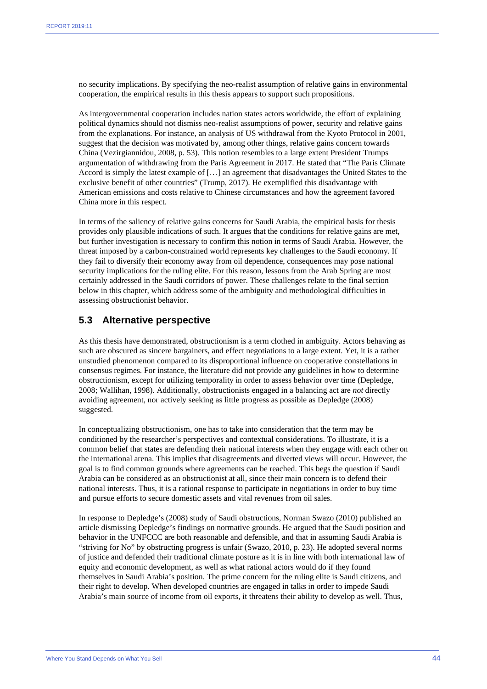no security implications. By specifying the neo-realist assumption of relative gains in environmental cooperation, the empirical results in this thesis appears to support such propositions.

As intergovernmental cooperation includes nation states actors worldwide, the effort of explaining political dynamics should not dismiss neo-realist assumptions of power, security and relative gains from the explanations. For instance, an analysis of US withdrawal from the Kyoto Protocol in 2001, suggest that the decision was motivated by, among other things, relative gains concern towards China (Vezirgiannidou, 2008, p. 53). This notion resembles to a large extent President Trumps argumentation of withdrawing from the Paris Agreement in 2017. He stated that "The Paris Climate Accord is simply the latest example of […] an agreement that disadvantages the United States to the exclusive benefit of other countries" (Trump, 2017). He exemplified this disadvantage with American emissions and costs relative to Chinese circumstances and how the agreement favored China more in this respect.

In terms of the saliency of relative gains concerns for Saudi Arabia, the empirical basis for thesis provides only plausible indications of such. It argues that the conditions for relative gains are met, but further investigation is necessary to confirm this notion in terms of Saudi Arabia. However, the threat imposed by a carbon-constrained world represents key challenges to the Saudi economy. If they fail to diversify their economy away from oil dependence, consequences may pose national security implications for the ruling elite. For this reason, lessons from the Arab Spring are most certainly addressed in the Saudi corridors of power. These challenges relate to the final section below in this chapter, which address some of the ambiguity and methodological difficulties in assessing obstructionist behavior.

#### **5.3 Alternative perspective**

As this thesis have demonstrated, obstructionism is a term clothed in ambiguity. Actors behaving as such are obscured as sincere bargainers, and effect negotiations to a large extent. Yet, it is a rather unstudied phenomenon compared to its disproportional influence on cooperative constellations in consensus regimes. For instance, the literature did not provide any guidelines in how to determine obstructionism, except for utilizing temporality in order to assess behavior over time (Depledge, 2008; Wallihan, 1998). Additionally, obstructionists engaged in a balancing act are *not* directly avoiding agreement, nor actively seeking as little progress as possible as Depledge (2008) suggested.

In conceptualizing obstructionism, one has to take into consideration that the term may be conditioned by the researcher's perspectives and contextual considerations. To illustrate, it is a common belief that states are defending their national interests when they engage with each other on the international arena. This implies that disagreements and diverted views will occur. However, the goal is to find common grounds where agreements can be reached. This begs the question if Saudi Arabia can be considered as an obstructionist at all, since their main concern is to defend their national interests. Thus, it is a rational response to participate in negotiations in order to buy time and pursue efforts to secure domestic assets and vital revenues from oil sales.

In response to Depledge's (2008) study of Saudi obstructions, Norman Swazo (2010) published an article dismissing Depledge's findings on normative grounds. He argued that the Saudi position and behavior in the UNFCCC are both reasonable and defensible, and that in assuming Saudi Arabia is "striving for No" by obstructing progress is unfair (Swazo, 2010, p. 23). He adopted several norms of justice and defended their traditional climate posture as it is in line with both international law of equity and economic development, as well as what rational actors would do if they found themselves in Saudi Arabia's position. The prime concern for the ruling elite is Saudi citizens, and their right to develop. When developed countries are engaged in talks in order to impede Saudi Arabia's main source of income from oil exports, it threatens their ability to develop as well. Thus,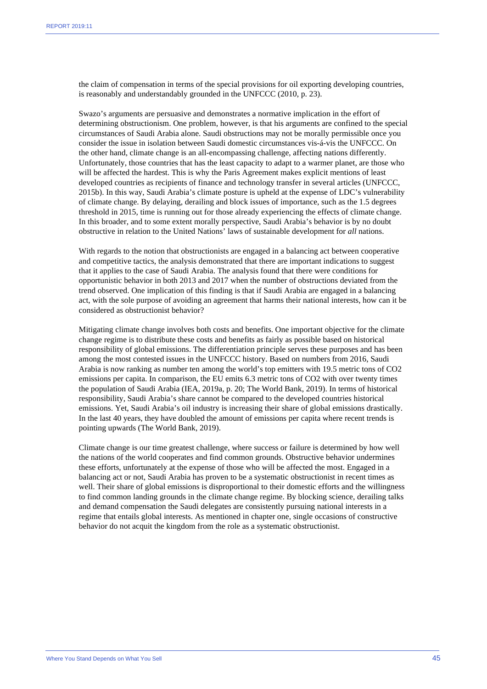the claim of compensation in terms of the special provisions for oil exporting developing countries, is reasonably and understandably grounded in the UNFCCC (2010, p. 23).

Swazo's arguments are persuasive and demonstrates a normative implication in the effort of determining obstructionism. One problem, however, is that his arguments are confined to the special circumstances of Saudi Arabia alone. Saudi obstructions may not be morally permissible once you consider the issue in isolation between Saudi domestic circumstances vis-á-vis the UNFCCC. On the other hand, climate change is an all-encompassing challenge, affecting nations differently. Unfortunately, those countries that has the least capacity to adapt to a warmer planet, are those who will be affected the hardest. This is why the Paris Agreement makes explicit mentions of least developed countries as recipients of finance and technology transfer in several articles (UNFCCC, 2015b). In this way, Saudi Arabia's climate posture is upheld at the expense of LDC's vulnerability of climate change. By delaying, derailing and block issues of importance, such as the 1.5 degrees threshold in 2015, time is running out for those already experiencing the effects of climate change. In this broader, and to some extent morally perspective, Saudi Arabia's behavior is by no doubt obstructive in relation to the United Nations' laws of sustainable development for *all* nations.

With regards to the notion that obstructionists are engaged in a balancing act between cooperative and competitive tactics, the analysis demonstrated that there are important indications to suggest that it applies to the case of Saudi Arabia. The analysis found that there were conditions for opportunistic behavior in both 2013 and 2017 when the number of obstructions deviated from the trend observed. One implication of this finding is that if Saudi Arabia are engaged in a balancing act, with the sole purpose of avoiding an agreement that harms their national interests, how can it be considered as obstructionist behavior?

Mitigating climate change involves both costs and benefits. One important objective for the climate change regime is to distribute these costs and benefits as fairly as possible based on historical responsibility of global emissions. The differentiation principle serves these purposes and has been among the most contested issues in the UNFCCC history. Based on numbers from 2016, Saudi Arabia is now ranking as number ten among the world's top emitters with 19.5 metric tons of CO2 emissions per capita. In comparison, the EU emits 6.3 metric tons of CO2 with over twenty times the population of Saudi Arabia (IEA, 2019a, p. 20; The World Bank, 2019). In terms of historical responsibility, Saudi Arabia's share cannot be compared to the developed countries historical emissions. Yet, Saudi Arabia's oil industry is increasing their share of global emissions drastically. In the last 40 years, they have doubled the amount of emissions per capita where recent trends is pointing upwards (The World Bank, 2019).

Climate change is our time greatest challenge, where success or failure is determined by how well the nations of the world cooperates and find common grounds. Obstructive behavior undermines these efforts, unfortunately at the expense of those who will be affected the most. Engaged in a balancing act or not, Saudi Arabia has proven to be a systematic obstructionist in recent times as well. Their share of global emissions is disproportional to their domestic efforts and the willingness to find common landing grounds in the climate change regime. By blocking science, derailing talks and demand compensation the Saudi delegates are consistently pursuing national interests in a regime that entails global interests. As mentioned in chapter one, single occasions of constructive behavior do not acquit the kingdom from the role as a systematic obstructionist.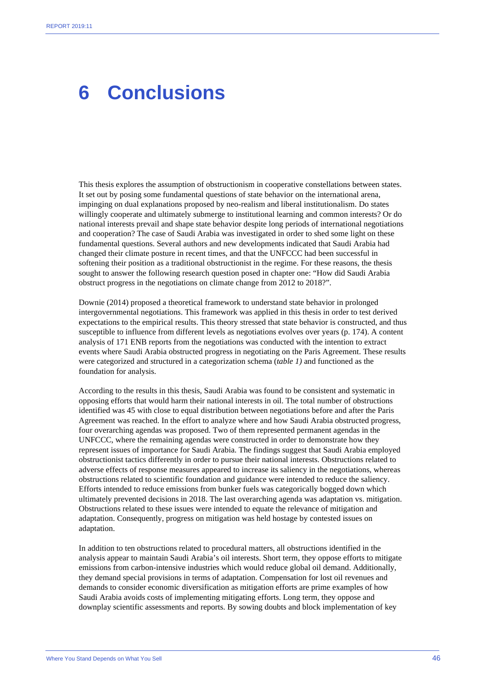### **6 Conclusions**

This thesis explores the assumption of obstructionism in cooperative constellations between states. It set out by posing some fundamental questions of state behavior on the international arena, impinging on dual explanations proposed by neo-realism and liberal institutionalism. Do states willingly cooperate and ultimately submerge to institutional learning and common interests? Or do national interests prevail and shape state behavior despite long periods of international negotiations and cooperation? The case of Saudi Arabia was investigated in order to shed some light on these fundamental questions. Several authors and new developments indicated that Saudi Arabia had changed their climate posture in recent times, and that the UNFCCC had been successful in softening their position as a traditional obstructionist in the regime. For these reasons, the thesis sought to answer the following research question posed in chapter one: "How did Saudi Arabia obstruct progress in the negotiations on climate change from 2012 to 2018?".

Downie (2014) proposed a theoretical framework to understand state behavior in prolonged intergovernmental negotiations. This framework was applied in this thesis in order to test derived expectations to the empirical results. This theory stressed that state behavior is constructed, and thus susceptible to influence from different levels as negotiations evolves over years (p. 174). A content analysis of 171 ENB reports from the negotiations was conducted with the intention to extract events where Saudi Arabia obstructed progress in negotiating on the Paris Agreement. These results were categorized and structured in a categorization schema (*table 1)* and functioned as the foundation for analysis.

According to the results in this thesis, Saudi Arabia was found to be consistent and systematic in opposing efforts that would harm their national interests in oil. The total number of obstructions identified was 45 with close to equal distribution between negotiations before and after the Paris Agreement was reached. In the effort to analyze where and how Saudi Arabia obstructed progress, four overarching agendas was proposed. Two of them represented permanent agendas in the UNFCCC, where the remaining agendas were constructed in order to demonstrate how they represent issues of importance for Saudi Arabia. The findings suggest that Saudi Arabia employed obstructionist tactics differently in order to pursue their national interests. Obstructions related to adverse effects of response measures appeared to increase its saliency in the negotiations, whereas obstructions related to scientific foundation and guidance were intended to reduce the saliency. Efforts intended to reduce emissions from bunker fuels was categorically bogged down which ultimately prevented decisions in 2018. The last overarching agenda was adaptation vs. mitigation. Obstructions related to these issues were intended to equate the relevance of mitigation and adaptation. Consequently, progress on mitigation was held hostage by contested issues on adaptation.

In addition to ten obstructions related to procedural matters, all obstructions identified in the analysis appear to maintain Saudi Arabia's oil interests. Short term, they oppose efforts to mitigate emissions from carbon-intensive industries which would reduce global oil demand. Additionally, they demand special provisions in terms of adaptation. Compensation for lost oil revenues and demands to consider economic diversification as mitigation efforts are prime examples of how Saudi Arabia avoids costs of implementing mitigating efforts. Long term, they oppose and downplay scientific assessments and reports. By sowing doubts and block implementation of key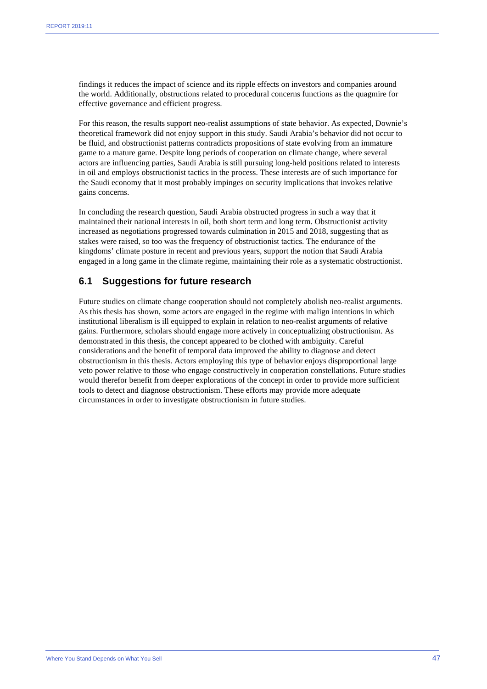findings it reduces the impact of science and its ripple effects on investors and companies around the world. Additionally, obstructions related to procedural concerns functions as the quagmire for effective governance and efficient progress.

For this reason, the results support neo-realist assumptions of state behavior. As expected, Downie's theoretical framework did not enjoy support in this study. Saudi Arabia's behavior did not occur to be fluid, and obstructionist patterns contradicts propositions of state evolving from an immature game to a mature game. Despite long periods of cooperation on climate change, where several actors are influencing parties, Saudi Arabia is still pursuing long-held positions related to interests in oil and employs obstructionist tactics in the process. These interests are of such importance for the Saudi economy that it most probably impinges on security implications that invokes relative gains concerns.

In concluding the research question, Saudi Arabia obstructed progress in such a way that it maintained their national interests in oil, both short term and long term. Obstructionist activity increased as negotiations progressed towards culmination in 2015 and 2018, suggesting that as stakes were raised, so too was the frequency of obstructionist tactics. The endurance of the kingdoms' climate posture in recent and previous years, support the notion that Saudi Arabia engaged in a long game in the climate regime, maintaining their role as a systematic obstructionist.

#### **6.1 Suggestions for future research**

Future studies on climate change cooperation should not completely abolish neo-realist arguments. As this thesis has shown, some actors are engaged in the regime with malign intentions in which institutional liberalism is ill equipped to explain in relation to neo-realist arguments of relative gains. Furthermore, scholars should engage more actively in conceptualizing obstructionism. As demonstrated in this thesis, the concept appeared to be clothed with ambiguity. Careful considerations and the benefit of temporal data improved the ability to diagnose and detect obstructionism in this thesis. Actors employing this type of behavior enjoys disproportional large veto power relative to those who engage constructively in cooperation constellations. Future studies would therefor benefit from deeper explorations of the concept in order to provide more sufficient tools to detect and diagnose obstructionism. These efforts may provide more adequate circumstances in order to investigate obstructionism in future studies.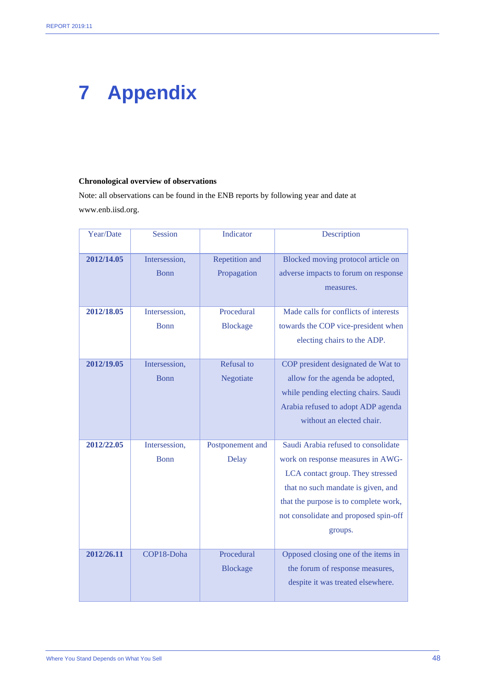# **7 Appendix**

#### **Chronological overview of observations**

Note: all observations can be found in the ENB reports by following year and date at www.enb.iisd.org.

| Year/Date  | <b>Session</b>               | Indicator                      | Description                                                                                                                                                                                                                                     |
|------------|------------------------------|--------------------------------|-------------------------------------------------------------------------------------------------------------------------------------------------------------------------------------------------------------------------------------------------|
| 2012/14.05 | Intersession,<br><b>Bonn</b> | Repetition and<br>Propagation  | Blocked moving protocol article on<br>adverse impacts to forum on response<br>measures.                                                                                                                                                         |
| 2012/18.05 | Intersession,<br><b>Bonn</b> | Procedural<br><b>Blockage</b>  | Made calls for conflicts of interests<br>towards the COP vice-president when<br>electing chairs to the ADP.                                                                                                                                     |
| 2012/19.05 | Intersession,<br><b>Bonn</b> | <b>Refusal</b> to<br>Negotiate | COP president designated de Wat to<br>allow for the agenda be adopted,<br>while pending electing chairs. Saudi<br>Arabia refused to adopt ADP agenda<br>without an elected chair.                                                               |
| 2012/22.05 | Intersession,<br><b>Bonn</b> | Postponement and<br>Delay      | Saudi Arabia refused to consolidate<br>work on response measures in AWG-<br>LCA contact group. They stressed<br>that no such mandate is given, and<br>that the purpose is to complete work,<br>not consolidate and proposed spin-off<br>groups. |
| 2012/26.11 | COP18-Doha                   | Procedural<br><b>Blockage</b>  | Opposed closing one of the items in<br>the forum of response measures,<br>despite it was treated elsewhere.                                                                                                                                     |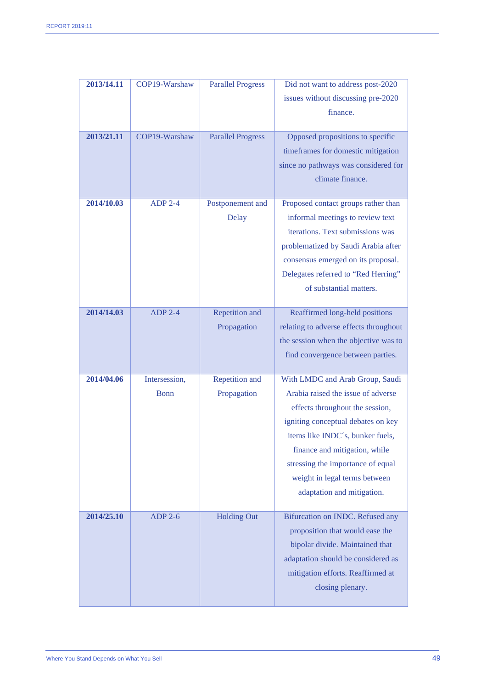| 2013/14.11 | COP19-Warshaw | <b>Parallel Progress</b> | Did not want to address post-2020      |
|------------|---------------|--------------------------|----------------------------------------|
|            |               |                          | issues without discussing pre-2020     |
|            |               |                          | finance.                               |
|            |               |                          |                                        |
| 2013/21.11 | COP19-Warshaw | <b>Parallel Progress</b> | Opposed propositions to specific       |
|            |               |                          | timeframes for domestic mitigation     |
|            |               |                          | since no pathways was considered for   |
|            |               |                          | climate finance.                       |
|            |               |                          |                                        |
| 2014/10.03 | $ADP$ 2-4     | Postponement and         | Proposed contact groups rather than    |
|            |               | <b>Delay</b>             | informal meetings to review text       |
|            |               |                          | iterations. Text submissions was       |
|            |               |                          | problematized by Saudi Arabia after    |
|            |               |                          | consensus emerged on its proposal.     |
|            |               |                          | Delegates referred to "Red Herring"    |
|            |               |                          | of substantial matters.                |
|            |               |                          |                                        |
| 2014/14.03 | $ADP 2-4$     | Repetition and           | Reaffirmed long-held positions         |
|            |               | Propagation              | relating to adverse effects throughout |
|            |               |                          | the session when the objective was to  |
|            |               |                          | find convergence between parties.      |
| 2014/04.06 | Intersession, | Repetition and           | With LMDC and Arab Group, Saudi        |
|            | <b>Bonn</b>   | Propagation              | Arabia raised the issue of adverse     |
|            |               |                          | effects throughout the session,        |
|            |               |                          | igniting conceptual debates on key     |
|            |               |                          | items like INDC's, bunker fuels,       |
|            |               |                          | finance and mitigation, while          |
|            |               |                          | stressing the importance of equal      |
|            |               |                          | weight in legal terms between          |
|            |               |                          | adaptation and mitigation.             |
|            |               |                          |                                        |
| 2014/25.10 | $ADP$ 2-6     | <b>Holding Out</b>       | Bifurcation on INDC. Refused any       |
|            |               |                          | proposition that would ease the        |
|            |               |                          | bipolar divide. Maintained that        |
|            |               |                          | adaptation should be considered as     |
|            |               |                          | mitigation efforts. Reaffirmed at      |
|            |               |                          | closing plenary.                       |
|            |               |                          |                                        |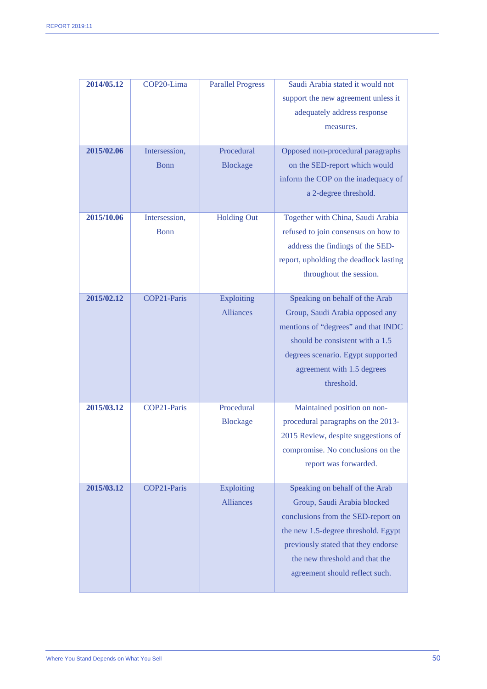| 2014/05.12<br>2015/02.06 | COP20-Lima<br>Intersession,<br><b>Bonn</b> | <b>Parallel Progress</b><br>Procedural<br><b>Blockage</b> | Saudi Arabia stated it would not<br>support the new agreement unless it<br>adequately address response<br>measures.<br>Opposed non-procedural paragraphs<br>on the SED-report which would<br>inform the COP on the inadequacy of<br>a 2-degree threshold. |
|--------------------------|--------------------------------------------|-----------------------------------------------------------|-----------------------------------------------------------------------------------------------------------------------------------------------------------------------------------------------------------------------------------------------------------|
| 2015/10.06               | Intersession,<br><b>Bonn</b>               | <b>Holding Out</b>                                        | Together with China, Saudi Arabia<br>refused to join consensus on how to<br>address the findings of the SED-<br>report, upholding the deadlock lasting<br>throughout the session.                                                                         |
| 2015/02.12               | COP21-Paris                                | Exploiting<br><b>Alliances</b>                            | Speaking on behalf of the Arab<br>Group, Saudi Arabia opposed any<br>mentions of "degrees" and that INDC<br>should be consistent with a 1.5<br>degrees scenario. Egypt supported<br>agreement with 1.5 degrees<br>threshold.                              |
| 2015/03.12               | COP21-Paris                                | Procedural<br><b>Blockage</b>                             | Maintained position on non-<br>procedural paragraphs on the 2013-<br>2015 Review, despite suggestions of<br>compromise. No conclusions on the<br>report was forwarded.                                                                                    |
| 2015/03.12               | COP21-Paris                                | Exploiting<br><b>Alliances</b>                            | Speaking on behalf of the Arab<br>Group, Saudi Arabia blocked<br>conclusions from the SED-report on<br>the new 1.5-degree threshold. Egypt<br>previously stated that they endorse<br>the new threshold and that the<br>agreement should reflect such.     |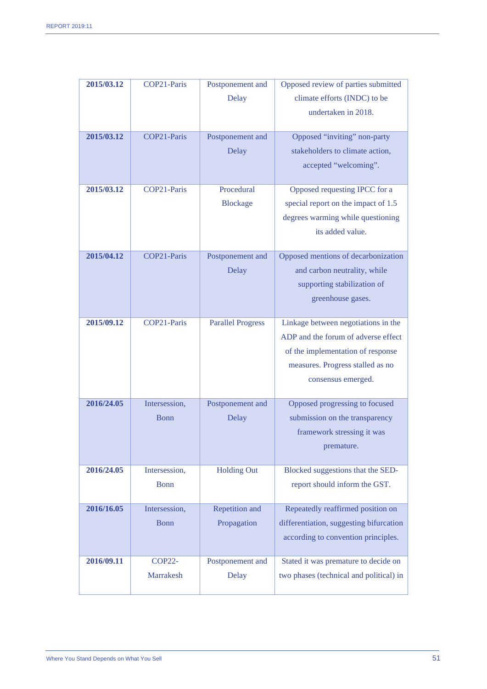| 2015/03.12 | COP21-Paris   | Postponement and         | Opposed review of parties submitted     |
|------------|---------------|--------------------------|-----------------------------------------|
|            |               | Delay                    | climate efforts (INDC) to be            |
|            |               |                          | undertaken in 2018.                     |
|            |               |                          |                                         |
| 2015/03.12 | COP21-Paris   | Postponement and         | Opposed "inviting" non-party            |
|            |               | Delay                    | stakeholders to climate action,         |
|            |               |                          | accepted "welcoming".                   |
|            |               |                          |                                         |
| 2015/03.12 | COP21-Paris   | Procedural               | Opposed requesting IPCC for a           |
|            |               | <b>Blockage</b>          | special report on the impact of 1.5     |
|            |               |                          | degrees warming while questioning       |
|            |               |                          | its added value.                        |
| 2015/04.12 | COP21-Paris   | Postponement and         | Opposed mentions of decarbonization     |
|            |               | Delay                    | and carbon neutrality, while            |
|            |               |                          |                                         |
|            |               |                          | supporting stabilization of             |
|            |               |                          | greenhouse gases.                       |
| 2015/09.12 | COP21-Paris   | <b>Parallel Progress</b> | Linkage between negotiations in the     |
|            |               |                          | ADP and the forum of adverse effect     |
|            |               |                          | of the implementation of response       |
|            |               |                          | measures. Progress stalled as no        |
|            |               |                          | consensus emerged.                      |
|            |               |                          |                                         |
| 2016/24.05 | Intersession, | Postponement and         | Opposed progressing to focused          |
|            | Bonn          | Delay                    | submission on the transparency          |
|            |               |                          | framework stressing it was              |
|            |               |                          | premature.                              |
|            |               |                          |                                         |
| 2016/24.05 | Intersession, | <b>Holding Out</b>       | Blocked suggestions that the SED-       |
|            | <b>Bonn</b>   |                          | report should inform the GST.           |
| 2016/16.05 | Intersession, | Repetition and           | Repeatedly reaffirmed position on       |
|            | <b>Bonn</b>   | Propagation              | differentiation, suggesting bifurcation |
|            |               |                          | according to convention principles.     |
|            |               |                          |                                         |
| 2016/09.11 | <b>COP22-</b> | Postponement and         | Stated it was premature to decide on    |
|            | Marrakesh     | <b>Delay</b>             | two phases (technical and political) in |
|            |               |                          |                                         |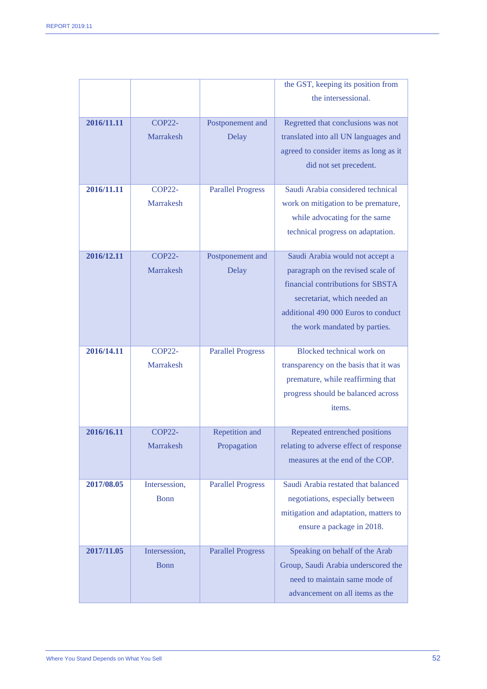|            |                                   |                               | the GST, keeping its position from                                                                                                                                                                                |
|------------|-----------------------------------|-------------------------------|-------------------------------------------------------------------------------------------------------------------------------------------------------------------------------------------------------------------|
|            |                                   |                               | the intersessional.                                                                                                                                                                                               |
| 2016/11.11 | <b>COP22-</b><br><b>Marrakesh</b> | Postponement and<br>Delay     | Regretted that conclusions was not<br>translated into all UN languages and<br>agreed to consider items as long as it<br>did not set precedent.                                                                    |
| 2016/11.11 | <b>COP22-</b><br>Marrakesh        | <b>Parallel Progress</b>      | Saudi Arabia considered technical<br>work on mitigation to be premature,<br>while advocating for the same<br>technical progress on adaptation.                                                                    |
| 2016/12.11 | <b>COP22-</b><br><b>Marrakesh</b> | Postponement and<br>Delay     | Saudi Arabia would not accept a<br>paragraph on the revised scale of<br>financial contributions for SBSTA<br>secretariat, which needed an<br>additional 490 000 Euros to conduct<br>the work mandated by parties. |
| 2016/14.11 | <b>COP22-</b><br><b>Marrakesh</b> | <b>Parallel Progress</b>      | Blocked technical work on<br>transparency on the basis that it was<br>premature, while reaffirming that<br>progress should be balanced across<br>items.                                                           |
| 2016/16.11 | <b>COP22-</b><br>Marrakesh        | Repetition and<br>Propagation | Repeated entrenched positions<br>relating to adverse effect of response<br>measures at the end of the COP.                                                                                                        |
| 2017/08.05 | Intersession,<br><b>Bonn</b>      | <b>Parallel Progress</b>      | Saudi Arabia restated that balanced<br>negotiations, especially between<br>mitigation and adaptation, matters to<br>ensure a package in 2018.                                                                     |
| 2017/11.05 | Intersession,<br>Bonn             | <b>Parallel Progress</b>      | Speaking on behalf of the Arab<br>Group, Saudi Arabia underscored the<br>need to maintain same mode of<br>advancement on all items as the                                                                         |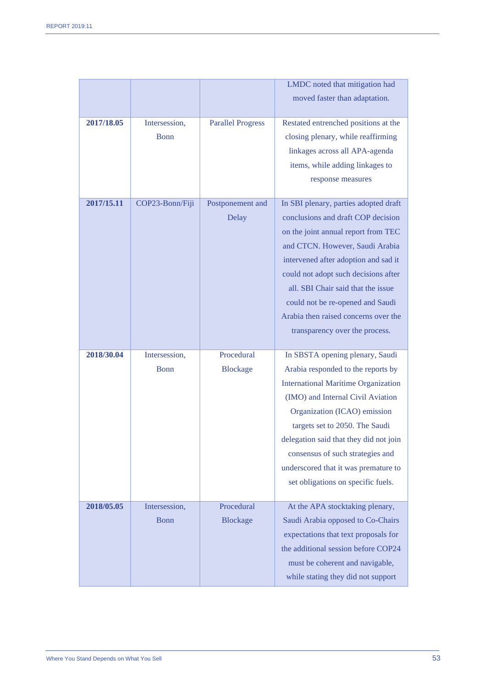|            |                 |                          | LMDC noted that mitigation had             |
|------------|-----------------|--------------------------|--------------------------------------------|
|            |                 |                          | moved faster than adaptation.              |
|            |                 |                          |                                            |
| 2017/18.05 | Intersession,   | <b>Parallel Progress</b> | Restated entrenched positions at the       |
|            | <b>Bonn</b>     |                          | closing plenary, while reaffirming         |
|            |                 |                          | linkages across all APA-agenda             |
|            |                 |                          | items, while adding linkages to            |
|            |                 |                          | response measures                          |
|            |                 |                          |                                            |
| 2017/15.11 | COP23-Bonn/Fiji | Postponement and         | In SBI plenary, parties adopted draft      |
|            |                 | Delay                    | conclusions and draft COP decision         |
|            |                 |                          | on the joint annual report from TEC        |
|            |                 |                          | and CTCN. However, Saudi Arabia            |
|            |                 |                          | intervened after adoption and sad it       |
|            |                 |                          | could not adopt such decisions after       |
|            |                 |                          | all. SBI Chair said that the issue         |
|            |                 |                          | could not be re-opened and Saudi           |
|            |                 |                          | Arabia then raised concerns over the       |
|            |                 |                          |                                            |
|            |                 |                          |                                            |
|            |                 |                          | transparency over the process.             |
| 2018/30.04 | Intersession,   | Procedural               | In SBSTA opening plenary, Saudi            |
|            | Bonn            | <b>Blockage</b>          | Arabia responded to the reports by         |
|            |                 |                          | <b>International Maritime Organization</b> |
|            |                 |                          | (IMO) and Internal Civil Aviation          |
|            |                 |                          | Organization (ICAO) emission               |
|            |                 |                          | targets set to 2050. The Saudi             |
|            |                 |                          | delegation said that they did not join     |
|            |                 |                          | consensus of such strategies and           |
|            |                 |                          |                                            |
|            |                 |                          | underscored that it was premature to       |
|            |                 |                          | set obligations on specific fuels.         |
| 2018/05.05 | Intersession,   | Procedural               | At the APA stocktaking plenary,            |
|            | <b>Bonn</b>     | <b>Blockage</b>          | Saudi Arabia opposed to Co-Chairs          |
|            |                 |                          | expectations that text proposals for       |
|            |                 |                          | the additional session before COP24        |
|            |                 |                          | must be coherent and navigable,            |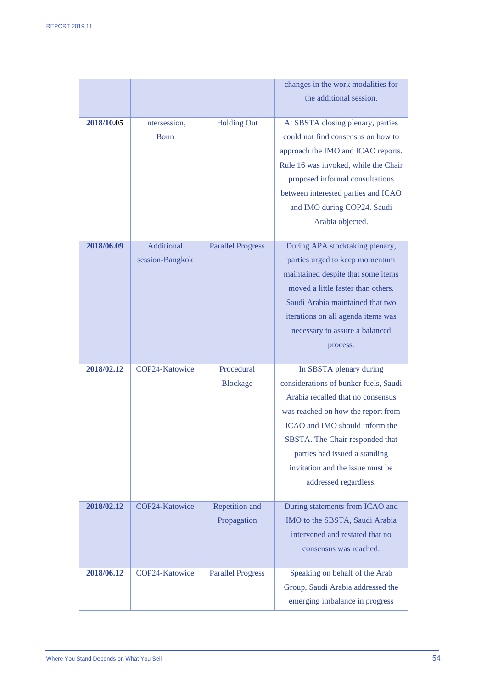|            |                 |                          | changes in the work modalities for                                  |
|------------|-----------------|--------------------------|---------------------------------------------------------------------|
|            |                 |                          | the additional session.                                             |
|            |                 |                          |                                                                     |
| 2018/10.05 | Intersession,   | <b>Holding Out</b>       | At SBSTA closing plenary, parties                                   |
|            | <b>Bonn</b>     |                          | could not find consensus on how to                                  |
|            |                 |                          | approach the IMO and ICAO reports.                                  |
|            |                 |                          | Rule 16 was invoked, while the Chair                                |
|            |                 |                          | proposed informal consultations                                     |
|            |                 |                          | between interested parties and ICAO                                 |
|            |                 |                          | and IMO during COP24. Saudi                                         |
|            |                 |                          | Arabia objected.                                                    |
|            |                 |                          |                                                                     |
| 2018/06.09 | Additional      | <b>Parallel Progress</b> | During APA stocktaking plenary,                                     |
|            | session-Bangkok |                          | parties urged to keep momentum                                      |
|            |                 |                          | maintained despite that some items                                  |
|            |                 |                          | moved a little faster than others.                                  |
|            |                 |                          | Saudi Arabia maintained that two                                    |
|            |                 |                          | iterations on all agenda items was                                  |
|            |                 |                          | necessary to assure a balanced                                      |
|            |                 |                          | process.                                                            |
|            |                 |                          |                                                                     |
|            |                 |                          |                                                                     |
| 2018/02.12 | COP24-Katowice  | Procedural               | In SBSTA plenary during                                             |
|            |                 | <b>Blockage</b>          | considerations of bunker fuels, Saudi                               |
|            |                 |                          | Arabia recalled that no consensus                                   |
|            |                 |                          | was reached on how the report from                                  |
|            |                 |                          | ICAO and IMO should inform the                                      |
|            |                 |                          | SBSTA. The Chair responded that                                     |
|            |                 |                          | parties had issued a standing                                       |
|            |                 |                          | invitation and the issue must be                                    |
|            |                 |                          | addressed regardless.                                               |
|            |                 |                          |                                                                     |
| 2018/02.12 | COP24-Katowice  | Repetition and           | During statements from ICAO and                                     |
|            |                 | Propagation              | IMO to the SBSTA, Saudi Arabia                                      |
|            |                 |                          | intervened and restated that no                                     |
|            |                 |                          | consensus was reached.                                              |
|            |                 |                          |                                                                     |
| 2018/06.12 | COP24-Katowice  | <b>Parallel Progress</b> | Speaking on behalf of the Arab                                      |
|            |                 |                          | Group, Saudi Arabia addressed the<br>emerging imbalance in progress |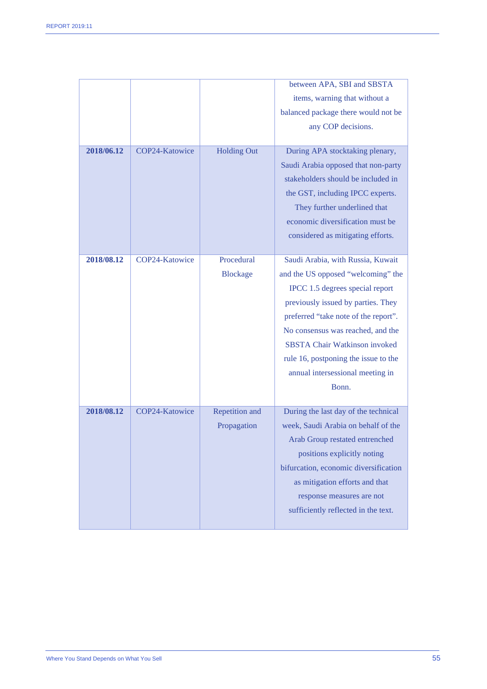|            |                |                    | between APA, SBI and SBSTA            |
|------------|----------------|--------------------|---------------------------------------|
|            |                |                    | items, warning that without a         |
|            |                |                    | balanced package there would not be   |
|            |                |                    | any COP decisions.                    |
|            |                |                    |                                       |
| 2018/06.12 | COP24-Katowice | <b>Holding Out</b> | During APA stocktaking plenary,       |
|            |                |                    | Saudi Arabia opposed that non-party   |
|            |                |                    | stakeholders should be included in    |
|            |                |                    | the GST, including IPCC experts.      |
|            |                |                    | They further underlined that          |
|            |                |                    | economic diversification must be      |
|            |                |                    | considered as mitigating efforts.     |
|            |                |                    |                                       |
| 2018/08.12 | COP24-Katowice | Procedural         | Saudi Arabia, with Russia, Kuwait     |
|            |                | <b>Blockage</b>    | and the US opposed "welcoming" the    |
|            |                |                    | IPCC 1.5 degrees special report       |
|            |                |                    | previously issued by parties. They    |
|            |                |                    | preferred "take note of the report".  |
|            |                |                    | No consensus was reached, and the     |
|            |                |                    | <b>SBSTA Chair Watkinson invoked</b>  |
|            |                |                    | rule 16, postponing the issue to the  |
|            |                |                    | annual intersessional meeting in      |
|            |                |                    | Bonn.                                 |
| 2018/08.12 | COP24-Katowice | Repetition and     | During the last day of the technical  |
|            |                | Propagation        | week, Saudi Arabia on behalf of the   |
|            |                |                    | Arab Group restated entrenched        |
|            |                |                    | positions explicitly noting           |
|            |                |                    | bifurcation, economic diversification |
|            |                |                    | as mitigation efforts and that        |
|            |                |                    | response measures are not             |
|            |                |                    | sufficiently reflected in the text.   |
|            |                |                    |                                       |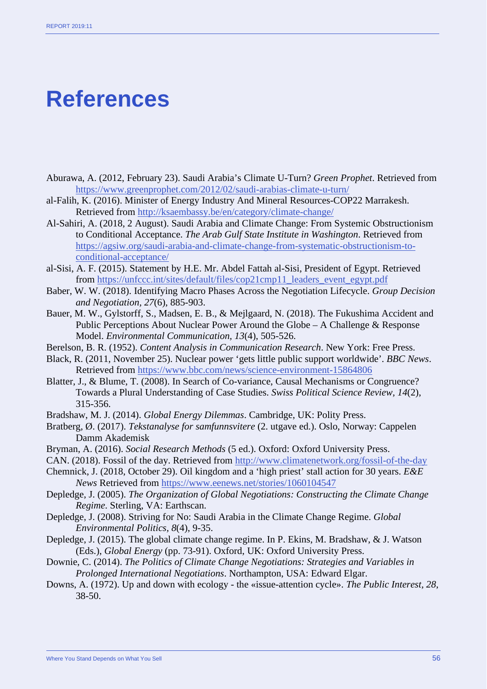## **References**

- Aburawa, A. (2012, February 23). Saudi Arabia's Climate U-Turn? *Green Prophet*. Retrieved from <https://www.greenprophet.com/2012/02/saudi-arabias-climate-u-turn/>
- al-Falih, K. (2016). Minister of Energy Industry And Mineral Resources-COP22 Marrakesh. Retrieved from<http://ksaembassy.be/en/category/climate-change/>
- Al-Sahiri, A. (2018, 2 August). Saudi Arabia and Climate Change: From Systemic Obstructionism to Conditional Acceptance. *The Arab Gulf State Institute in Washington*. Retrieved from [https://agsiw.org/saudi-arabia-and-climate-change-from-systematic-obstructionism-to](https://agsiw.org/saudi-arabia-and-climate-change-from-systematic-obstructionism-to-conditional-acceptance/)[conditional-acceptance/](https://agsiw.org/saudi-arabia-and-climate-change-from-systematic-obstructionism-to-conditional-acceptance/)
- al-Sisi, A. F. (2015). Statement by H.E. Mr. Abdel Fattah al-Sisi, President of Egypt. Retrieved from [https://unfccc.int/sites/default/files/cop21cmp11\\_leaders\\_event\\_egypt.pdf](https://unfccc.int/sites/default/files/cop21cmp11_leaders_event_egypt.pdf)
- Baber, W. W. (2018). Identifying Macro Phases Across the Negotiation Lifecycle. *Group Decision and Negotiation, 27*(6), 885-903.
- Bauer, M. W., Gylstorff, S., Madsen, E. B., & Mejlgaard, N. (2018). The Fukushima Accident and Public Perceptions About Nuclear Power Around the Globe – A Challenge & Response Model. *Environmental Communication, 13*(4), 505-526.
- Berelson, B. R. (1952). *Content Analysis in Communication Research*. New York: Free Press.
- Black, R. (2011, November 25). Nuclear power 'gets little public support worldwide'. *BBC News*. Retrieved from<https://www.bbc.com/news/science-environment-15864806>
- Blatter, J., & Blume, T. (2008). In Search of Co-variance, Causal Mechanisms or Congruence? Towards a Plural Understanding of Case Studies. *Swiss Political Science Review, 14*(2), 315-356.
- Bradshaw, M. J. (2014). *Global Energy Dilemmas*. Cambridge, UK: Polity Press.
- Bratberg, Ø. (2017). *Tekstanalyse for samfunnsvitere* (2. utgave ed.). Oslo, Norway: Cappelen Damm Akademisk
- Bryman, A. (2016). *Social Research Methods* (5 ed.). Oxford: Oxford University Press.
- CAN. (2018). Fossil of the day. Retrieved from<http://www.climatenetwork.org/fossil-of-the-day>
- Chemnick, J. (2018, October 29). Oil kingdom and a 'high priest' stall action for 30 years. *E&E News* Retrieved from<https://www.eenews.net/stories/1060104547>
- Depledge, J. (2005). *The Organization of Global Negotiations: Constructing the Climate Change Regime*. Sterling, VA: Earthscan.
- Depledge, J. (2008). Striving for No: Saudi Arabia in the Climate Change Regime. *Global Environmental Politics, 8*(4), 9-35.
- Depledge, J. (2015). The global climate change regime. In P. Ekins, M. Bradshaw, & J. Watson (Eds.), *Global Energy* (pp. 73-91). Oxford, UK: Oxford University Press.
- Downie, C. (2014). *The Politics of Climate Change Negotiations: Strategies and Variables in Prolonged International Negotiations*. Northampton, USA: Edward Elgar.
- Downs, A. (1972). Up and down with ecology the «issue-attention cycle». *The Public Interest, 28*, 38-50.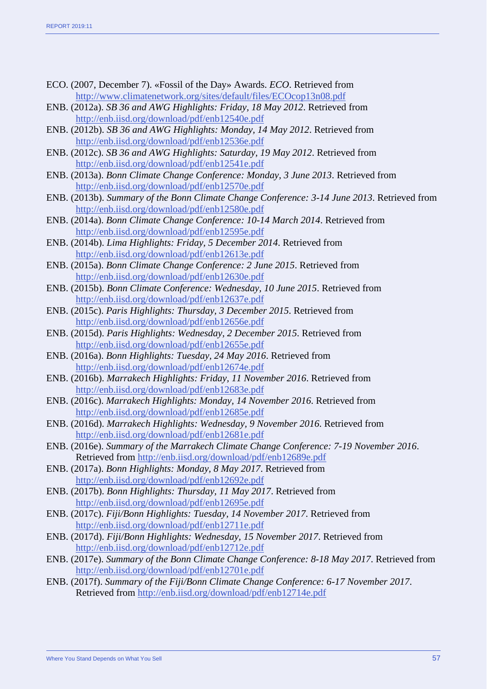- ECO. (2007, December 7). «Fossil of the Day» Awards. *ECO*. Retrieved from <http://www.climatenetwork.org/sites/default/files/ECOcop13n08.pdf>
- ENB. (2012a). *SB 36 and AWG Highlights: Friday, 18 May 2012*. Retrieved from <http://enb.iisd.org/download/pdf/enb12540e.pdf>
- ENB. (2012b). *SB 36 and AWG Highlights: Monday, 14 May 2012*. Retrieved from <http://enb.iisd.org/download/pdf/enb12536e.pdf>
- ENB. (2012c). *SB 36 and AWG Highlights: Saturday, 19 May 2012*. Retrieved from <http://enb.iisd.org/download/pdf/enb12541e.pdf>
- ENB. (2013a). *Bonn Climate Change Conference: Monday, 3 June 2013*. Retrieved from <http://enb.iisd.org/download/pdf/enb12570e.pdf>
- ENB. (2013b). *Summary of the Bonn Climate Change Conference: 3-14 June 2013*. Retrieved from <http://enb.iisd.org/download/pdf/enb12580e.pdf>
- ENB. (2014a). *Bonn Climate Change Conference: 10-14 March 2014*. Retrieved from <http://enb.iisd.org/download/pdf/enb12595e.pdf>
- ENB. (2014b). *Lima Highlights: Friday, 5 December 2014*. Retrieved from <http://enb.iisd.org/download/pdf/enb12613e.pdf>
- ENB. (2015a). *Bonn Climate Change Conference: 2 June 2015*. Retrieved from <http://enb.iisd.org/download/pdf/enb12630e.pdf>
- ENB. (2015b). *Bonn Climate Conference: Wednesday, 10 June 2015*. Retrieved from <http://enb.iisd.org/download/pdf/enb12637e.pdf>
- ENB. (2015c). *Paris Highlights: Thursday, 3 December 2015*. Retrieved from <http://enb.iisd.org/download/pdf/enb12656e.pdf>
- ENB. (2015d). *Paris Highlights: Wednesday, 2 December 2015*. Retrieved from <http://enb.iisd.org/download/pdf/enb12655e.pdf>
- ENB. (2016a). *Bonn Highlights: Tuesday, 24 May 2016*. Retrieved from <http://enb.iisd.org/download/pdf/enb12674e.pdf>
- ENB. (2016b). *Marrakech Highlights: Friday, 11 November 2016*. Retrieved from <http://enb.iisd.org/download/pdf/enb12683e.pdf>
- ENB. (2016c). *Marrakech Highlights: Monday, 14 November 2016*. Retrieved from <http://enb.iisd.org/download/pdf/enb12685e.pdf>
- ENB. (2016d). *Marrakech Highlights: Wednesday, 9 November 2016*. Retrieved from <http://enb.iisd.org/download/pdf/enb12681e.pdf>
- ENB. (2016e). *Summary of the Marrakech Climate Change Conference: 7-19 November 2016*. Retrieved from<http://enb.iisd.org/download/pdf/enb12689e.pdf>
- ENB. (2017a). *Bonn Highlights: Monday, 8 May 2017*. Retrieved from <http://enb.iisd.org/download/pdf/enb12692e.pdf>
- ENB. (2017b). *Bonn Highlights: Thursday, 11 May 2017*. Retrieved from <http://enb.iisd.org/download/pdf/enb12695e.pdf>
- ENB. (2017c). *Fiji/Bonn Highlights: Tuesday, 14 November 2017*. Retrieved from <http://enb.iisd.org/download/pdf/enb12711e.pdf>
- ENB. (2017d). *Fiji/Bonn Highlights: Wednesday, 15 November 2017*. Retrieved from <http://enb.iisd.org/download/pdf/enb12712e.pdf>
- ENB. (2017e). *Summary of the Bonn Climate Change Conference: 8-18 May 2017*. Retrieved from <http://enb.iisd.org/download/pdf/enb12701e.pdf>
- ENB. (2017f). *Summary of the Fiji/Bonn Climate Change Conference: 6-17 November 2017*. Retrieved from<http://enb.iisd.org/download/pdf/enb12714e.pdf>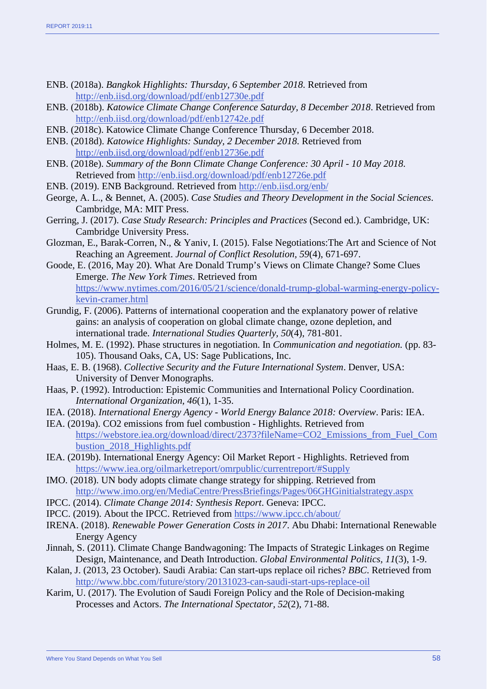- ENB. (2018a). *Bangkok Highlights: Thursday, 6 September 2018*. Retrieved from <http://enb.iisd.org/download/pdf/enb12730e.pdf>
- ENB. (2018b). *Katowice Climate Change Conference Saturday, 8 December 2018*. Retrieved from <http://enb.iisd.org/download/pdf/enb12742e.pdf>
- ENB. (2018c). Katowice Climate Change Conference Thursday, 6 December 2018.
- ENB. (2018d). *Katowice Highlights: Sunday, 2 December 2018*. Retrieved from <http://enb.iisd.org/download/pdf/enb12736e.pdf>
- ENB. (2018e). *Summary of the Bonn Climate Change Conference: 30 April - 10 May 2018*. Retrieved from<http://enb.iisd.org/download/pdf/enb12726e.pdf>
- ENB. (2019). ENB Background. Retrieved from<http://enb.iisd.org/enb/>
- George, A. L., & Bennet, A. (2005). *Case Studies and Theory Development in the Social Sciences*. Cambridge, MA: MIT Press.
- Gerring, J. (2017). *Case Study Research: Principles and Practices* (Second ed.). Cambridge, UK: Cambridge University Press.
- Glozman, E., Barak-Corren, N., & Yaniv, I. (2015). False Negotiations:The Art and Science of Not Reaching an Agreement. *Journal of Conflict Resolution, 59*(4), 671-697.
- Goode, E. (2016, May 20). What Are Donald Trump's Views on Climate Change? Some Clues Emerge. *The New York Times*. Retrieved from [https://www.nytimes.com/2016/05/21/science/donald-trump-global-warming-energy-policy](https://www.nytimes.com/2016/05/21/science/donald-trump-global-warming-energy-policy-kevin-cramer.html)[kevin-cramer.html](https://www.nytimes.com/2016/05/21/science/donald-trump-global-warming-energy-policy-kevin-cramer.html)
- Grundig, F. (2006). Patterns of international cooperation and the explanatory power of relative gains: an analysis of cooperation on global climate change, ozone depletion, and international trade. *International Studies Quarterly, 50*(4), 781-801.
- Holmes, M. E. (1992). Phase structures in negotiation. In *Communication and negotiation.* (pp. 83- 105). Thousand Oaks, CA, US: Sage Publications, Inc.
- Haas, E. B. (1968). *Collective Security and the Future International System*. Denver, USA: University of Denver Monographs.
- Haas, P. (1992). Introduction: Epistemic Communities and International Policy Coordination. *International Organization, 46*(1), 1-35.
- IEA. (2018). *International Energy Agency - World Energy Balance 2018: Overview*. Paris: IEA.
- IEA. (2019a). CO2 emissions from fuel combustion Highlights. Retrieved from [https://webstore.iea.org/download/direct/2373?fileName=CO2\\_Emissions\\_from\\_Fuel\\_Com](https://webstore.iea.org/download/direct/2373?fileName=CO2_Emissions_from_Fuel_Combustion_2018_Highlights.pdf) [bustion\\_2018\\_Highlights.pdf](https://webstore.iea.org/download/direct/2373?fileName=CO2_Emissions_from_Fuel_Combustion_2018_Highlights.pdf)
- IEA. (2019b). International Energy Agency: Oil Market Report Highlights. Retrieved from <https://www.iea.org/oilmarketreport/omrpublic/currentreport/#Supply>
- IMO. (2018). UN body adopts climate change strategy for shipping. Retrieved from <http://www.imo.org/en/MediaCentre/PressBriefings/Pages/06GHGinitialstrategy.aspx>
- IPCC. (2014). *Climate Change 2014: Synthesis Report*. Geneva: IPCC.
- IPCC. (2019). About the IPCC. Retrieved from<https://www.ipcc.ch/about/>
- IRENA. (2018). *Renewable Power Generation Costs in 2017*. Abu Dhabi: International Renewable Energy Agency
- Jinnah, S. (2011). Climate Change Bandwagoning: The Impacts of Strategic Linkages on Regime Design, Maintenance, and Death Introduction. *Global Environmental Politics, 11*(3), 1-9.
- Kalan, J. (2013, 23 October). Saudi Arabia: Can start-ups replace oil riches? *BBC*. Retrieved from <http://www.bbc.com/future/story/20131023-can-saudi-start-ups-replace-oil>
- Karim, U. (2017). The Evolution of Saudi Foreign Policy and the Role of Decision-making Processes and Actors. *The International Spectator, 52*(2), 71-88.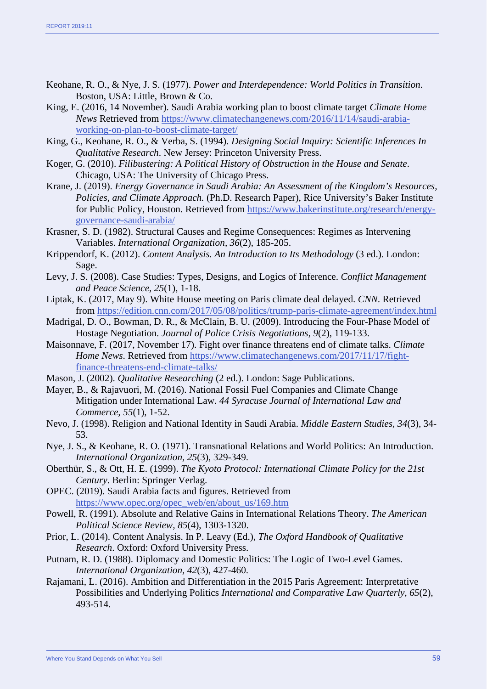- Keohane, R. O., & Nye, J. S. (1977). *Power and Interdependence: World Politics in Transition*. Boston, USA: Little, Brown & Co.
- King, E. (2016, 14 November). Saudi Arabia working plan to boost climate target *Climate Home News* Retrieved from [https://www.climatechangenews.com/2016/11/14/saudi-arabia](https://www.climatechangenews.com/2016/11/14/saudi-arabia-working-on-plan-to-boost-climate-target/)[working-on-plan-to-boost-climate-target/](https://www.climatechangenews.com/2016/11/14/saudi-arabia-working-on-plan-to-boost-climate-target/)
- King, G., Keohane, R. O., & Verba, S. (1994). *Designing Social Inquiry: Scientific Inferences In Qualitative Research*. New Jersey: Princeton University Press.
- Koger, G. (2010). *Filibustering: A Political History of Obstruction in the House and Senate*. Chicago, USA: The University of Chicago Press.
- Krane, J. (2019). *Energy Governance in Saudi Arabia: An Assessment of the Kingdom's Resources, Policies, and Climate Approach.* (Ph.D. Research Paper), Rice University's Baker Institute for Public Policy, Houston. Retrieved from [https://www.bakerinstitute.org/research/energy](https://www.bakerinstitute.org/research/energy-governance-saudi-arabia/)[governance-saudi-arabia/](https://www.bakerinstitute.org/research/energy-governance-saudi-arabia/)
- Krasner, S. D. (1982). Structural Causes and Regime Consequences: Regimes as Intervening Variables. *International Organization, 36*(2), 185-205.
- Krippendorf, K. (2012). *Content Analysis. An Introduction to Its Methodology* (3 ed.). London: Sage.
- Levy, J. S. (2008). Case Studies: Types, Designs, and Logics of Inference. *Conflict Management and Peace Science, 25*(1), 1-18.
- Liptak, K. (2017, May 9). White House meeting on Paris climate deal delayed. *CNN*. Retrieved from<https://edition.cnn.com/2017/05/08/politics/trump-paris-climate-agreement/index.html>
- Madrigal, D. O., Bowman, D. R., & McClain, B. U. (2009). Introducing the Four-Phase Model of Hostage Negotiation. *Journal of Police Crisis Negotiations, 9*(2), 119-133.
- Maisonnave, F. (2017, November 17). Fight over finance threatens end of climate talks. *Climate Home News*. Retrieved from [https://www.climatechangenews.com/2017/11/17/fight](https://www.climatechangenews.com/2017/11/17/fight-finance-threatens-end-climate-talks/)[finance-threatens-end-climate-talks/](https://www.climatechangenews.com/2017/11/17/fight-finance-threatens-end-climate-talks/)
- Mason, J. (2002). *Qualitative Researching* (2 ed.). London: Sage Publications.
- Mayer, B., & Rajavuori, M. (2016). National Fossil Fuel Companies and Climate Change Mitigation under International Law. *44 Syracuse Journal of International Law and Commerce, 55*(1), 1-52.
- Nevo, J. (1998). Religion and National Identity in Saudi Arabia. *Middle Eastern Studies, 34*(3), 34- 53.
- Nye, J. S., & Keohane, R. O. (1971). Transnational Relations and World Politics: An Introduction. *International Organization, 25*(3), 329-349.
- Oberthür, S., & Ott, H. E. (1999). *The Kyoto Protocol: International Climate Policy for the 21st Century*. Berlin: Springer Verlag.
- OPEC. (2019). Saudi Arabia facts and figures. Retrieved from [https://www.opec.org/opec\\_web/en/about\\_us/169.htm](https://www.opec.org/opec_web/en/about_us/169.htm)
- Powell, R. (1991). Absolute and Relative Gains in International Relations Theory. *The American Political Science Review, 85*(4), 1303-1320.
- Prior, L. (2014). Content Analysis. In P. Leavy (Ed.), *The Oxford Handbook of Qualitative Research*. Oxford: Oxford University Press.
- Putnam, R. D. (1988). Diplomacy and Domestic Politics: The Logic of Two-Level Games. *International Organization, 42*(3), 427-460.
- Rajamani, L. (2016). Ambition and Differentiation in the 2015 Paris Agreement: Interpretative Possibilities and Underlying Politics *International and Comparative Law Quarterly, 65*(2), 493-514.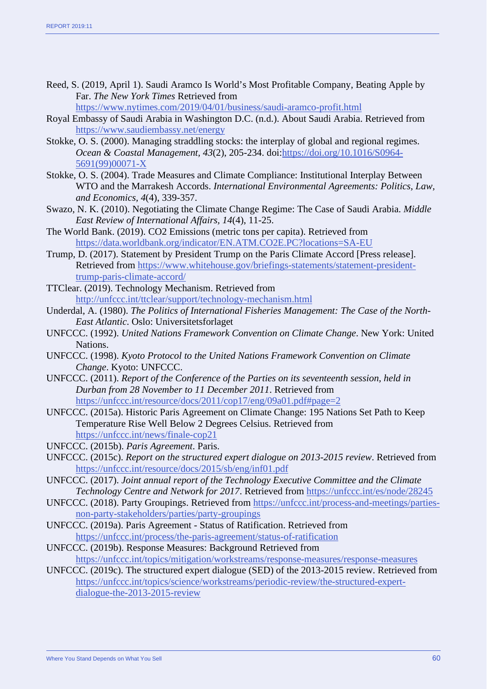Reed, S. (2019, April 1). Saudi Aramco Is World's Most Profitable Company, Beating Apple by Far. *The New York Times* Retrieved from

<https://www.nytimes.com/2019/04/01/business/saudi-aramco-profit.html>

- Royal Embassy of Saudi Arabia in Washington D.C. (n.d.). About Saudi Arabia. Retrieved from <https://www.saudiembassy.net/energy>
- Stokke, O. S. (2000). Managing straddling stocks: the interplay of global and regional regimes. *Ocean & Coastal Management, 43*(2), 205-234. doi[:https://doi.org/10.1016/S0964-](https://doi.org/10.1016/S0964-5691(99)00071-X) [5691\(99\)00071-X](https://doi.org/10.1016/S0964-5691(99)00071-X)
- Stokke, O. S. (2004). Trade Measures and Climate Compliance: Institutional Interplay Between WTO and the Marrakesh Accords. *International Environmental Agreements: Politics, Law, and Economics, 4*(4), 339-357.
- Swazo, N. K. (2010). Negotiating the Climate Change Regime: The Case of Saudi Arabia. *Middle East Review of International Affairs, 14*(4), 11-25.
- The World Bank. (2019). CO2 Emissions (metric tons per capita). Retrieved from <https://data.worldbank.org/indicator/EN.ATM.CO2E.PC?locations=SA-EU>
- Trump, D. (2017). Statement by President Trump on the Paris Climate Accord [Press release]. Retrieved from [https://www.whitehouse.gov/briefings-statements/statement-president](https://www.whitehouse.gov/briefings-statements/statement-president-trump-paris-climate-accord/)[trump-paris-climate-accord/](https://www.whitehouse.gov/briefings-statements/statement-president-trump-paris-climate-accord/)
- TTClear. (2019). Technology Mechanism. Retrieved from <http://unfccc.int/ttclear/support/technology-mechanism.html>
- Underdal, A. (1980). *The Politics of International Fisheries Management: The Case of the North-East Atlantic*. Oslo: Universitetsforlaget
- UNFCCC. (1992). *United Nations Framework Convention on Climate Change*. New York: United Nations.
- UNFCCC. (1998). *Kyoto Protocol to the United Nations Framework Convention on Climate Change*. Kyoto: UNFCCC.
- UNFCCC. (2011). *Report of the Conference of the Parties on its seventeenth session, held in Durban from 28 November to 11 December 2011*. Retrieved from <https://unfccc.int/resource/docs/2011/cop17/eng/09a01.pdf#page=2>
- UNFCCC. (2015a). Historic Paris Agreement on Climate Change: 195 Nations Set Path to Keep Temperature Rise Well Below 2 Degrees Celsius. Retrieved from <https://unfccc.int/news/finale-cop21>
- UNFCCC. (2015b). *Paris Agreement*. Paris.
- UNFCCC. (2015c). *Report on the structured expert dialogue on 2013-2015 review*. Retrieved from <https://unfccc.int/resource/docs/2015/sb/eng/inf01.pdf>
- UNFCCC. (2017). *Joint annual report of the Technology Executive Committee and the Climate Technology Centre and Network for 2017*. Retrieved from<https://unfccc.int/es/node/28245>
- UNFCCC. (2018). Party Groupings. Retrieved from [https://unfccc.int/process-and-meetings/parties](https://unfccc.int/process-and-meetings/parties-non-party-stakeholders/parties/party-groupings)[non-party-stakeholders/parties/party-groupings](https://unfccc.int/process-and-meetings/parties-non-party-stakeholders/parties/party-groupings)
- UNFCCC. (2019a). Paris Agreement Status of Ratification. Retrieved from <https://unfccc.int/process/the-paris-agreement/status-of-ratification>
- UNFCCC. (2019b). Response Measures: Background Retrieved from <https://unfccc.int/topics/mitigation/workstreams/response-measures/response-measures>
- UNFCCC. (2019c). The structured expert dialogue (SED) of the 2013-2015 review. Retrieved from [https://unfccc.int/topics/science/workstreams/periodic-review/the-structured-expert](https://unfccc.int/topics/science/workstreams/periodic-review/the-structured-expert-dialogue-the-2013-2015-review)[dialogue-the-2013-2015-review](https://unfccc.int/topics/science/workstreams/periodic-review/the-structured-expert-dialogue-the-2013-2015-review)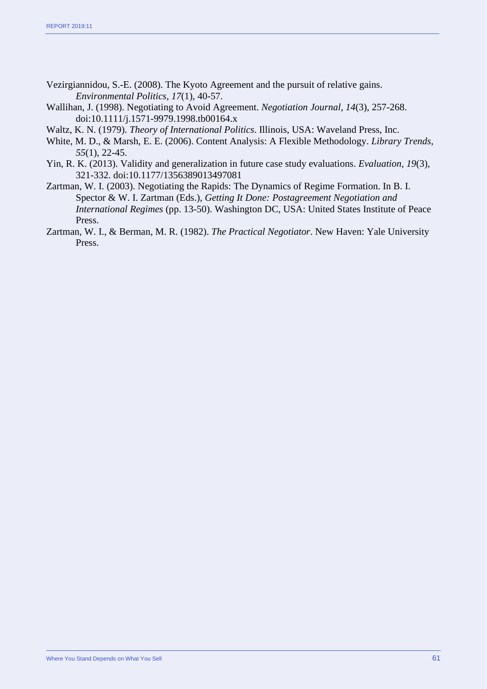- Vezirgiannidou, S.-E. (2008). The Kyoto Agreement and the pursuit of relative gains. *Environmental Politics, 17*(1), 40-57.
- Wallihan, J. (1998). Negotiating to Avoid Agreement. *Negotiation Journal, 14*(3), 257-268. doi:10.1111/j.1571-9979.1998.tb00164.x
- Waltz, K. N. (1979). *Theory of International Politics*. Illinois, USA: Waveland Press, Inc.
- White, M. D., & Marsh, E. E. (2006). Content Analysis: A Flexible Methodology. *Library Trends, 55*(1), 22-45.
- Yin, R. K. (2013). Validity and generalization in future case study evaluations. *Evaluation, 19*(3), 321-332. doi:10.1177/1356389013497081
- Zartman, W. I. (2003). Negotiating the Rapids: The Dynamics of Regime Formation. In B. I. Spector & W. I. Zartman (Eds.), *Getting It Done: Postagreement Negotiation and International Regimes* (pp. 13-50). Washington DC, USA: United States Institute of Peace Press.
- Zartman, W. I., & Berman, M. R. (1982). *The Practical Negotiator*. New Haven: Yale University Press.